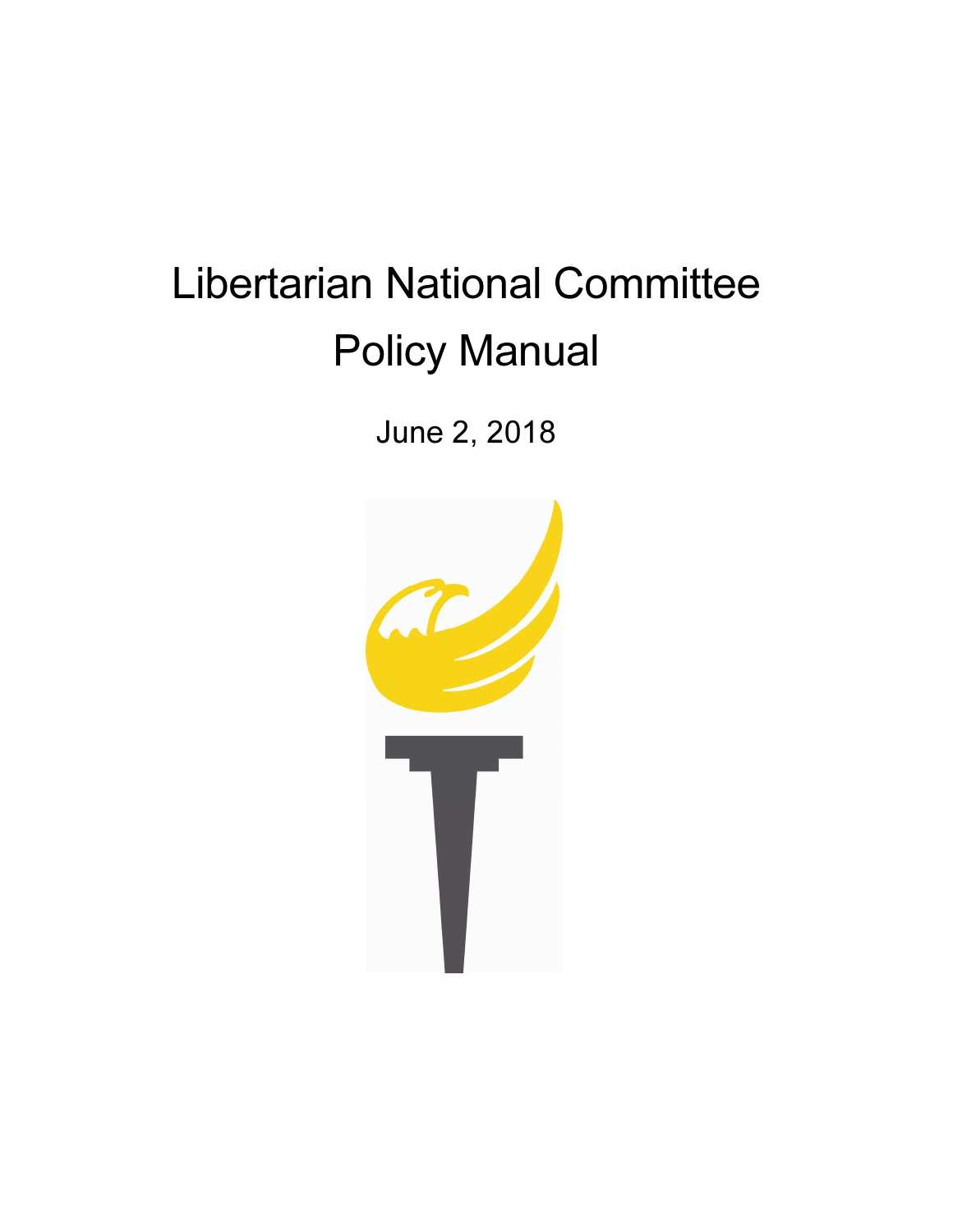# Libertarian National Committee Policy Manual

June 2, 2018

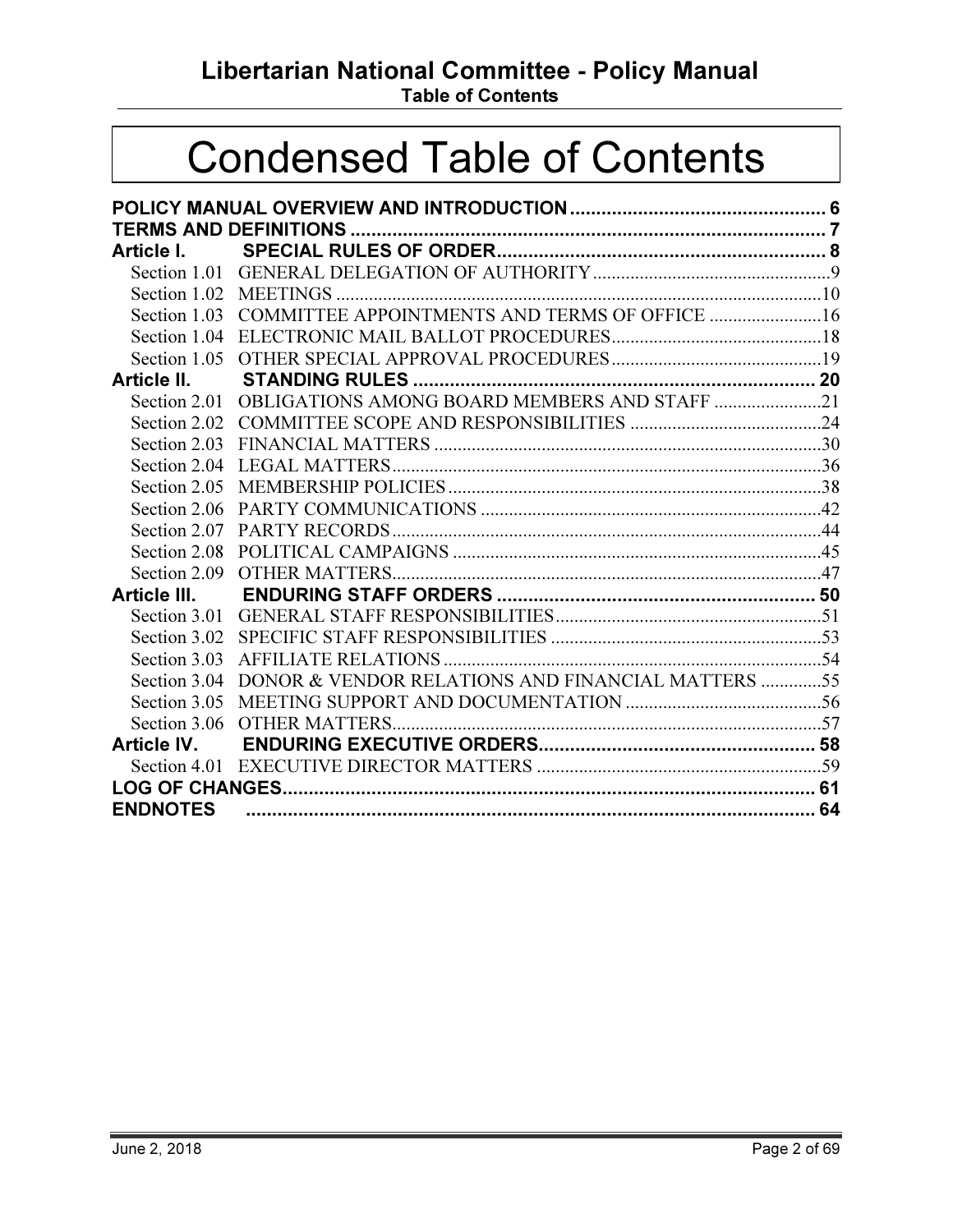Libertarian National Committee - Policy Manual

Table of Contents

# Condensed Table of Contents

| Article I.      |                                                            |  |  |
|-----------------|------------------------------------------------------------|--|--|
|                 |                                                            |  |  |
|                 |                                                            |  |  |
|                 | Section 1.03 COMMITTEE APPOINTMENTS AND TERMS OF OFFICE 16 |  |  |
|                 |                                                            |  |  |
|                 |                                                            |  |  |
| Article II.     |                                                            |  |  |
|                 | Section 2.01 OBLIGATIONS AMONG BOARD MEMBERS AND STAFF 21  |  |  |
|                 |                                                            |  |  |
|                 |                                                            |  |  |
|                 |                                                            |  |  |
|                 |                                                            |  |  |
|                 |                                                            |  |  |
| Section 2.07    |                                                            |  |  |
| Section 2.08    |                                                            |  |  |
|                 |                                                            |  |  |
|                 |                                                            |  |  |
|                 |                                                            |  |  |
|                 |                                                            |  |  |
|                 |                                                            |  |  |
| Section 3.04    | DONOR & VENDOR RELATIONS AND FINANCIAL MATTERS 55          |  |  |
|                 |                                                            |  |  |
|                 |                                                            |  |  |
|                 |                                                            |  |  |
|                 |                                                            |  |  |
|                 |                                                            |  |  |
| <b>ENDNOTES</b> |                                                            |  |  |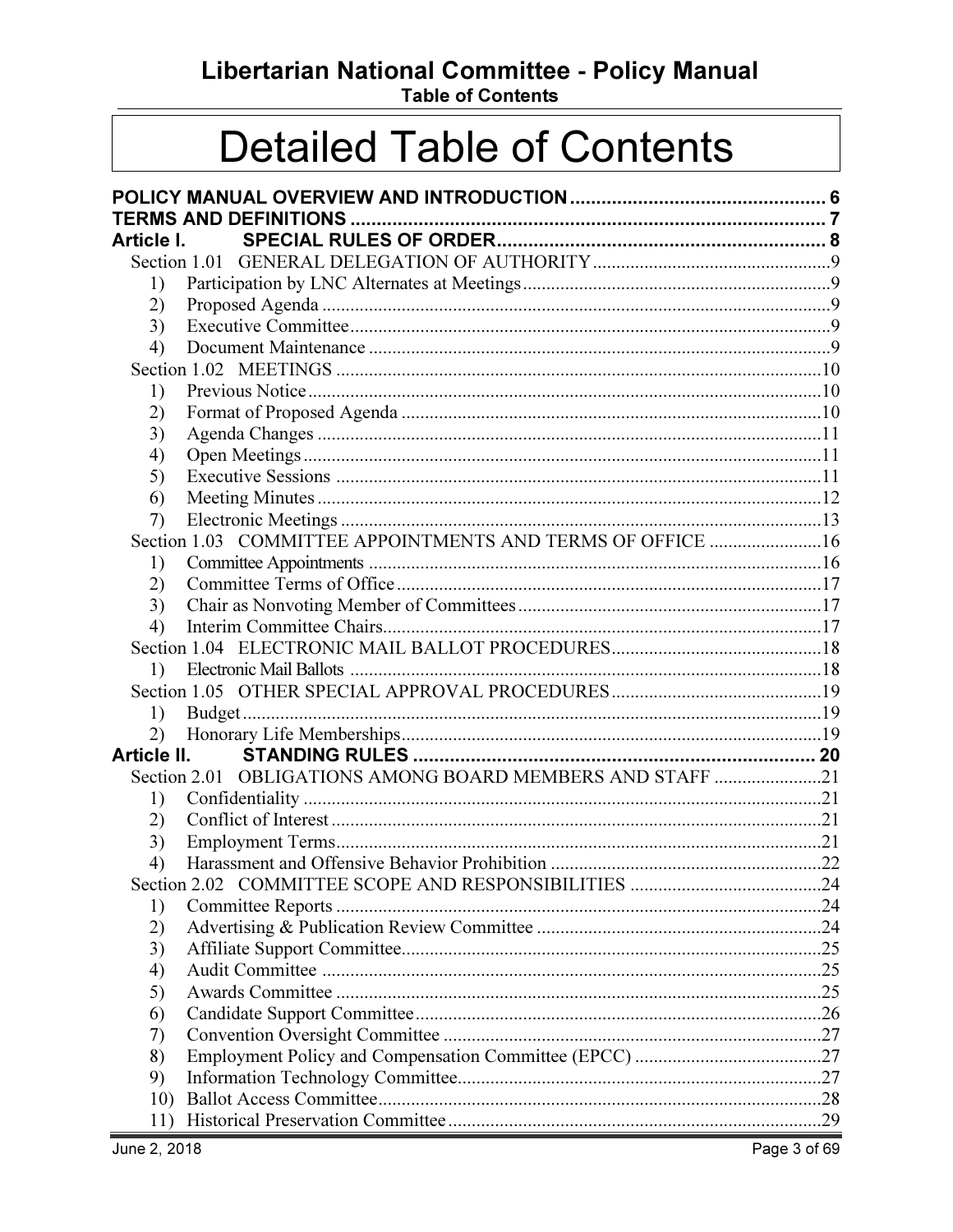Libertarian National Committee - Policy Manual

**Table of Contents** 

# **Detailed Table of Contents**

| Article I.                   |                                                            |  |
|------------------------------|------------------------------------------------------------|--|
|                              |                                                            |  |
| 1)                           |                                                            |  |
| 2)                           |                                                            |  |
| 3)                           |                                                            |  |
| 4)                           |                                                            |  |
|                              |                                                            |  |
| 1)                           |                                                            |  |
| 2)                           |                                                            |  |
| 3)                           |                                                            |  |
| 4)                           |                                                            |  |
| 5)                           |                                                            |  |
| 6)                           |                                                            |  |
| 7)                           |                                                            |  |
|                              | Section 1.03 COMMITTEE APPOINTMENTS AND TERMS OF OFFICE 16 |  |
| 1)                           |                                                            |  |
| 2)                           |                                                            |  |
| 3)                           |                                                            |  |
| 4)                           |                                                            |  |
|                              |                                                            |  |
| $\left( \frac{1}{2} \right)$ |                                                            |  |
|                              |                                                            |  |
| 1)                           |                                                            |  |
| 2)                           |                                                            |  |
| Article II.                  |                                                            |  |
|                              | Section 2.01 OBLIGATIONS AMONG BOARD MEMBERS AND STAFF 21  |  |
| 1)                           |                                                            |  |
| 2)                           |                                                            |  |
| 3)                           |                                                            |  |
| 4)                           |                                                            |  |
|                              |                                                            |  |
| 1)                           |                                                            |  |
| 2)                           |                                                            |  |
| 3)                           |                                                            |  |
| 4)                           |                                                            |  |
| 5)                           |                                                            |  |
| 6)                           |                                                            |  |
| 7)                           |                                                            |  |
| 8)                           |                                                            |  |
| 9)                           |                                                            |  |
| 10)                          |                                                            |  |
| 11)                          |                                                            |  |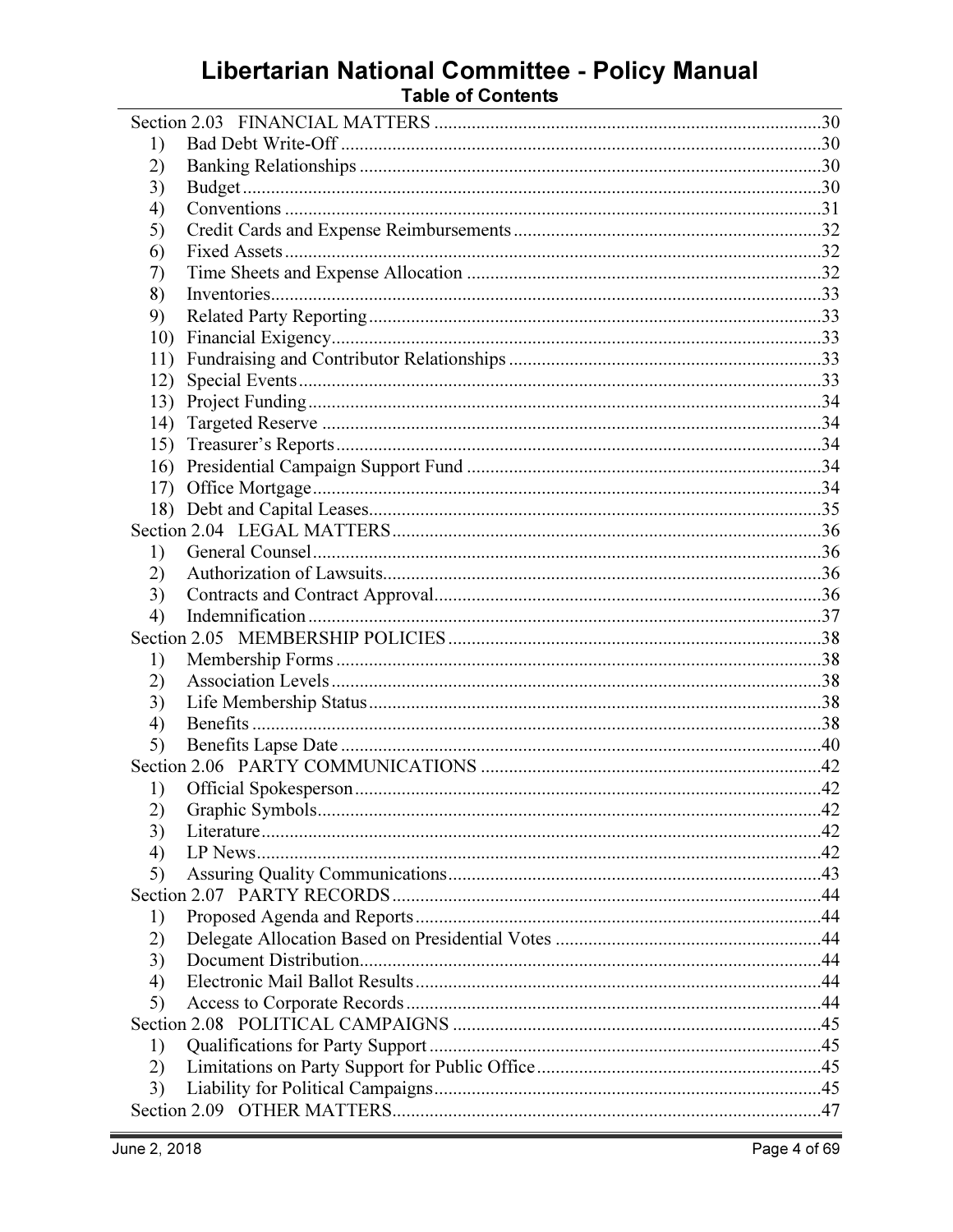# Libertarian National Committee - Policy Manual<br>Table of Contents

| 1)  |  |
|-----|--|
| 2)  |  |
| 3)  |  |
| 4)  |  |
| 5)  |  |
| 6)  |  |
| 7)  |  |
| 8)  |  |
| 9)  |  |
| 10) |  |
| 11) |  |
| 12) |  |
| 13) |  |
| 14) |  |
|     |  |
|     |  |
| 17) |  |
|     |  |
|     |  |
| 1)  |  |
| 2)  |  |
| 3)  |  |
| 4)  |  |
|     |  |
| 1)  |  |
| 2)  |  |
| 3)  |  |
| 4)  |  |
| 5)  |  |
|     |  |
| 1)  |  |
| 2)  |  |
| 3)  |  |
| 4)  |  |
| 5)  |  |
|     |  |
| 1)  |  |
| 2)  |  |
| 3)  |  |
| 4)  |  |
| 5)  |  |
|     |  |
| 1)  |  |
| 2)  |  |
| 3)  |  |
|     |  |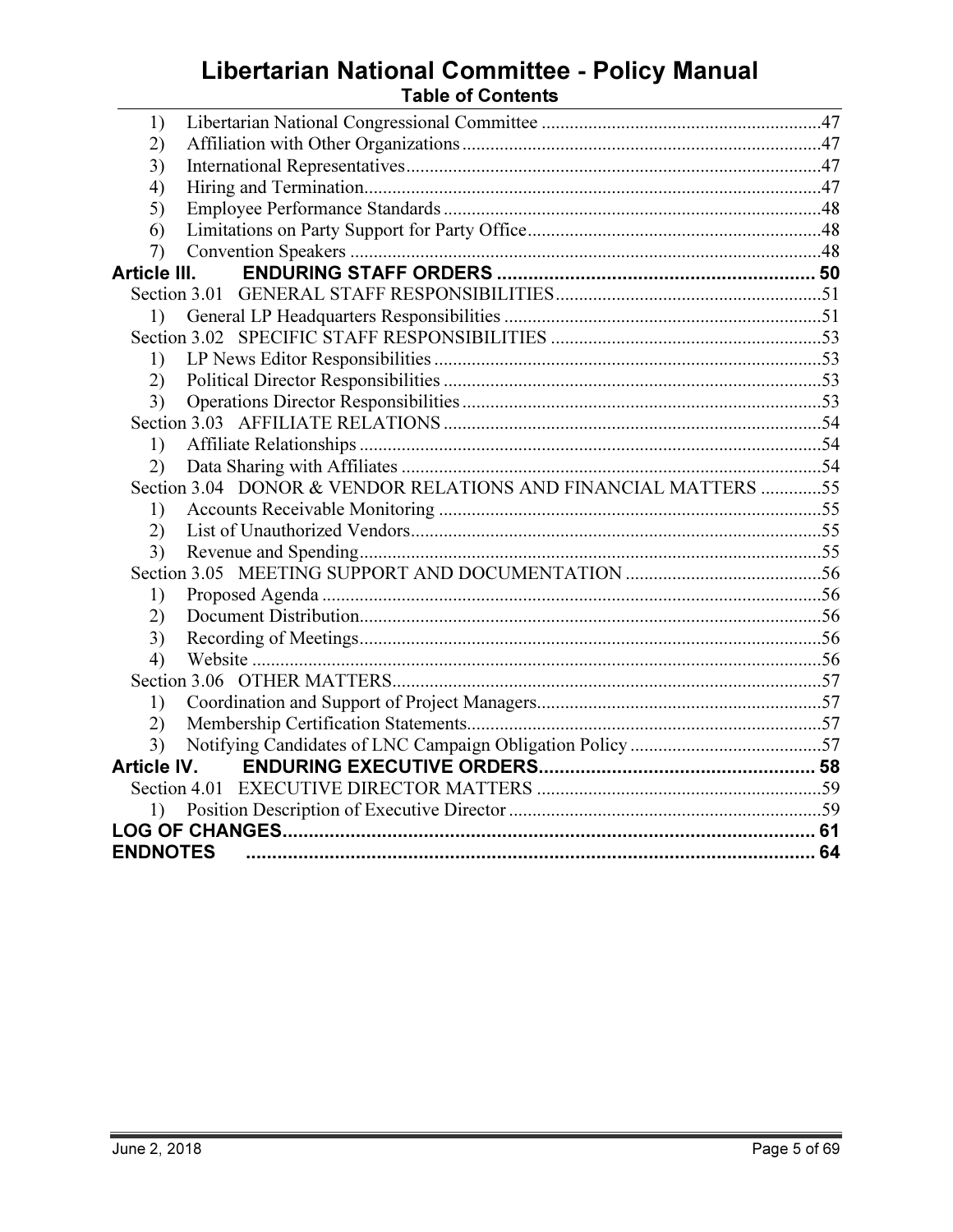# Libertarian National Committee - Policy Manual<br>Table of Contents

| 1)                 |                                                                |  |
|--------------------|----------------------------------------------------------------|--|
| 2)                 |                                                                |  |
| 3)                 |                                                                |  |
| 4)                 |                                                                |  |
| 5)                 |                                                                |  |
| 6)                 |                                                                |  |
| 7)                 |                                                                |  |
| Article III.       |                                                                |  |
|                    |                                                                |  |
| 1)                 |                                                                |  |
|                    |                                                                |  |
| 1)                 |                                                                |  |
| 2)                 |                                                                |  |
| 3)                 |                                                                |  |
|                    |                                                                |  |
| 1)                 |                                                                |  |
| 2)                 |                                                                |  |
|                    | Section 3.04 DONOR & VENDOR RELATIONS AND FINANCIAL MATTERS 55 |  |
| 1)                 |                                                                |  |
| 2)                 |                                                                |  |
| 3)                 |                                                                |  |
|                    |                                                                |  |
| 1)                 |                                                                |  |
| (2)                |                                                                |  |
| 3)                 |                                                                |  |
| 4)                 |                                                                |  |
|                    |                                                                |  |
| 1)                 |                                                                |  |
| (2)                |                                                                |  |
| 3)                 |                                                                |  |
| <b>Article IV.</b> |                                                                |  |
|                    |                                                                |  |
|                    |                                                                |  |
|                    |                                                                |  |
| <b>ENDNOTES</b>    |                                                                |  |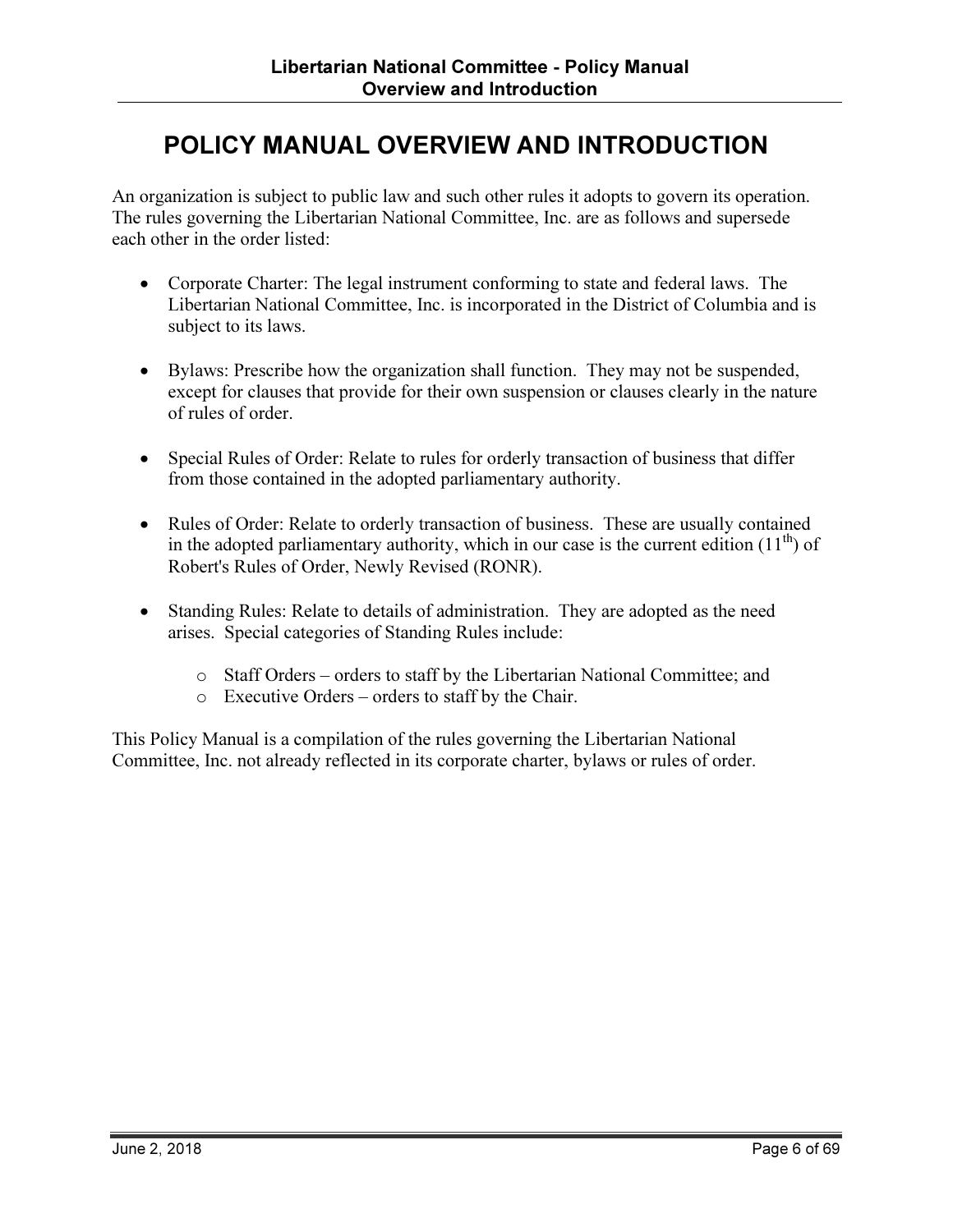# POLICY MANUAL OVERVIEW AND INTRODUCTION

An organization is subject to public law and such other rules it adopts to govern its operation. The rules governing the Libertarian National Committee, Inc. are as follows and supersede each other in the order listed:

- Corporate Charter: The legal instrument conforming to state and federal laws. The Libertarian National Committee, Inc. is incorporated in the District of Columbia and is subject to its laws.
- Bylaws: Prescribe how the organization shall function. They may not be suspended, except for clauses that provide for their own suspension or clauses clearly in the nature of rules of order.
- Special Rules of Order: Relate to rules for orderly transaction of business that differ from those contained in the adopted parliamentary authority.
- Rules of Order: Relate to orderly transaction of business. These are usually contained in the adopted parliamentary authority, which in our case is the current edition  $(11<sup>th</sup>)$  of Robert's Rules of Order, Newly Revised (RONR).
- Standing Rules: Relate to details of administration. They are adopted as the need arises. Special categories of Standing Rules include:
	- o Staff Orders orders to staff by the Libertarian National Committee; and
	- o Executive Orders orders to staff by the Chair.

This Policy Manual is a compilation of the rules governing the Libertarian National Committee, Inc. not already reflected in its corporate charter, bylaws or rules of order.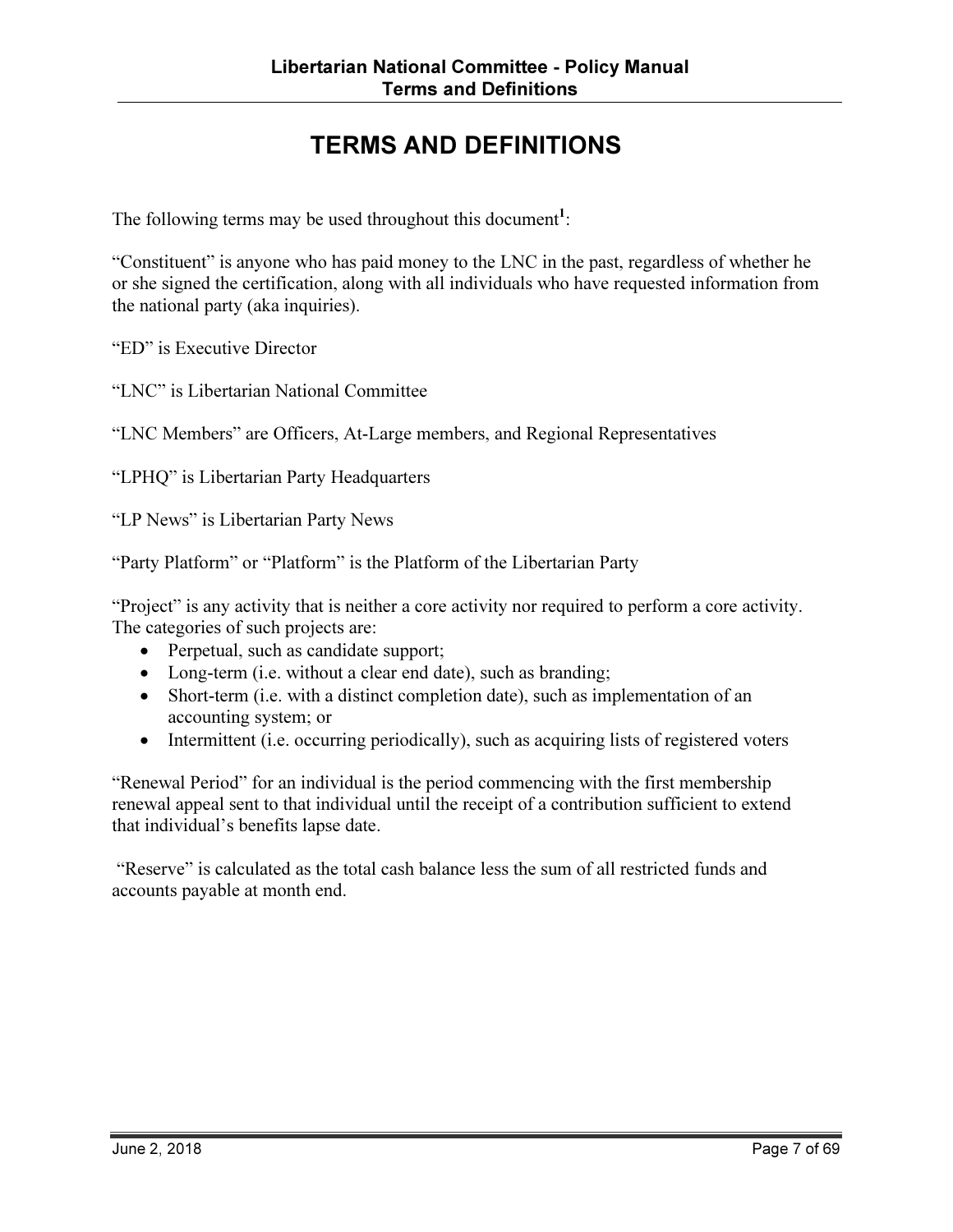# TERMS AND DEFINITIONS

The following terms may be used throughout this document<sup>1</sup>:

"Constituent" is anyone who has paid money to the LNC in the past, regardless of whether he or she signed the certification, along with all individuals who have requested information from the national party (aka inquiries).

"ED" is Executive Director

"LNC" is Libertarian National Committee

"LNC Members" are Officers, At-Large members, and Regional Representatives

"LPHQ" is Libertarian Party Headquarters

"LP News" is Libertarian Party News

"Party Platform" or "Platform" is the Platform of the Libertarian Party

"Project" is any activity that is neither a core activity nor required to perform a core activity. The categories of such projects are:

- Perpetual, such as candidate support;
- Long-term (i.e. without a clear end date), such as branding;
- Short-term (i.e. with a distinct completion date), such as implementation of an accounting system; or
- Intermittent (i.e. occurring periodically), such as acquiring lists of registered voters

"Renewal Period" for an individual is the period commencing with the first membership renewal appeal sent to that individual until the receipt of a contribution sufficient to extend that individual's benefits lapse date.

 "Reserve" is calculated as the total cash balance less the sum of all restricted funds and accounts payable at month end.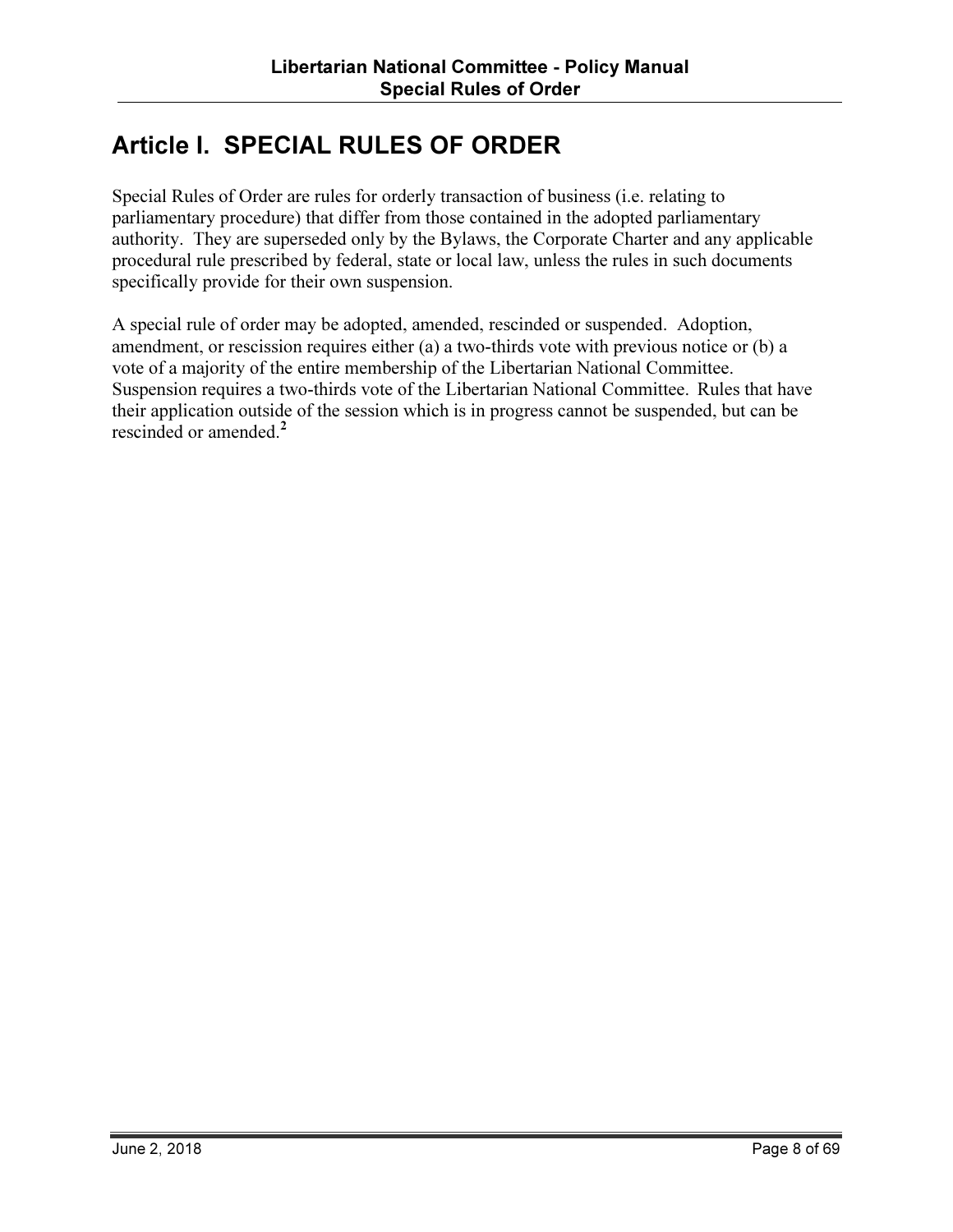# Article I. SPECIAL RULES OF ORDER

Special Rules of Order are rules for orderly transaction of business (i.e. relating to parliamentary procedure) that differ from those contained in the adopted parliamentary authority. They are superseded only by the Bylaws, the Corporate Charter and any applicable procedural rule prescribed by federal, state or local law, unless the rules in such documents specifically provide for their own suspension.

A special rule of order may be adopted, amended, rescinded or suspended. Adoption, amendment, or rescission requires either (a) a two-thirds vote with previous notice or (b) a vote of a majority of the entire membership of the Libertarian National Committee. Suspension requires a two-thirds vote of the Libertarian National Committee. Rules that have their application outside of the session which is in progress cannot be suspended, but can be rescinded or amended.<sup>2</sup>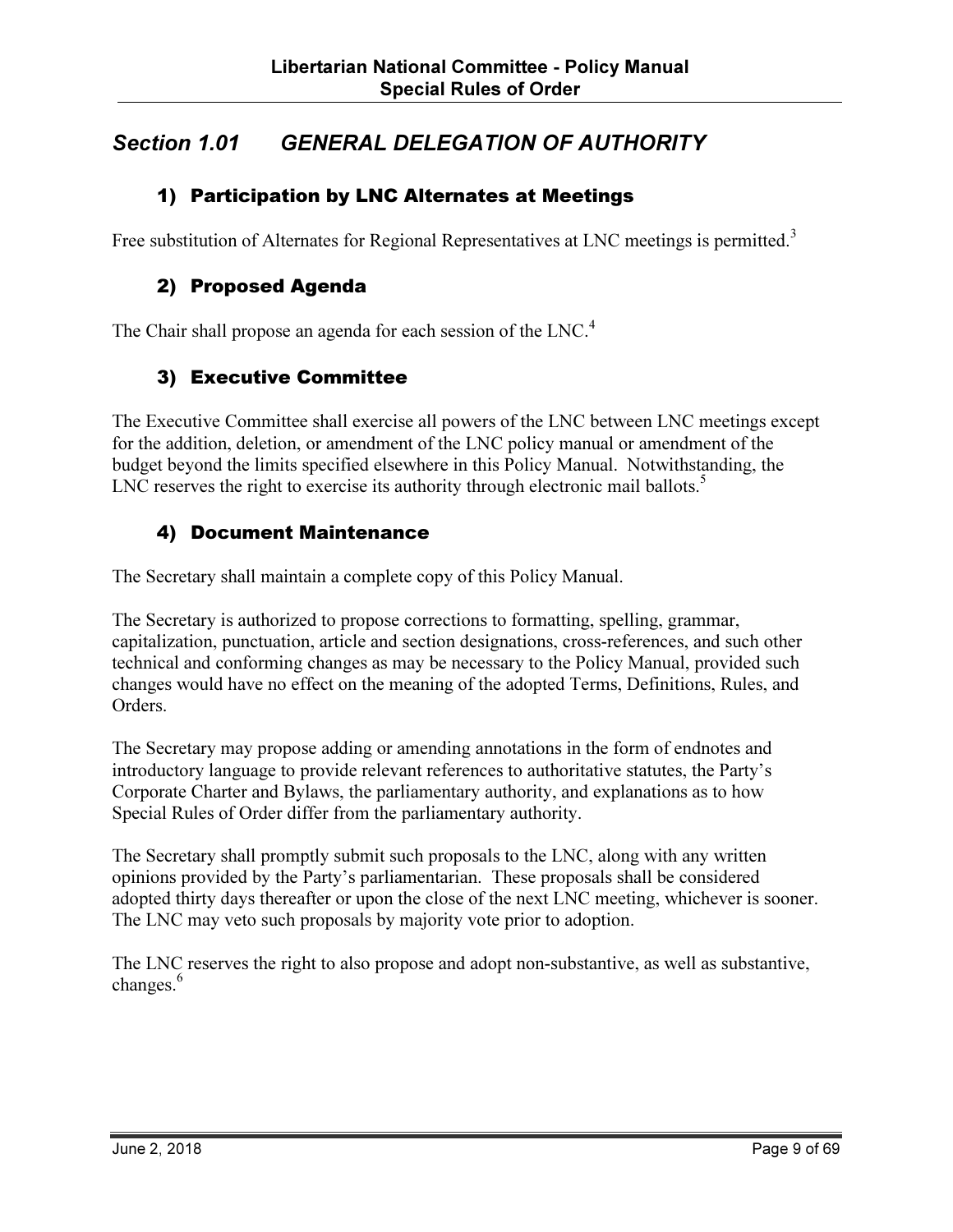# Section 1.01 GENERAL DELEGATION OF AUTHORITY

#### 1) Participation by LNC Alternates at Meetings

Free substitution of Alternates for Regional Representatives at LNC meetings is permitted.<sup>3</sup>

#### 2) Proposed Agenda

The Chair shall propose an agenda for each session of the LNC.<sup>4</sup>

#### 3) Executive Committee

The Executive Committee shall exercise all powers of the LNC between LNC meetings except for the addition, deletion, or amendment of the LNC policy manual or amendment of the budget beyond the limits specified elsewhere in this Policy Manual. Notwithstanding, the LNC reserves the right to exercise its authority through electronic mail ballots. $5$ 

#### 4) Document Maintenance

The Secretary shall maintain a complete copy of this Policy Manual.

The Secretary is authorized to propose corrections to formatting, spelling, grammar, capitalization, punctuation, article and section designations, cross-references, and such other technical and conforming changes as may be necessary to the Policy Manual, provided such changes would have no effect on the meaning of the adopted Terms, Definitions, Rules, and Orders.

The Secretary may propose adding or amending annotations in the form of endnotes and introductory language to provide relevant references to authoritative statutes, the Party's Corporate Charter and Bylaws, the parliamentary authority, and explanations as to how Special Rules of Order differ from the parliamentary authority.

The Secretary shall promptly submit such proposals to the LNC, along with any written opinions provided by the Party's parliamentarian. These proposals shall be considered adopted thirty days thereafter or upon the close of the next LNC meeting, whichever is sooner. The LNC may veto such proposals by majority vote prior to adoption.

The LNC reserves the right to also propose and adopt non-substantive, as well as substantive, changes.<sup>6</sup>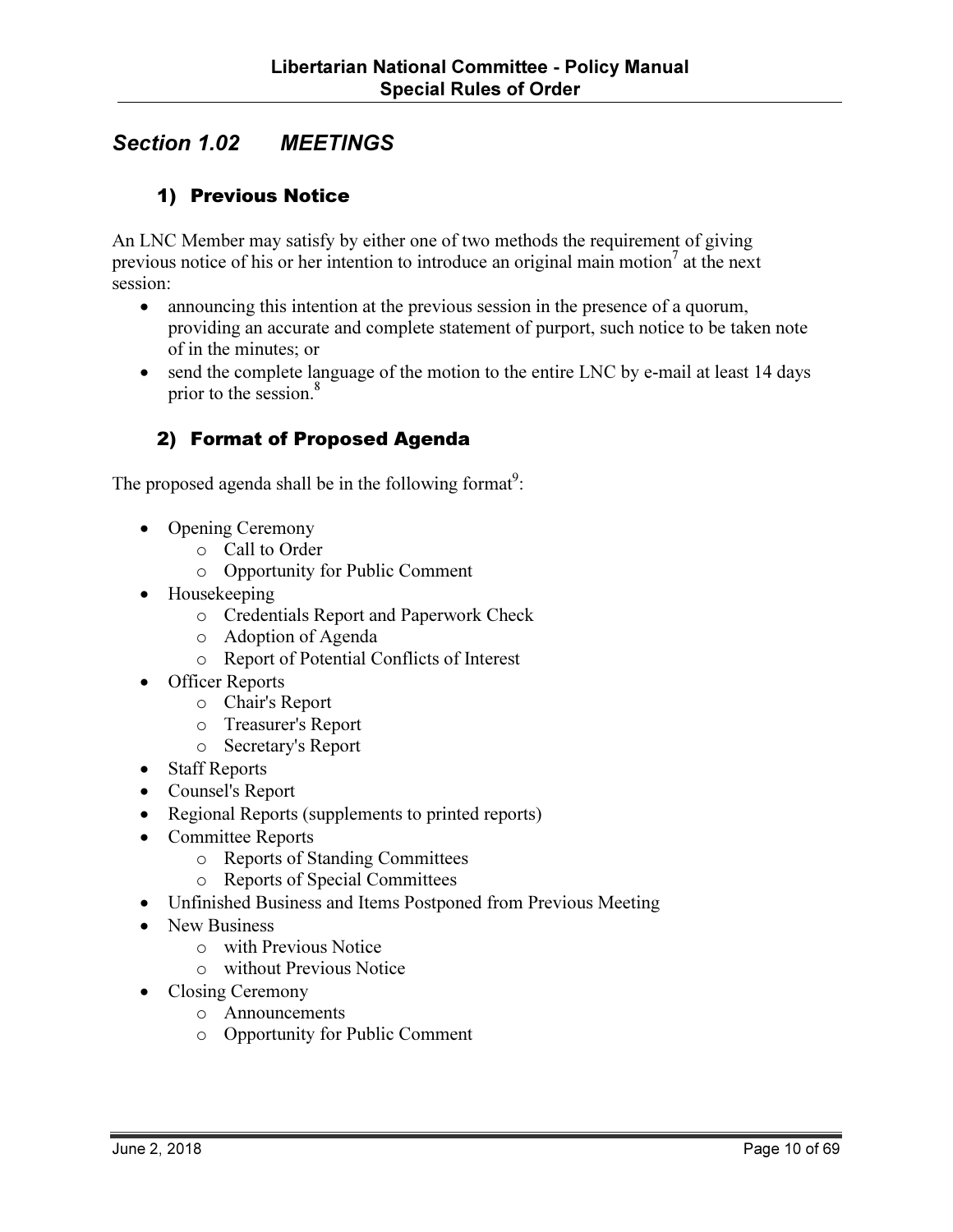# Section 1.02 MEETINGS

#### 1) Previous Notice

An LNC Member may satisfy by either one of two methods the requirement of giving previous notice of his or her intention to introduce an original main motion<sup>7</sup> at the next session:

- announcing this intention at the previous session in the presence of a quorum, providing an accurate and complete statement of purport, such notice to be taken note of in the minutes; or
- send the complete language of the motion to the entire LNC by e-mail at least 14 days prior to the session.<sup>8</sup>

#### 2) Format of Proposed Agenda

The proposed agenda shall be in the following format<sup>9</sup>:

- Opening Ceremony
	- o Call to Order
	- o Opportunity for Public Comment
- Housekeeping
	- o Credentials Report and Paperwork Check
	- o Adoption of Agenda
	- o Report of Potential Conflicts of Interest
- Officer Reports
	- o Chair's Report
	- o Treasurer's Report
	- o Secretary's Report
- Staff Reports
- Counsel's Report
- Regional Reports (supplements to printed reports)
- Committee Reports
	- o Reports of Standing Committees
	- o Reports of Special Committees
- Unfinished Business and Items Postponed from Previous Meeting
- New Business
	- o with Previous Notice
	- o without Previous Notice
- Closing Ceremony
	- o Announcements
	- o Opportunity for Public Comment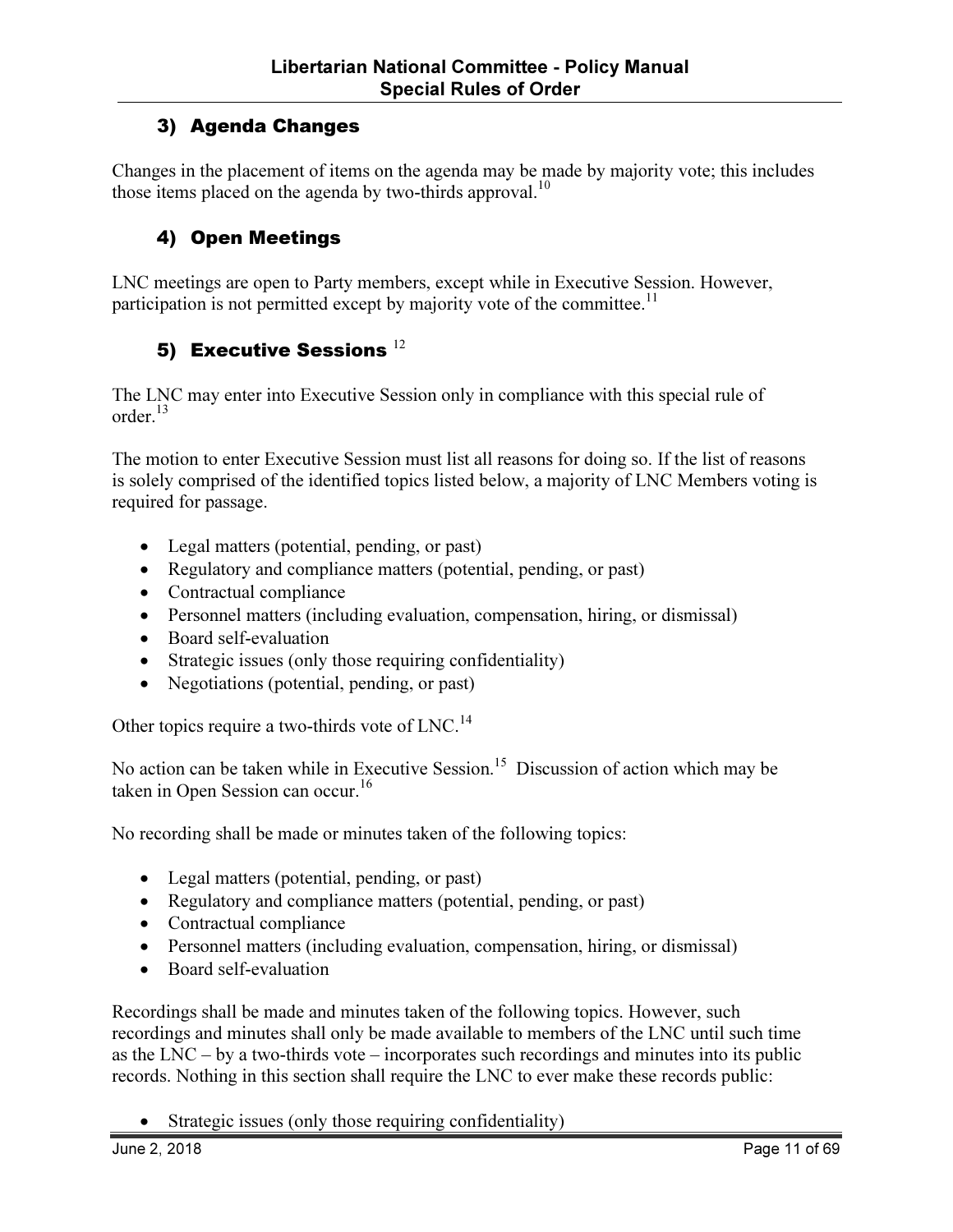#### 3) Agenda Changes

Changes in the placement of items on the agenda may be made by majority vote; this includes those items placed on the agenda by two-thirds approval.<sup>10</sup>

#### 4) Open Meetings

LNC meetings are open to Party members, except while in Executive Session. However, participation is not permitted except by majority vote of the committee.<sup>11</sup>

#### 5) Executive Sessions  $^{12}$

The LNC may enter into Executive Session only in compliance with this special rule of order. $13$ 

The motion to enter Executive Session must list all reasons for doing so. If the list of reasons is solely comprised of the identified topics listed below, a majority of LNC Members voting is required for passage.

- Legal matters (potential, pending, or past)
- Regulatory and compliance matters (potential, pending, or past)
- Contractual compliance
- Personnel matters (including evaluation, compensation, hiring, or dismissal)
- Board self-evaluation
- Strategic issues (only those requiring confidentiality)
- Negotiations (potential, pending, or past)

Other topics require a two-thirds vote of LNC.<sup>14</sup>

No action can be taken while in Executive Session.<sup>15</sup> Discussion of action which may be taken in Open Session can occur.<sup>16</sup>

No recording shall be made or minutes taken of the following topics:

- Legal matters (potential, pending, or past)
- Regulatory and compliance matters (potential, pending, or past)
- Contractual compliance
- Personnel matters (including evaluation, compensation, hiring, or dismissal)
- Board self-evaluation

Recordings shall be made and minutes taken of the following topics. However, such recordings and minutes shall only be made available to members of the LNC until such time as the LNC – by a two-thirds vote – incorporates such recordings and minutes into its public records. Nothing in this section shall require the LNC to ever make these records public:

• Strategic issues (only those requiring confidentiality)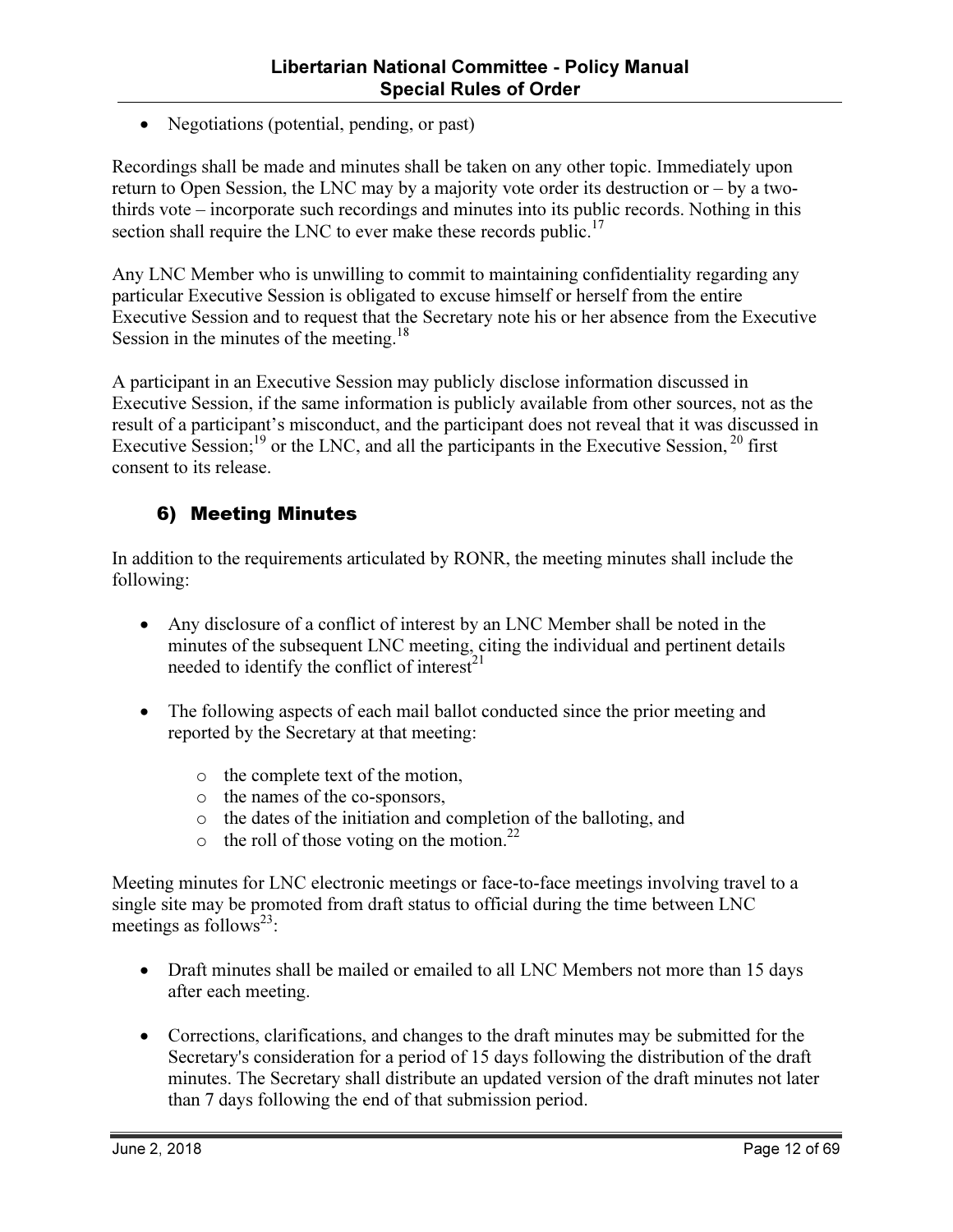• Negotiations (potential, pending, or past)

Recordings shall be made and minutes shall be taken on any other topic. Immediately upon return to Open Session, the LNC may by a majority vote order its destruction or – by a twothirds vote – incorporate such recordings and minutes into its public records. Nothing in this section shall require the LNC to ever make these records public.<sup>17</sup>

Any LNC Member who is unwilling to commit to maintaining confidentiality regarding any particular Executive Session is obligated to excuse himself or herself from the entire Executive Session and to request that the Secretary note his or her absence from the Executive Session in the minutes of the meeting.<sup>18</sup>

A participant in an Executive Session may publicly disclose information discussed in Executive Session, if the same information is publicly available from other sources, not as the result of a participant's misconduct, and the participant does not reveal that it was discussed in Executive Session;<sup>19</sup> or the LNC, and all the participants in the Executive Session,<sup>20</sup> first consent to its release.

#### 6) Meeting Minutes

In addition to the requirements articulated by RONR, the meeting minutes shall include the following:

- Any disclosure of a conflict of interest by an LNC Member shall be noted in the minutes of the subsequent LNC meeting, citing the individual and pertinent details needed to identify the conflict of interest $^{21}$
- The following aspects of each mail ballot conducted since the prior meeting and reported by the Secretary at that meeting:
	- o the complete text of the motion,
	- o the names of the co-sponsors,
	- o the dates of the initiation and completion of the balloting, and
	- $\circ$  the roll of those voting on the motion.<sup>22</sup>

Meeting minutes for LNC electronic meetings or face-to-face meetings involving travel to a single site may be promoted from draft status to official during the time between LNC meetings as follows<sup>23</sup>:

- Draft minutes shall be mailed or emailed to all LNC Members not more than 15 days after each meeting.
- Corrections, clarifications, and changes to the draft minutes may be submitted for the Secretary's consideration for a period of 15 days following the distribution of the draft minutes. The Secretary shall distribute an updated version of the draft minutes not later than 7 days following the end of that submission period.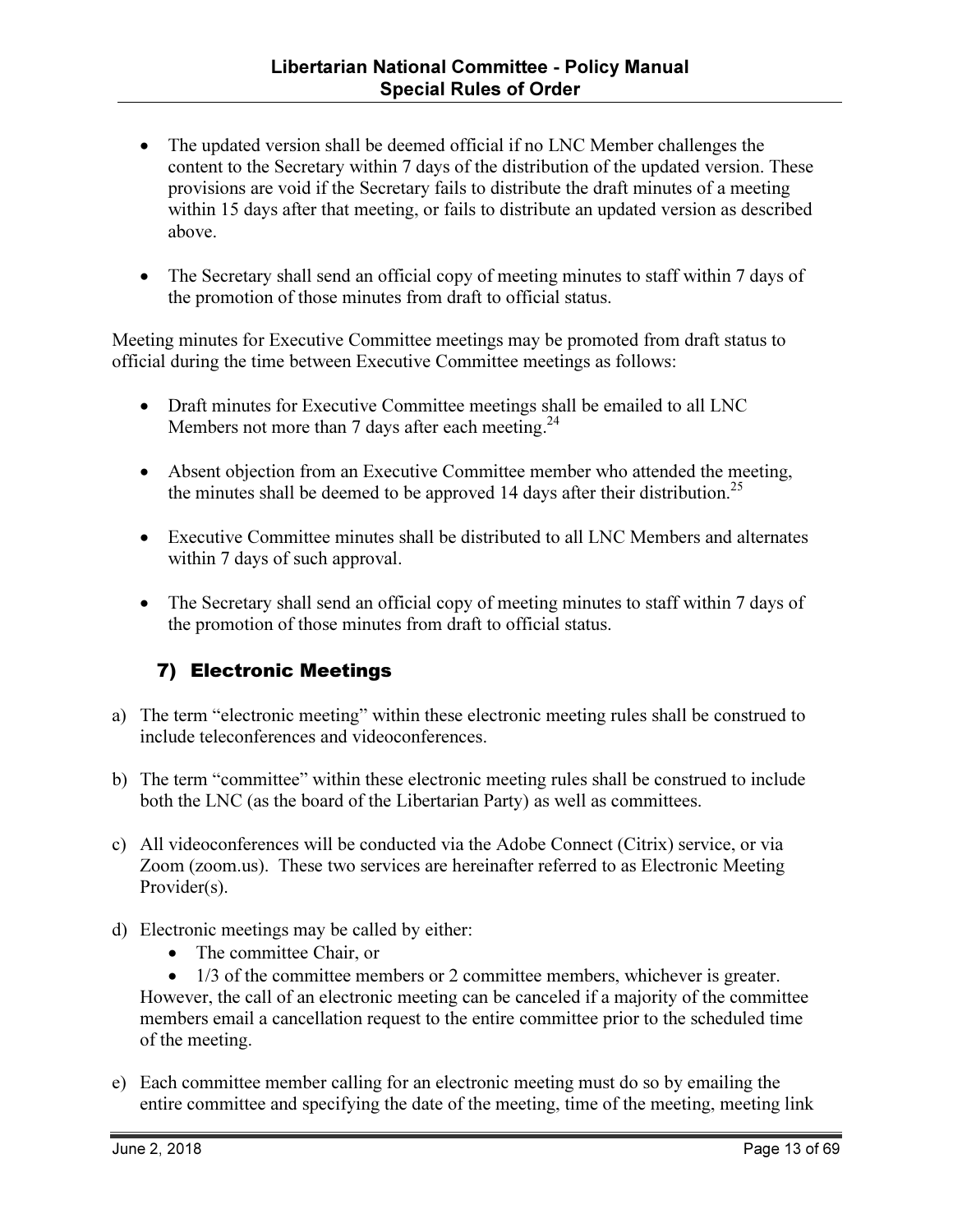- The updated version shall be deemed official if no LNC Member challenges the content to the Secretary within 7 days of the distribution of the updated version. These provisions are void if the Secretary fails to distribute the draft minutes of a meeting within 15 days after that meeting, or fails to distribute an updated version as described above.
- The Secretary shall send an official copy of meeting minutes to staff within 7 days of the promotion of those minutes from draft to official status.

Meeting minutes for Executive Committee meetings may be promoted from draft status to official during the time between Executive Committee meetings as follows:

- Draft minutes for Executive Committee meetings shall be emailed to all LNC Members not more than 7 days after each meeting.<sup>24</sup>
- Absent objection from an Executive Committee member who attended the meeting, the minutes shall be deemed to be approved 14 days after their distribution.<sup>25</sup>
- Executive Committee minutes shall be distributed to all LNC Members and alternates within 7 days of such approval.
- The Secretary shall send an official copy of meeting minutes to staff within 7 days of the promotion of those minutes from draft to official status.

#### 7) Electronic Meetings

- a) The term "electronic meeting" within these electronic meeting rules shall be construed to include teleconferences and videoconferences.
- b) The term "committee" within these electronic meeting rules shall be construed to include both the LNC (as the board of the Libertarian Party) as well as committees.
- c) All videoconferences will be conducted via the Adobe Connect (Citrix) service, or via Zoom (zoom.us). These two services are hereinafter referred to as Electronic Meeting Provider(s).
- d) Electronic meetings may be called by either:
	- The committee Chair, or
	- 1/3 of the committee members or 2 committee members, whichever is greater. However, the call of an electronic meeting can be canceled if a majority of the committee members email a cancellation request to the entire committee prior to the scheduled time of the meeting.
- e) Each committee member calling for an electronic meeting must do so by emailing the entire committee and specifying the date of the meeting, time of the meeting, meeting link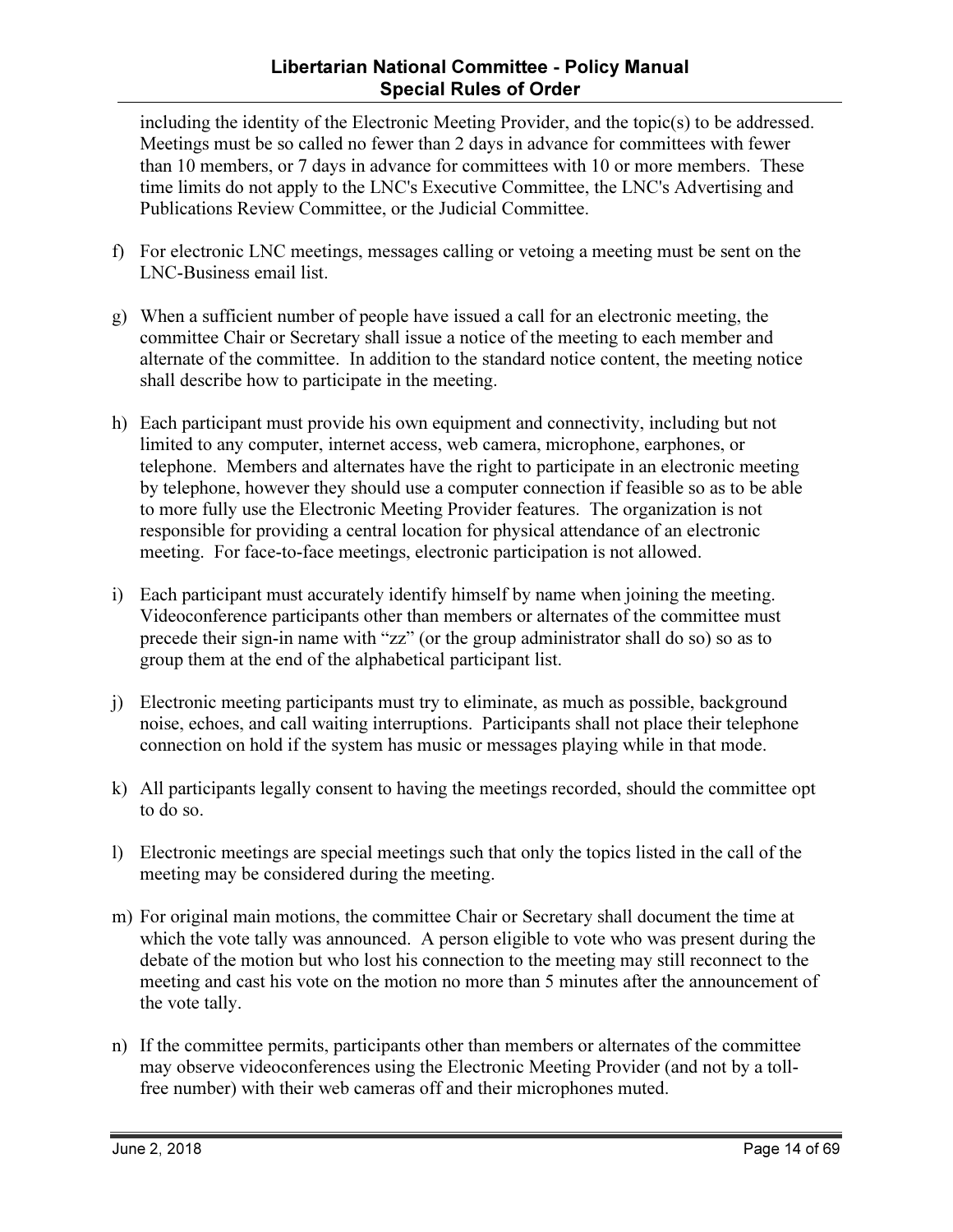#### Libertarian National Committee - Policy Manual Special Rules of Order

including the identity of the Electronic Meeting Provider, and the topic(s) to be addressed. Meetings must be so called no fewer than 2 days in advance for committees with fewer than 10 members, or 7 days in advance for committees with 10 or more members. These time limits do not apply to the LNC's Executive Committee, the LNC's Advertising and Publications Review Committee, or the Judicial Committee.

- f) For electronic LNC meetings, messages calling or vetoing a meeting must be sent on the LNC-Business email list.
- g) When a sufficient number of people have issued a call for an electronic meeting, the committee Chair or Secretary shall issue a notice of the meeting to each member and alternate of the committee. In addition to the standard notice content, the meeting notice shall describe how to participate in the meeting.
- h) Each participant must provide his own equipment and connectivity, including but not limited to any computer, internet access, web camera, microphone, earphones, or telephone. Members and alternates have the right to participate in an electronic meeting by telephone, however they should use a computer connection if feasible so as to be able to more fully use the Electronic Meeting Provider features. The organization is not responsible for providing a central location for physical attendance of an electronic meeting. For face-to-face meetings, electronic participation is not allowed.
- i) Each participant must accurately identify himself by name when joining the meeting. Videoconference participants other than members or alternates of the committee must precede their sign-in name with "zz" (or the group administrator shall do so) so as to group them at the end of the alphabetical participant list.
- j) Electronic meeting participants must try to eliminate, as much as possible, background noise, echoes, and call waiting interruptions. Participants shall not place their telephone connection on hold if the system has music or messages playing while in that mode.
- k) All participants legally consent to having the meetings recorded, should the committee opt to do so.
- l) Electronic meetings are special meetings such that only the topics listed in the call of the meeting may be considered during the meeting.
- m) For original main motions, the committee Chair or Secretary shall document the time at which the vote tally was announced. A person eligible to vote who was present during the debate of the motion but who lost his connection to the meeting may still reconnect to the meeting and cast his vote on the motion no more than 5 minutes after the announcement of the vote tally.
- n) If the committee permits, participants other than members or alternates of the committee may observe videoconferences using the Electronic Meeting Provider (and not by a tollfree number) with their web cameras off and their microphones muted.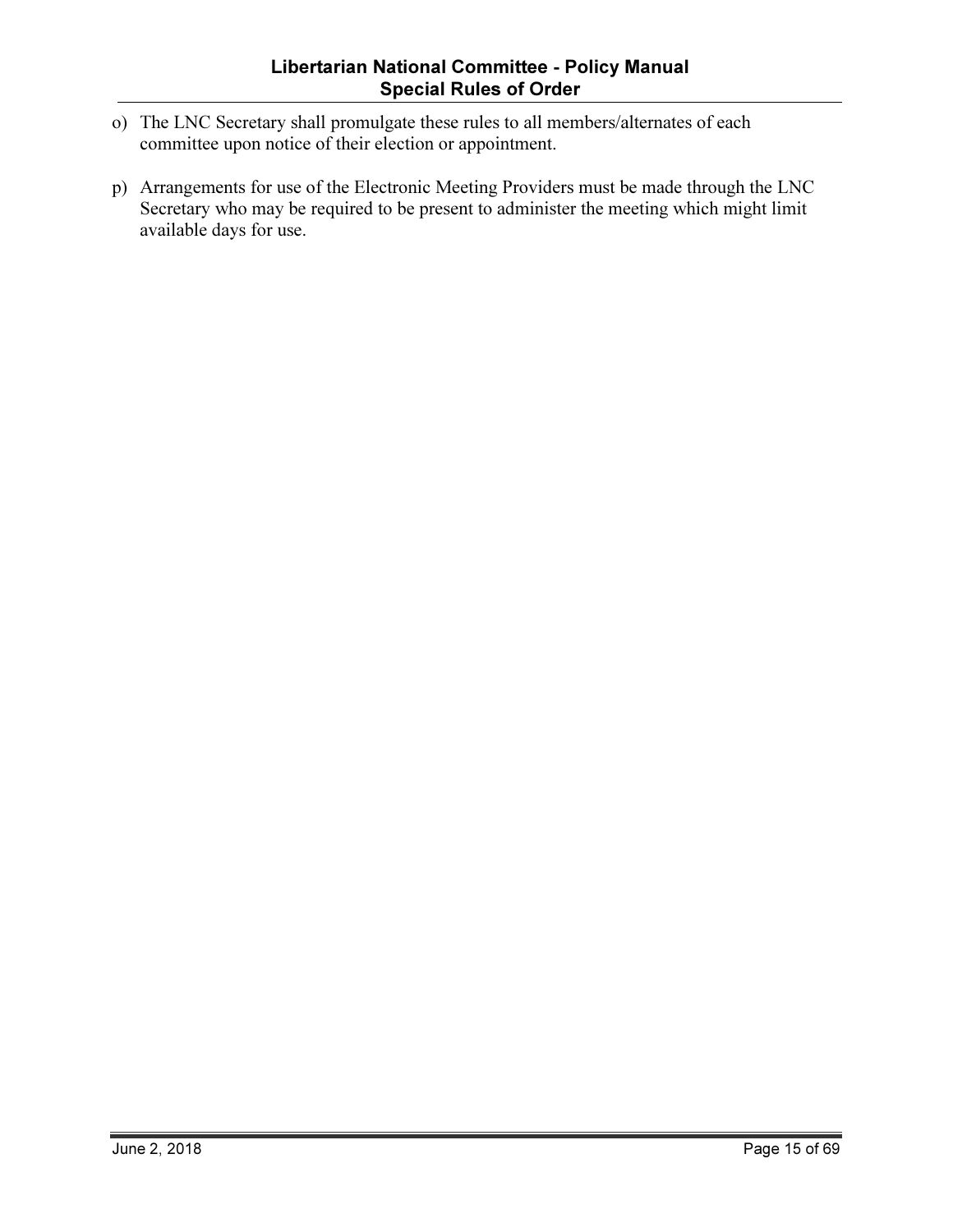- o) The LNC Secretary shall promulgate these rules to all members/alternates of each committee upon notice of their election or appointment.
- p) Arrangements for use of the Electronic Meeting Providers must be made through the LNC Secretary who may be required to be present to administer the meeting which might limit available days for use.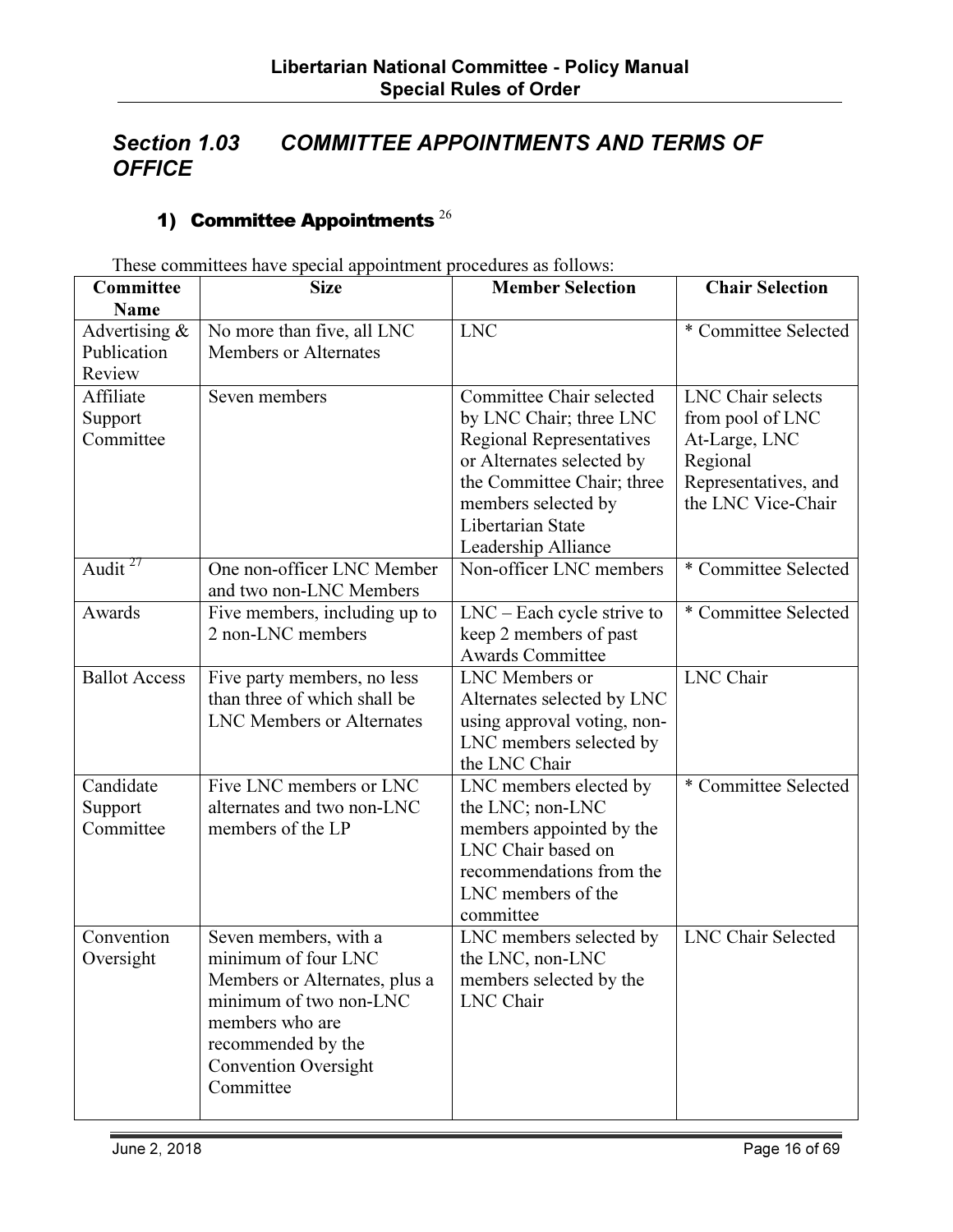# Section 1.03 COMMITTEE APPOINTMENTS AND TERMS OF **OFFICE**

# 1) Committee Appointments  $^{26}$

| Committee<br><b>Name</b>                  | rnese commutees have special appointment procedures as follows.<br><b>Size</b>                                                                                                               | <b>Member Selection</b>                                                                                                                                                                                              | <b>Chair Selection</b>                                                                                                  |
|-------------------------------------------|----------------------------------------------------------------------------------------------------------------------------------------------------------------------------------------------|----------------------------------------------------------------------------------------------------------------------------------------------------------------------------------------------------------------------|-------------------------------------------------------------------------------------------------------------------------|
| Advertising $\&$<br>Publication<br>Review | No more than five, all LNC<br><b>Members or Alternates</b>                                                                                                                                   | <b>LNC</b>                                                                                                                                                                                                           | * Committee Selected                                                                                                    |
| Affiliate<br>Support<br>Committee         | Seven members                                                                                                                                                                                | Committee Chair selected<br>by LNC Chair; three LNC<br><b>Regional Representatives</b><br>or Alternates selected by<br>the Committee Chair; three<br>members selected by<br>Libertarian State<br>Leadership Alliance | <b>LNC</b> Chair selects<br>from pool of LNC<br>At-Large, LNC<br>Regional<br>Representatives, and<br>the LNC Vice-Chair |
| Audit $^{27}$                             | One non-officer LNC Member<br>and two non-LNC Members                                                                                                                                        | Non-officer LNC members                                                                                                                                                                                              | * Committee Selected                                                                                                    |
| Awards                                    | Five members, including up to<br>2 non-LNC members                                                                                                                                           | $LNC$ – Each cycle strive to<br>keep 2 members of past<br><b>Awards Committee</b>                                                                                                                                    | * Committee Selected                                                                                                    |
| <b>Ballot Access</b>                      | Five party members, no less<br>than three of which shall be<br><b>LNC Members or Alternates</b>                                                                                              | LNC Members or<br>Alternates selected by LNC<br>using approval voting, non-<br>LNC members selected by<br>the LNC Chair                                                                                              | <b>LNC</b> Chair                                                                                                        |
| Candidate<br>Support<br>Committee         | Five LNC members or LNC<br>alternates and two non-LNC<br>members of the LP                                                                                                                   | LNC members elected by<br>the LNC; non-LNC<br>members appointed by the<br>LNC Chair based on<br>recommendations from the<br>LNC members of the<br>committee                                                          | * Committee Selected                                                                                                    |
| Convention<br>Oversight                   | Seven members, with a<br>minimum of four LNC<br>Members or Alternates, plus a<br>minimum of two non-LNC<br>members who are<br>recommended by the<br><b>Convention Oversight</b><br>Committee | LNC members selected by<br>the LNC, non-LNC<br>members selected by the<br>LNC Chair                                                                                                                                  | <b>LNC Chair Selected</b>                                                                                               |

These committees have special appointment procedures as follows: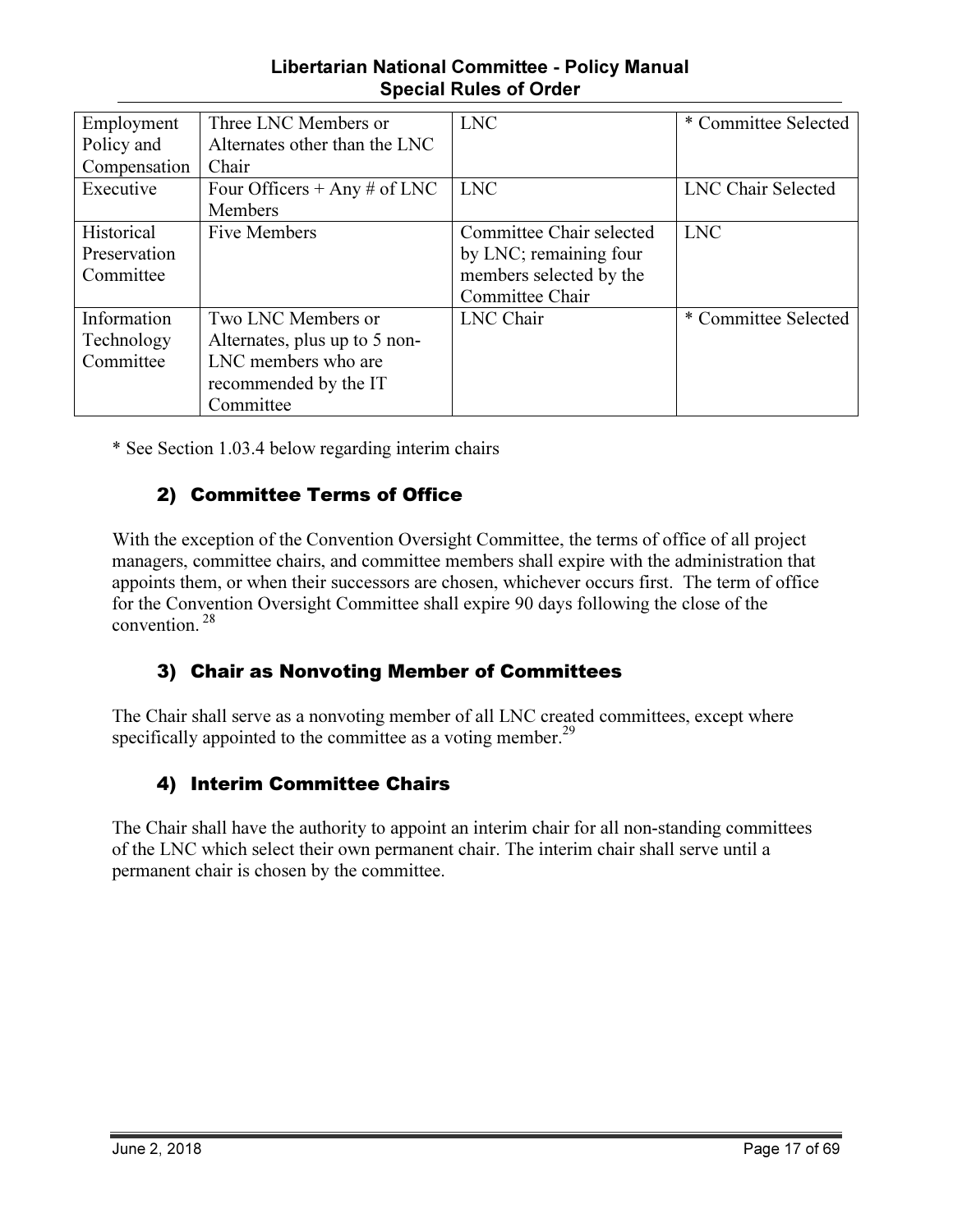#### Libertarian National Committee - Policy Manual Special Rules of Order

| Employment   | Three LNC Members or          | <b>LNC</b>               | * Committee Selected |
|--------------|-------------------------------|--------------------------|----------------------|
| Policy and   | Alternates other than the LNC |                          |                      |
| Compensation | Chair                         |                          |                      |
| Executive    | Four Officers + Any # of LNC  | <b>LNC</b>               | LNC Chair Selected   |
|              | Members                       |                          |                      |
| Historical   | Five Members                  | Committee Chair selected | <b>LNC</b>           |
| Preservation |                               | by LNC; remaining four   |                      |
| Committee    |                               | members selected by the  |                      |
|              |                               | Committee Chair          |                      |
| Information  | Two LNC Members or            | LNC Chair                | * Committee Selected |
| Technology   | Alternates, plus up to 5 non- |                          |                      |
| Committee    | LNC members who are           |                          |                      |
|              | recommended by the IT         |                          |                      |
|              | Committee                     |                          |                      |

\* See Section 1.03.4 below regarding interim chairs

#### 2) Committee Terms of Office

With the exception of the Convention Oversight Committee, the terms of office of all project managers, committee chairs, and committee members shall expire with the administration that appoints them, or when their successors are chosen, whichever occurs first. The term of office for the Convention Oversight Committee shall expire 90 days following the close of the convention.<sup>28</sup>

#### 3) Chair as Nonvoting Member of Committees

The Chair shall serve as a nonvoting member of all LNC created committees, except where specifically appointed to the committee as a voting member.<sup>29</sup>

#### 4) Interim Committee Chairs

The Chair shall have the authority to appoint an interim chair for all non-standing committees of the LNC which select their own permanent chair. The interim chair shall serve until a permanent chair is chosen by the committee.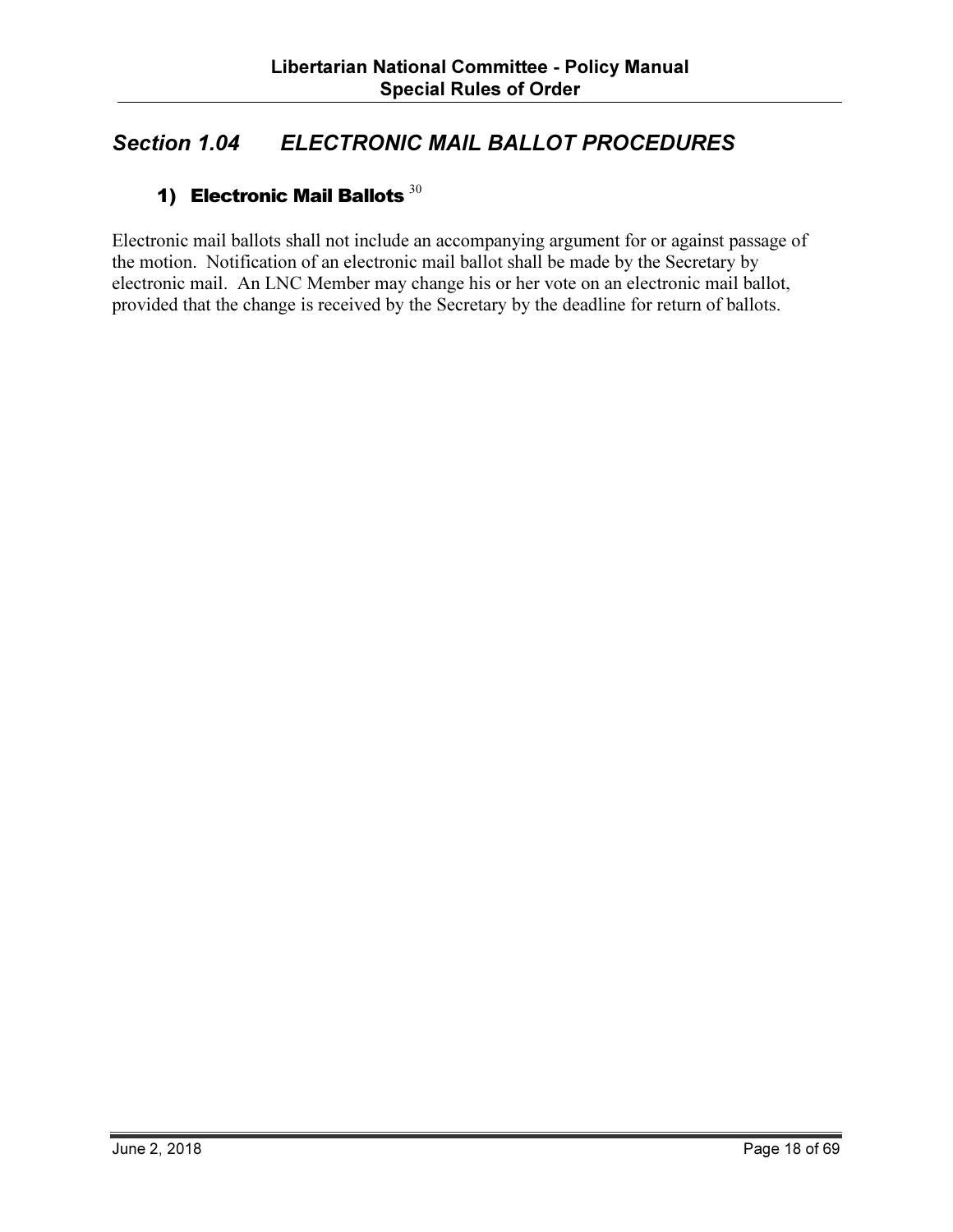# Section 1.04 ELECTRONIC MAIL BALLOT PROCEDURES

### 1) Electronic Mail Ballots  $30$

Electronic mail ballots shall not include an accompanying argument for or against passage of the motion. Notification of an electronic mail ballot shall be made by the Secretary by electronic mail. An LNC Member may change his or her vote on an electronic mail ballot, provided that the change is received by the Secretary by the deadline for return of ballots.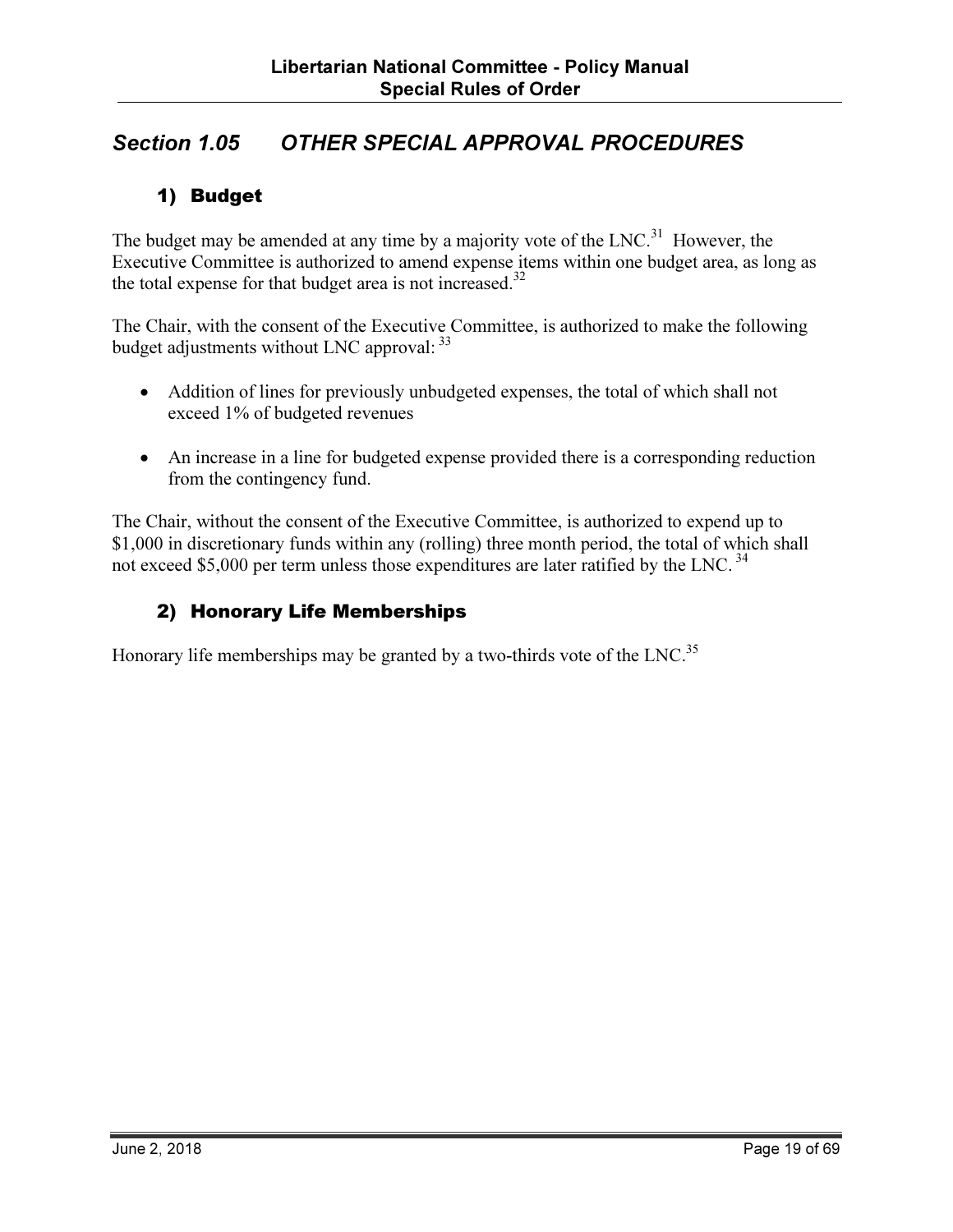# Section 1.05 OTHER SPECIAL APPROVAL PROCEDURES

#### 1) Budget

The budget may be amended at any time by a majority vote of the  $LNC<sup>31</sup>$  However, the Executive Committee is authorized to amend expense items within one budget area, as long as the total expense for that budget area is not increased.<sup>32</sup>

The Chair, with the consent of the Executive Committee, is authorized to make the following budget adjustments without LNC approval:  $33$ 

- Addition of lines for previously unbudgeted expenses, the total of which shall not exceed 1% of budgeted revenues
- An increase in a line for budgeted expense provided there is a corresponding reduction from the contingency fund.

The Chair, without the consent of the Executive Committee, is authorized to expend up to \$1,000 in discretionary funds within any (rolling) three month period, the total of which shall not exceed \$5,000 per term unless those expenditures are later ratified by the LNC.<sup>34</sup>

#### 2) Honorary Life Memberships

Honorary life memberships may be granted by a two-thirds vote of the LNC.<sup>35</sup>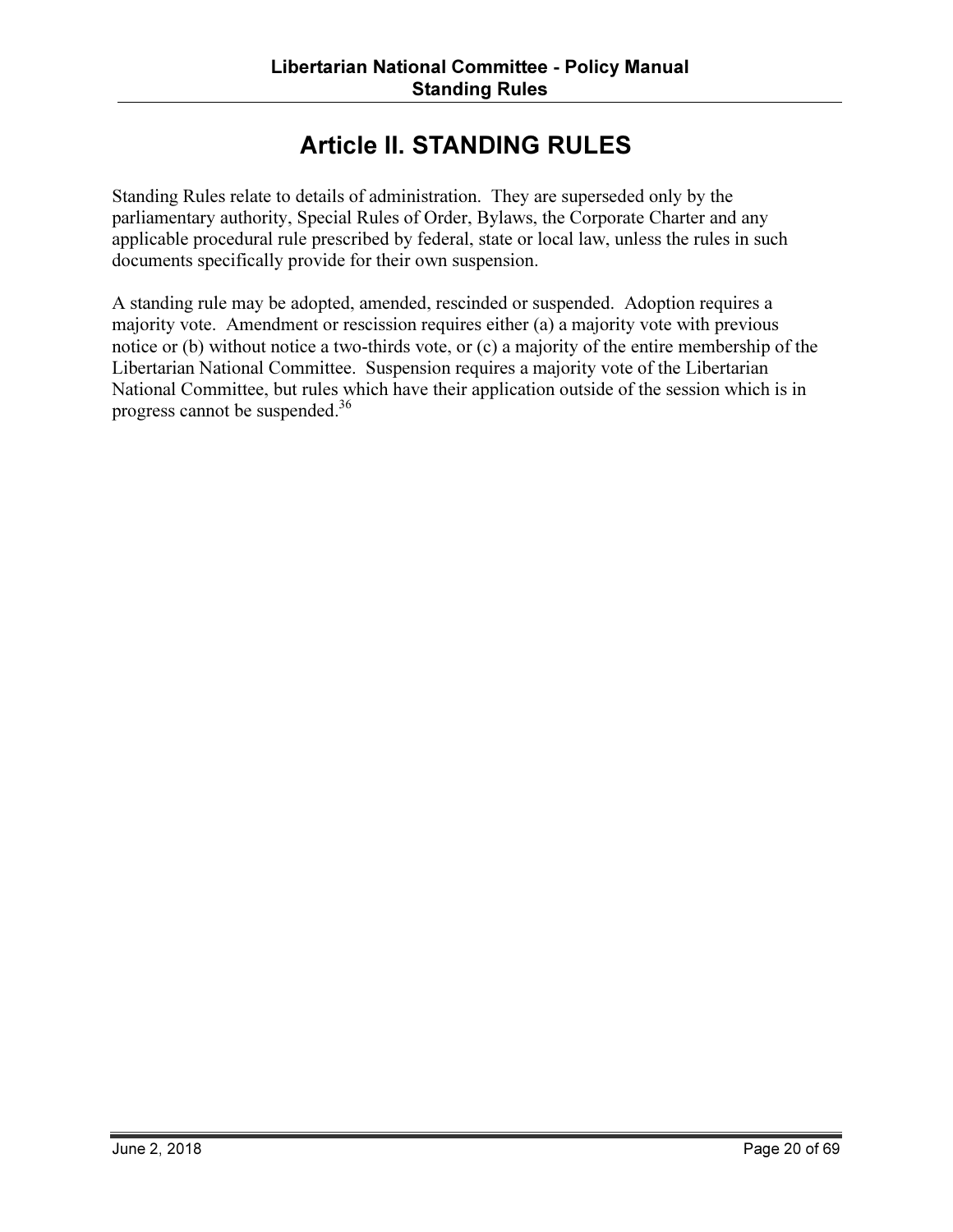# Article II. STANDING RULES

Standing Rules relate to details of administration. They are superseded only by the parliamentary authority, Special Rules of Order, Bylaws, the Corporate Charter and any applicable procedural rule prescribed by federal, state or local law, unless the rules in such documents specifically provide for their own suspension.

A standing rule may be adopted, amended, rescinded or suspended. Adoption requires a majority vote. Amendment or rescission requires either (a) a majority vote with previous notice or (b) without notice a two-thirds vote, or (c) a majority of the entire membership of the Libertarian National Committee. Suspension requires a majority vote of the Libertarian National Committee, but rules which have their application outside of the session which is in progress cannot be suspended.<sup>36</sup>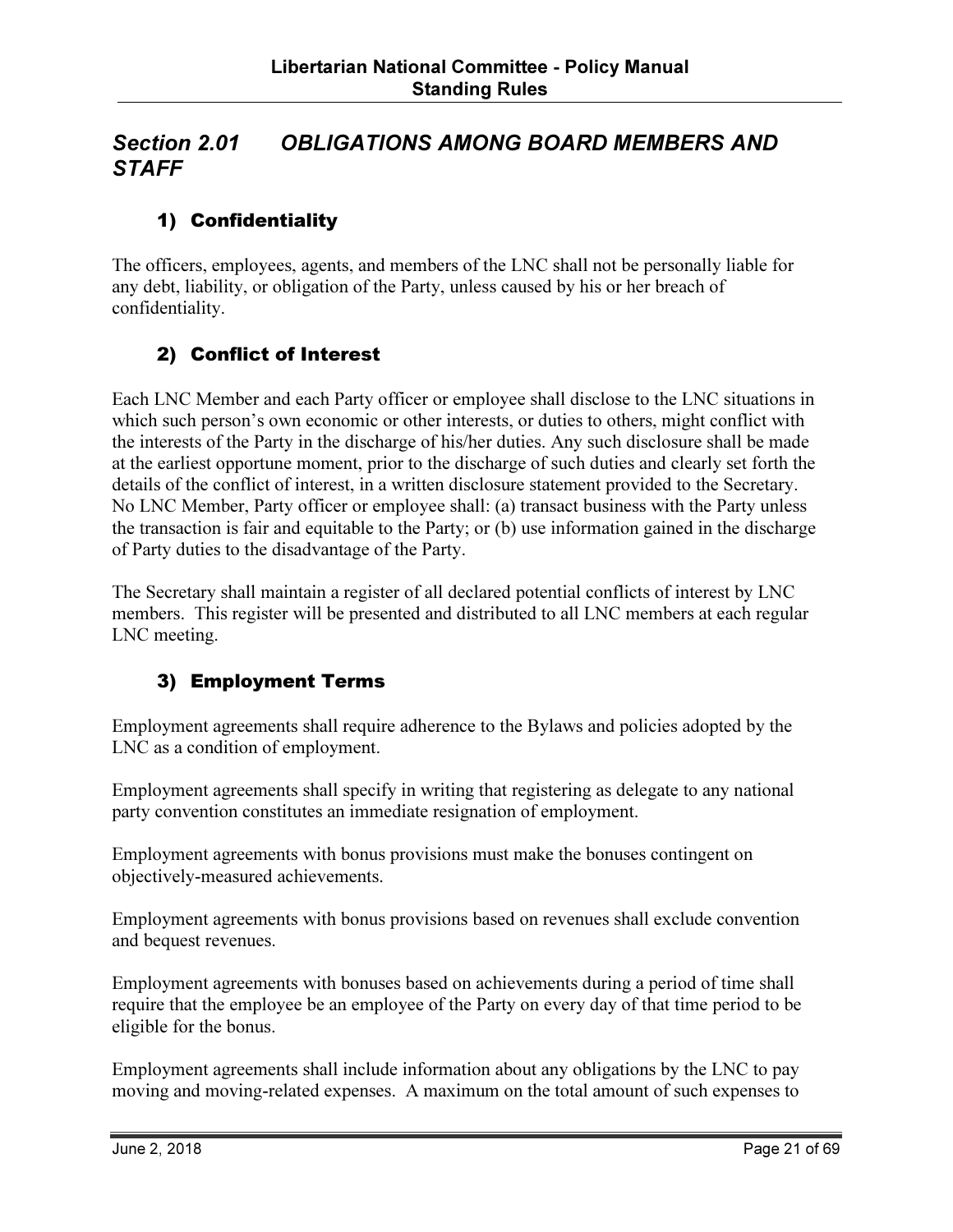### Section 2.01 OBLIGATIONS AMONG BOARD MEMBERS AND **STAFF**

### 1) Confidentiality

The officers, employees, agents, and members of the LNC shall not be personally liable for any debt, liability, or obligation of the Party, unless caused by his or her breach of confidentiality.

#### 2) Conflict of Interest

Each LNC Member and each Party officer or employee shall disclose to the LNC situations in which such person's own economic or other interests, or duties to others, might conflict with the interests of the Party in the discharge of his/her duties. Any such disclosure shall be made at the earliest opportune moment, prior to the discharge of such duties and clearly set forth the details of the conflict of interest, in a written disclosure statement provided to the Secretary. No LNC Member, Party officer or employee shall: (a) transact business with the Party unless the transaction is fair and equitable to the Party; or (b) use information gained in the discharge of Party duties to the disadvantage of the Party.

The Secretary shall maintain a register of all declared potential conflicts of interest by LNC members. This register will be presented and distributed to all LNC members at each regular LNC meeting.

#### 3) Employment Terms

Employment agreements shall require adherence to the Bylaws and policies adopted by the LNC as a condition of employment.

Employment agreements shall specify in writing that registering as delegate to any national party convention constitutes an immediate resignation of employment.

Employment agreements with bonus provisions must make the bonuses contingent on objectively-measured achievements.

Employment agreements with bonus provisions based on revenues shall exclude convention and bequest revenues.

Employment agreements with bonuses based on achievements during a period of time shall require that the employee be an employee of the Party on every day of that time period to be eligible for the bonus.

Employment agreements shall include information about any obligations by the LNC to pay moving and moving-related expenses. A maximum on the total amount of such expenses to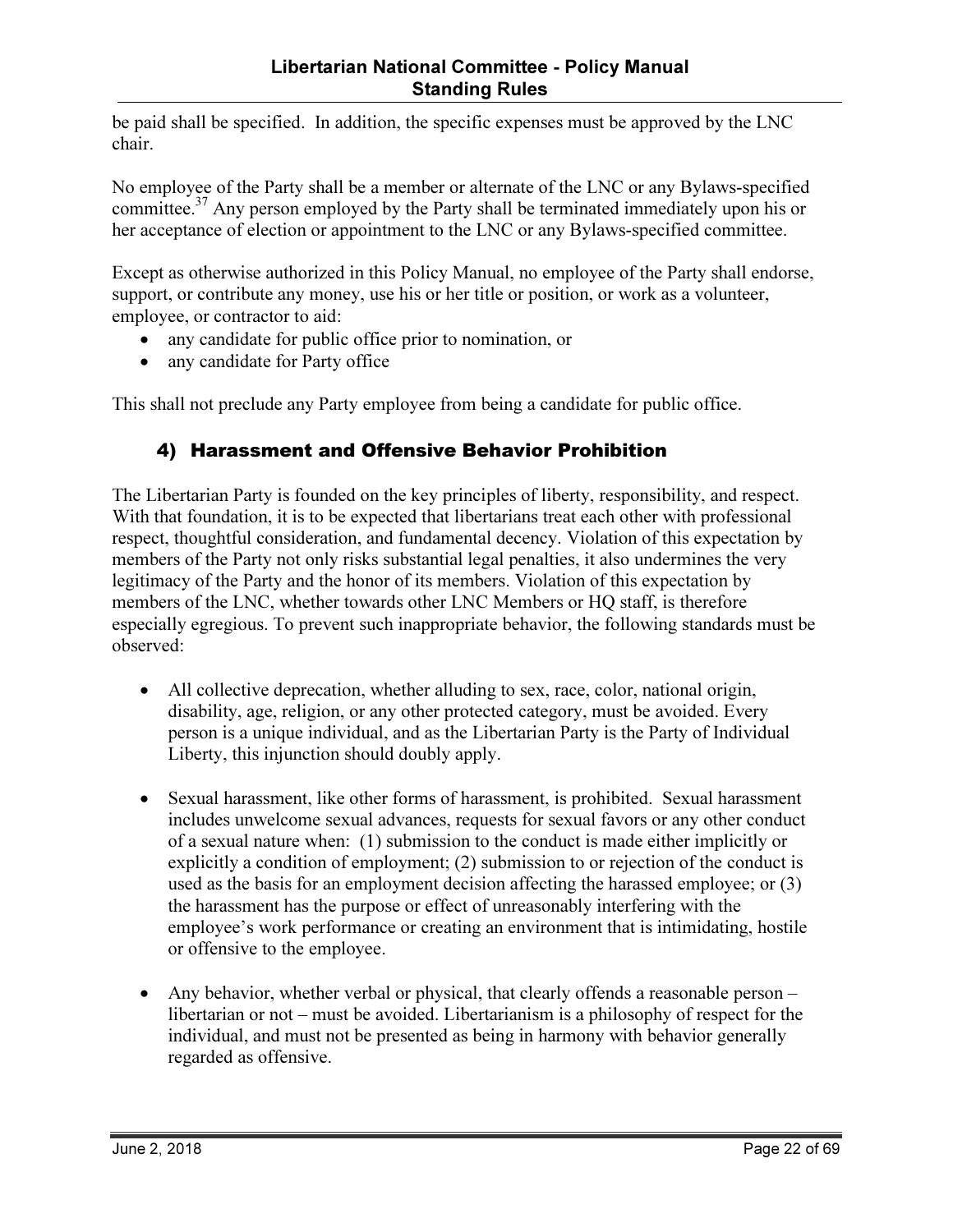be paid shall be specified. In addition, the specific expenses must be approved by the LNC chair.

No employee of the Party shall be a member or alternate of the LNC or any Bylaws-specified committee.<sup>37</sup> Any person employed by the Party shall be terminated immediately upon his or her acceptance of election or appointment to the LNC or any Bylaws-specified committee.

Except as otherwise authorized in this Policy Manual, no employee of the Party shall endorse, support, or contribute any money, use his or her title or position, or work as a volunteer, employee, or contractor to aid:

- any candidate for public office prior to nomination, or
- any candidate for Party office

This shall not preclude any Party employee from being a candidate for public office.

#### 4) Harassment and Offensive Behavior Prohibition

The Libertarian Party is founded on the key principles of liberty, responsibility, and respect. With that foundation, it is to be expected that libertarians treat each other with professional respect, thoughtful consideration, and fundamental decency. Violation of this expectation by members of the Party not only risks substantial legal penalties, it also undermines the very legitimacy of the Party and the honor of its members. Violation of this expectation by members of the LNC, whether towards other LNC Members or HQ staff, is therefore especially egregious. To prevent such inappropriate behavior, the following standards must be observed:

- All collective deprecation, whether alluding to sex, race, color, national origin, disability, age, religion, or any other protected category, must be avoided. Every person is a unique individual, and as the Libertarian Party is the Party of Individual Liberty, this injunction should doubly apply.
- Sexual harassment, like other forms of harassment, is prohibited. Sexual harassment includes unwelcome sexual advances, requests for sexual favors or any other conduct of a sexual nature when: (1) submission to the conduct is made either implicitly or explicitly a condition of employment; (2) submission to or rejection of the conduct is used as the basis for an employment decision affecting the harassed employee; or (3) the harassment has the purpose or effect of unreasonably interfering with the employee's work performance or creating an environment that is intimidating, hostile or offensive to the employee.
- Any behavior, whether verbal or physical, that clearly offends a reasonable person libertarian or not – must be avoided. Libertarianism is a philosophy of respect for the individual, and must not be presented as being in harmony with behavior generally regarded as offensive.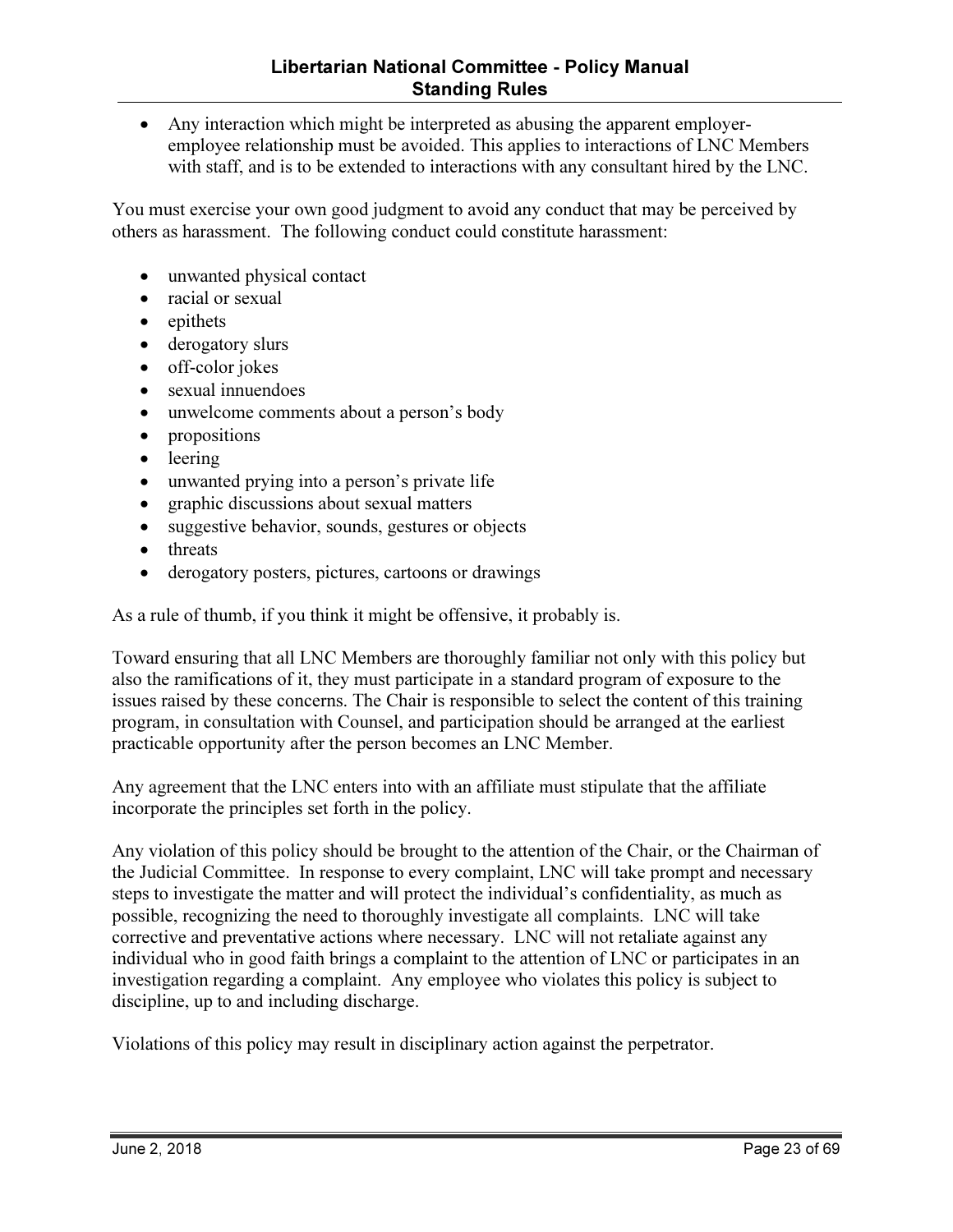• Any interaction which might be interpreted as abusing the apparent employeremployee relationship must be avoided. This applies to interactions of LNC Members with staff, and is to be extended to interactions with any consultant hired by the LNC.

You must exercise your own good judgment to avoid any conduct that may be perceived by others as harassment. The following conduct could constitute harassment:

- unwanted physical contact
- racial or sexual
- epithets
- derogatory slurs
- off-color jokes
- sexual innuendoes
- unwelcome comments about a person's body
- propositions
- leering
- unwanted prying into a person's private life
- graphic discussions about sexual matters
- suggestive behavior, sounds, gestures or objects
- threats
- derogatory posters, pictures, cartoons or drawings

As a rule of thumb, if you think it might be offensive, it probably is.

Toward ensuring that all LNC Members are thoroughly familiar not only with this policy but also the ramifications of it, they must participate in a standard program of exposure to the issues raised by these concerns. The Chair is responsible to select the content of this training program, in consultation with Counsel, and participation should be arranged at the earliest practicable opportunity after the person becomes an LNC Member.

Any agreement that the LNC enters into with an affiliate must stipulate that the affiliate incorporate the principles set forth in the policy.

Any violation of this policy should be brought to the attention of the Chair, or the Chairman of the Judicial Committee. In response to every complaint, LNC will take prompt and necessary steps to investigate the matter and will protect the individual's confidentiality, as much as possible, recognizing the need to thoroughly investigate all complaints. LNC will take corrective and preventative actions where necessary. LNC will not retaliate against any individual who in good faith brings a complaint to the attention of LNC or participates in an investigation regarding a complaint. Any employee who violates this policy is subject to discipline, up to and including discharge.

Violations of this policy may result in disciplinary action against the perpetrator.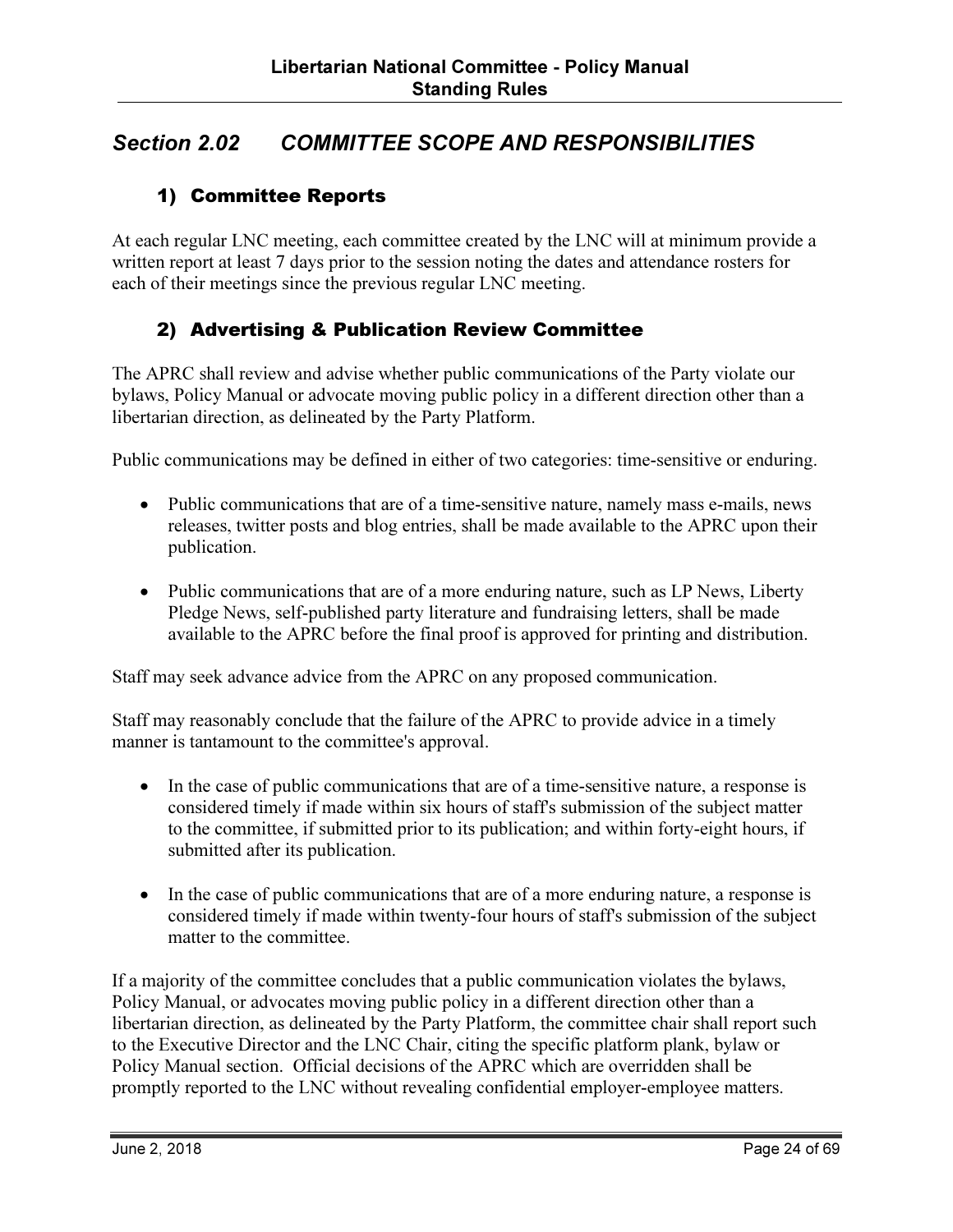# Section 2.02 COMMITTEE SCOPE AND RESPONSIBILITIES

#### 1) Committee Reports

At each regular LNC meeting, each committee created by the LNC will at minimum provide a written report at least 7 days prior to the session noting the dates and attendance rosters for each of their meetings since the previous regular LNC meeting.

#### 2) Advertising & Publication Review Committee

The APRC shall review and advise whether public communications of the Party violate our bylaws, Policy Manual or advocate moving public policy in a different direction other than a libertarian direction, as delineated by the Party Platform.

Public communications may be defined in either of two categories: time-sensitive or enduring.

- Public communications that are of a time-sensitive nature, namely mass e-mails, news releases, twitter posts and blog entries, shall be made available to the APRC upon their publication.
- Public communications that are of a more enduring nature, such as LP News, Liberty Pledge News, self-published party literature and fundraising letters, shall be made available to the APRC before the final proof is approved for printing and distribution.

Staff may seek advance advice from the APRC on any proposed communication.

Staff may reasonably conclude that the failure of the APRC to provide advice in a timely manner is tantamount to the committee's approval.

- In the case of public communications that are of a time-sensitive nature, a response is considered timely if made within six hours of staff's submission of the subject matter to the committee, if submitted prior to its publication; and within forty-eight hours, if submitted after its publication.
- In the case of public communications that are of a more enduring nature, a response is considered timely if made within twenty-four hours of staff's submission of the subject matter to the committee.

If a majority of the committee concludes that a public communication violates the bylaws, Policy Manual, or advocates moving public policy in a different direction other than a libertarian direction, as delineated by the Party Platform, the committee chair shall report such to the Executive Director and the LNC Chair, citing the specific platform plank, bylaw or Policy Manual section. Official decisions of the APRC which are overridden shall be promptly reported to the LNC without revealing confidential employer-employee matters.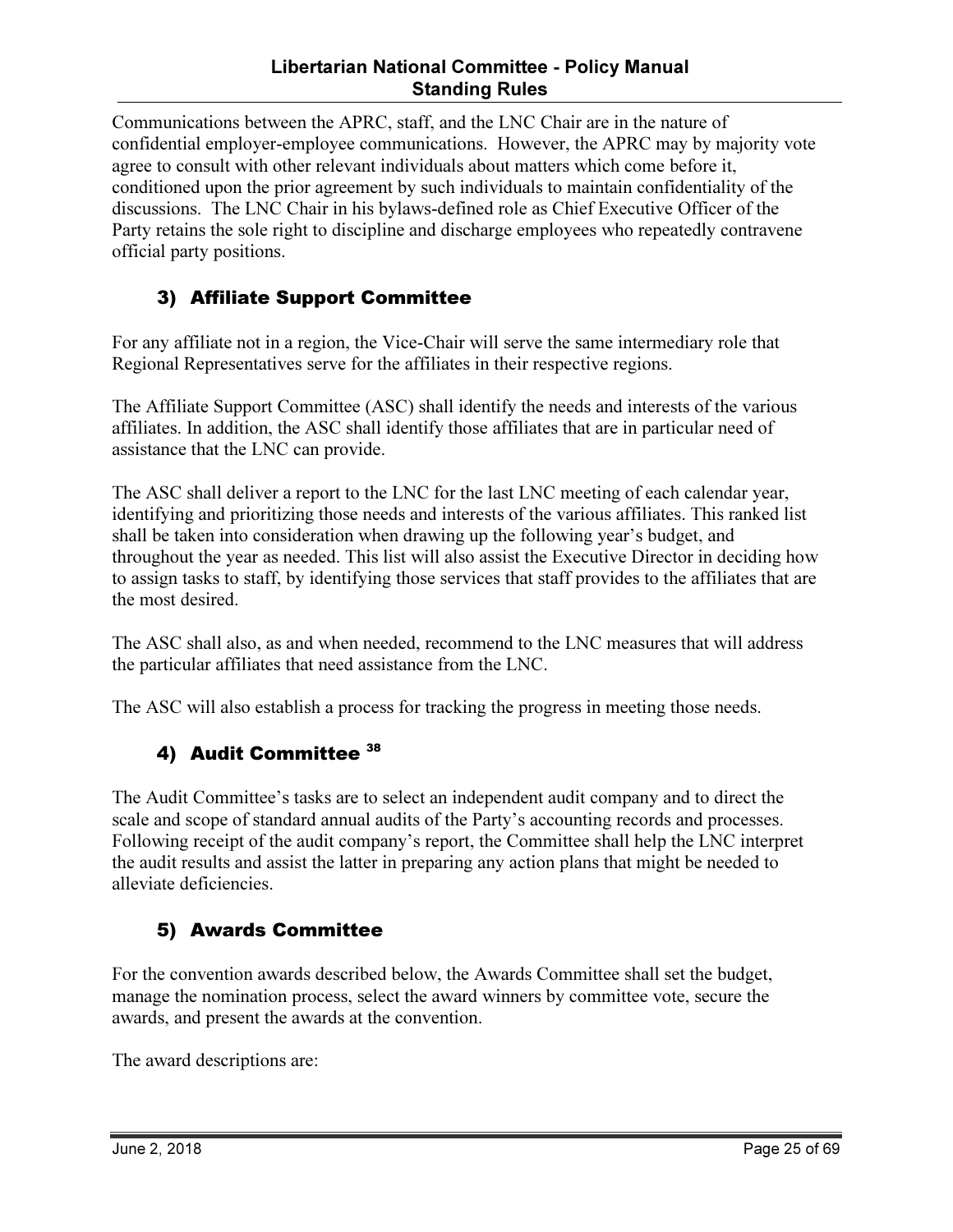#### Libertarian National Committee - Policy Manual Standing Rules

Communications between the APRC, staff, and the LNC Chair are in the nature of confidential employer-employee communications. However, the APRC may by majority vote agree to consult with other relevant individuals about matters which come before it, conditioned upon the prior agreement by such individuals to maintain confidentiality of the discussions. The LNC Chair in his bylaws-defined role as Chief Executive Officer of the Party retains the sole right to discipline and discharge employees who repeatedly contravene official party positions.

#### 3) Affiliate Support Committee

For any affiliate not in a region, the Vice-Chair will serve the same intermediary role that Regional Representatives serve for the affiliates in their respective regions.

The Affiliate Support Committee (ASC) shall identify the needs and interests of the various affiliates. In addition, the ASC shall identify those affiliates that are in particular need of assistance that the LNC can provide.

The ASC shall deliver a report to the LNC for the last LNC meeting of each calendar year, identifying and prioritizing those needs and interests of the various affiliates. This ranked list shall be taken into consideration when drawing up the following year's budget, and throughout the year as needed. This list will also assist the Executive Director in deciding how to assign tasks to staff, by identifying those services that staff provides to the affiliates that are the most desired.

The ASC shall also, as and when needed, recommend to the LNC measures that will address the particular affiliates that need assistance from the LNC.

The ASC will also establish a process for tracking the progress in meeting those needs.

#### 4) Audit Committee 38

The Audit Committee's tasks are to select an independent audit company and to direct the scale and scope of standard annual audits of the Party's accounting records and processes. Following receipt of the audit company's report, the Committee shall help the LNC interpret the audit results and assist the latter in preparing any action plans that might be needed to alleviate deficiencies.

#### 5) Awards Committee

For the convention awards described below, the Awards Committee shall set the budget, manage the nomination process, select the award winners by committee vote, secure the awards, and present the awards at the convention.

The award descriptions are: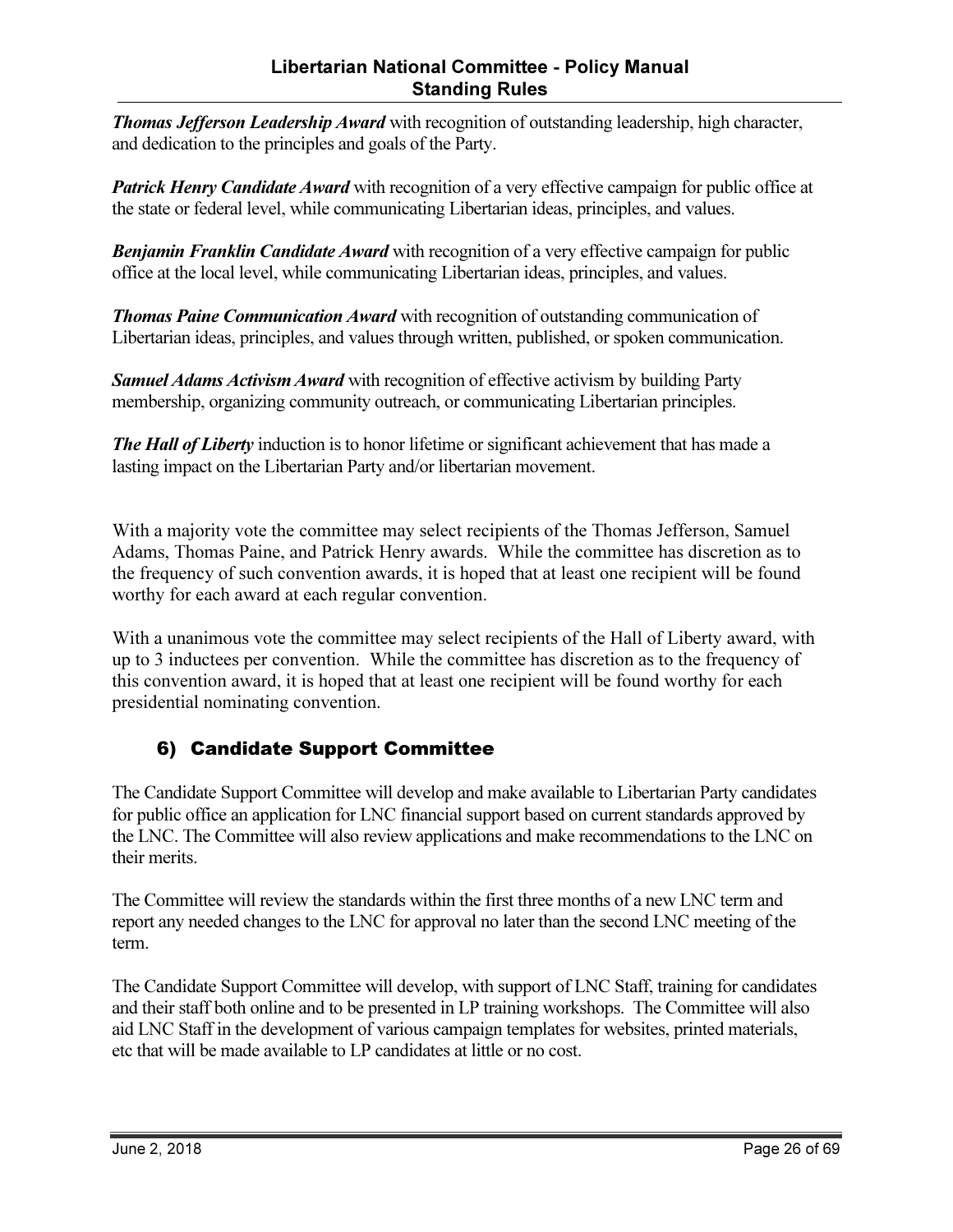#### Libertarian National Committee - Policy Manual Standing Rules

**Thomas Jefferson Leadership Award** with recognition of outstanding leadership, high character, and dedication to the principles and goals of the Party.

**Patrick Henry Candidate Award** with recognition of a very effective campaign for public office at the state or federal level, while communicating Libertarian ideas, principles, and values.

**Benjamin Franklin Candidate Award** with recognition of a very effective campaign for public office at the local level, while communicating Libertarian ideas, principles, and values.

**Thomas Paine Communication Award** with recognition of outstanding communication of Libertarian ideas, principles, and values through written, published, or spoken communication.

**Samuel Adams Activism Award** with recognition of effective activism by building Party membership, organizing community outreach, or communicating Libertarian principles.

The Hall of Liberty induction is to honor lifetime or significant achievement that has made a lasting impact on the Libertarian Party and/or libertarian movement.

With a majority vote the committee may select recipients of the Thomas Jefferson, Samuel Adams, Thomas Paine, and Patrick Henry awards. While the committee has discretion as to the frequency of such convention awards, it is hoped that at least one recipient will be found worthy for each award at each regular convention.

With a unanimous vote the committee may select recipients of the Hall of Liberty award, with up to 3 inductees per convention. While the committee has discretion as to the frequency of this convention award, it is hoped that at least one recipient will be found worthy for each presidential nominating convention.

#### 6) Candidate Support Committee

The Candidate Support Committee will develop and make available to Libertarian Party candidates for public office an application for LNC financial support based on current standards approved by the LNC. The Committee will also review applications and make recommendations to the LNC on their merits.

The Committee will review the standards within the first three months of a new LNC term and report any needed changes to the LNC for approval no later than the second LNC meeting of the term.

The Candidate Support Committee will develop, with support of LNC Staff, training for candidates and their staff both online and to be presented in LP training workshops. The Committee will also aid LNC Staff in the development of various campaign templates for websites, printed materials, etc that will be made available to LP candidates at little or no cost.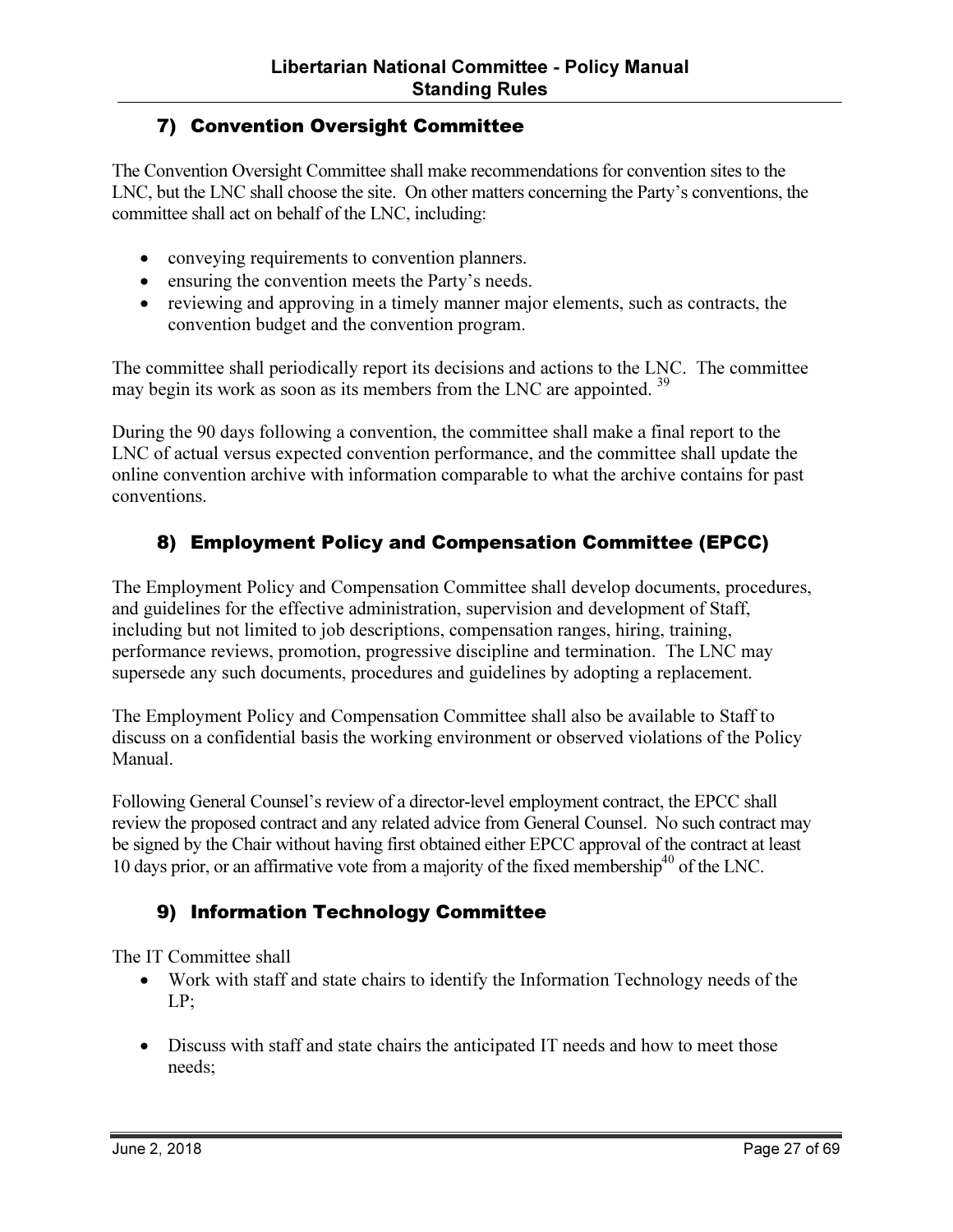#### 7) Convention Oversight Committee

The Convention Oversight Committee shall make recommendations for convention sites to the LNC, but the LNC shall choose the site. On other matters concerning the Party's conventions, the committee shall act on behalf of the LNC, including:

- conveying requirements to convention planners.
- ensuring the convention meets the Party's needs.
- reviewing and approving in a timely manner major elements, such as contracts, the convention budget and the convention program.

The committee shall periodically report its decisions and actions to the LNC. The committee may begin its work as soon as its members from the LNC are appointed. <sup>39</sup>

During the 90 days following a convention, the committee shall make a final report to the LNC of actual versus expected convention performance, and the committee shall update the online convention archive with information comparable to what the archive contains for past conventions.

#### 8) Employment Policy and Compensation Committee (EPCC)

The Employment Policy and Compensation Committee shall develop documents, procedures, and guidelines for the effective administration, supervision and development of Staff, including but not limited to job descriptions, compensation ranges, hiring, training, performance reviews, promotion, progressive discipline and termination. The LNC may supersede any such documents, procedures and guidelines by adopting a replacement.

The Employment Policy and Compensation Committee shall also be available to Staff to discuss on a confidential basis the working environment or observed violations of the Policy Manual.

Following General Counsel's review of a director-level employment contract, the EPCC shall review the proposed contract and any related advice from General Counsel. No such contract may be signed by the Chair without having first obtained either EPCC approval of the contract at least 10 days prior, or an affirmative vote from a majority of the fixed membership<sup>40</sup> of the LNC.

#### 9) Information Technology Committee

The IT Committee shall

- Work with staff and state chairs to identify the Information Technology needs of the LP;
- Discuss with staff and state chairs the anticipated IT needs and how to meet those needs;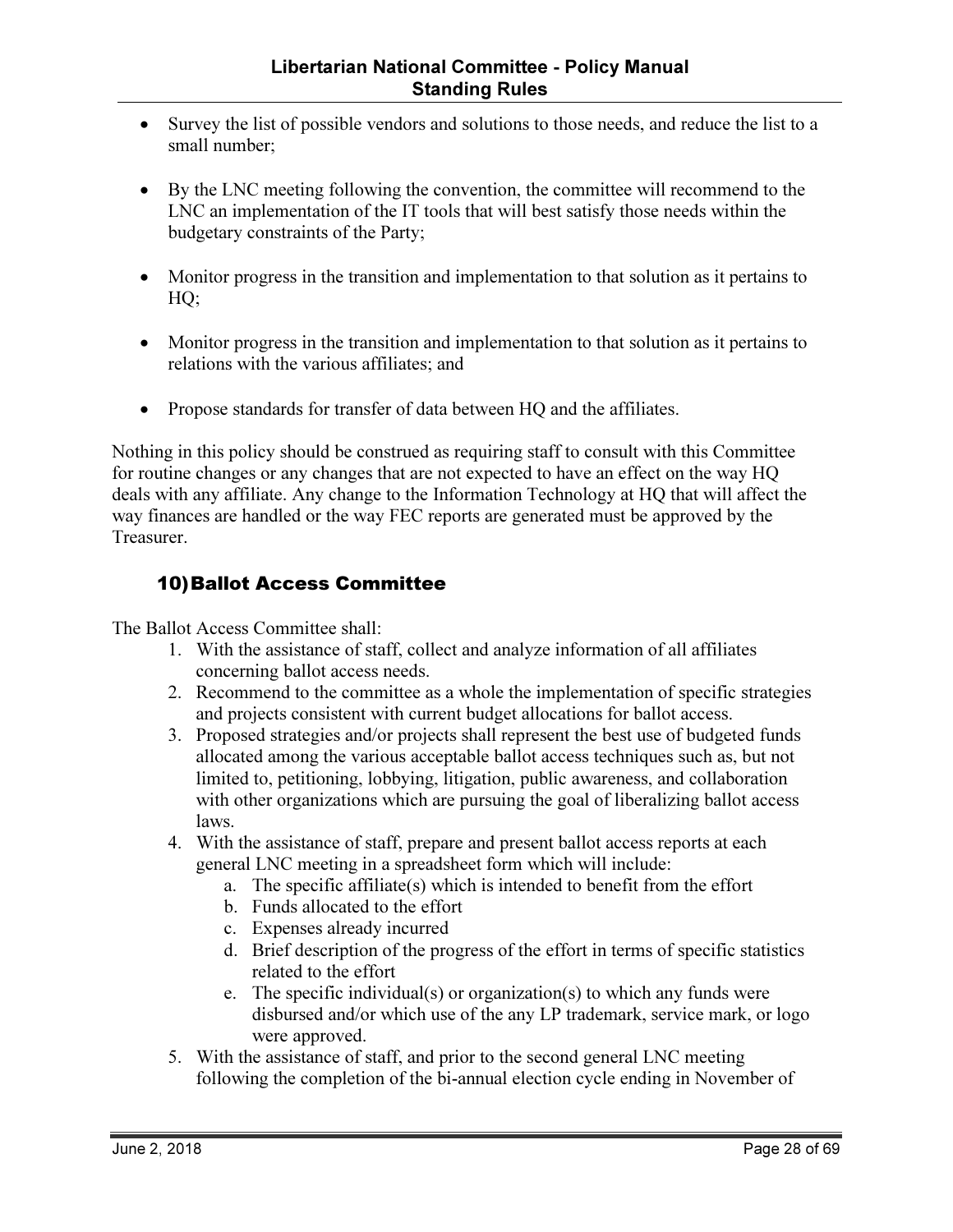- Survey the list of possible vendors and solutions to those needs, and reduce the list to a small number;
- By the LNC meeting following the convention, the committee will recommend to the LNC an implementation of the IT tools that will best satisfy those needs within the budgetary constraints of the Party;
- Monitor progress in the transition and implementation to that solution as it pertains to HQ;
- Monitor progress in the transition and implementation to that solution as it pertains to relations with the various affiliates; and
- Propose standards for transfer of data between HQ and the affiliates.

Nothing in this policy should be construed as requiring staff to consult with this Committee for routine changes or any changes that are not expected to have an effect on the way HQ deals with any affiliate. Any change to the Information Technology at HQ that will affect the way finances are handled or the way FEC reports are generated must be approved by the Treasurer.

#### 10)Ballot Access Committee

The Ballot Access Committee shall:

- 1. With the assistance of staff, collect and analyze information of all affiliates concerning ballot access needs.
- 2. Recommend to the committee as a whole the implementation of specific strategies and projects consistent with current budget allocations for ballot access.
- 3. Proposed strategies and/or projects shall represent the best use of budgeted funds allocated among the various acceptable ballot access techniques such as, but not limited to, petitioning, lobbying, litigation, public awareness, and collaboration with other organizations which are pursuing the goal of liberalizing ballot access laws.
- 4. With the assistance of staff, prepare and present ballot access reports at each general LNC meeting in a spreadsheet form which will include:
	- a. The specific affiliate(s) which is intended to benefit from the effort
	- b. Funds allocated to the effort
	- c. Expenses already incurred
	- d. Brief description of the progress of the effort in terms of specific statistics related to the effort
	- e. The specific individual(s) or organization(s) to which any funds were disbursed and/or which use of the any LP trademark, service mark, or logo were approved.
- 5. With the assistance of staff, and prior to the second general LNC meeting following the completion of the bi-annual election cycle ending in November of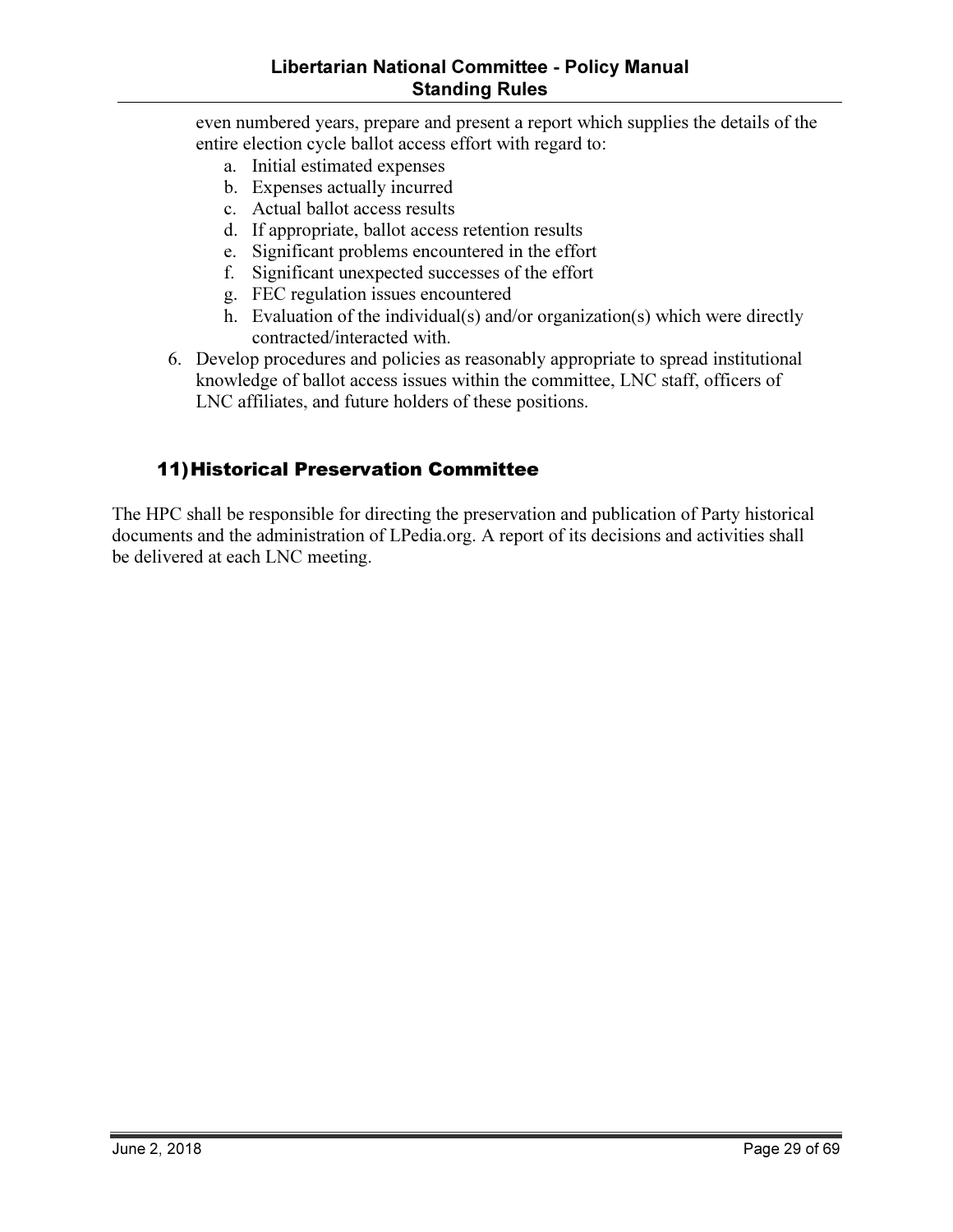#### Libertarian National Committee - Policy Manual Standing Rules

even numbered years, prepare and present a report which supplies the details of the entire election cycle ballot access effort with regard to:

- a. Initial estimated expenses
- b. Expenses actually incurred
- c. Actual ballot access results
- d. If appropriate, ballot access retention results
- e. Significant problems encountered in the effort
- f. Significant unexpected successes of the effort
- g. FEC regulation issues encountered
- h. Evaluation of the individual(s) and/or organization(s) which were directly contracted/interacted with.
- 6. Develop procedures and policies as reasonably appropriate to spread institutional knowledge of ballot access issues within the committee, LNC staff, officers of LNC affiliates, and future holders of these positions.

#### 11)Historical Preservation Committee

The HPC shall be responsible for directing the preservation and publication of Party historical documents and the administration of LPedia.org. A report of its decisions and activities shall be delivered at each LNC meeting.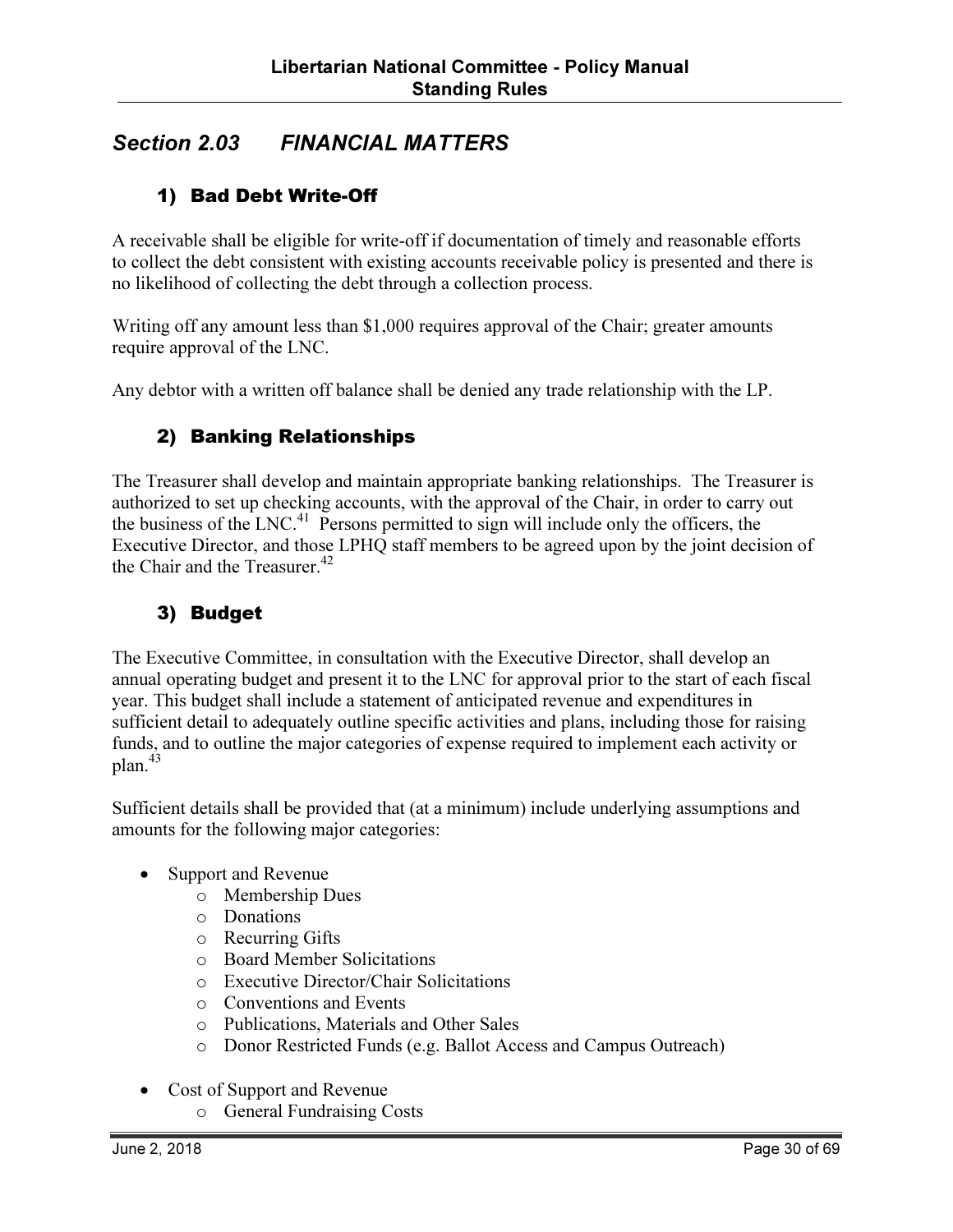## Section 2.03 FINANCIAL MATTERS

#### 1) Bad Debt Write-Off

A receivable shall be eligible for write-off if documentation of timely and reasonable efforts to collect the debt consistent with existing accounts receivable policy is presented and there is no likelihood of collecting the debt through a collection process.

Writing off any amount less than \$1,000 requires approval of the Chair; greater amounts require approval of the LNC.

Any debtor with a written off balance shall be denied any trade relationship with the LP.

#### 2) Banking Relationships

The Treasurer shall develop and maintain appropriate banking relationships. The Treasurer is authorized to set up checking accounts, with the approval of the Chair, in order to carry out the business of the LNC.<sup>41</sup> Persons permitted to sign will include only the officers, the Executive Director, and those LPHQ staff members to be agreed upon by the joint decision of the Chair and the Treasurer. $42$ 

#### 3) Budget

The Executive Committee, in consultation with the Executive Director, shall develop an annual operating budget and present it to the LNC for approval prior to the start of each fiscal year. This budget shall include a statement of anticipated revenue and expenditures in sufficient detail to adequately outline specific activities and plans, including those for raising funds, and to outline the major categories of expense required to implement each activity or plan.<sup>43</sup>

Sufficient details shall be provided that (at a minimum) include underlying assumptions and amounts for the following major categories:

- Support and Revenue
	- o Membership Dues
	- o Donations
	- o Recurring Gifts
	- o Board Member Solicitations
	- o Executive Director/Chair Solicitations
	- o Conventions and Events
	- o Publications, Materials and Other Sales
	- o Donor Restricted Funds (e.g. Ballot Access and Campus Outreach)
- Cost of Support and Revenue
	- o General Fundraising Costs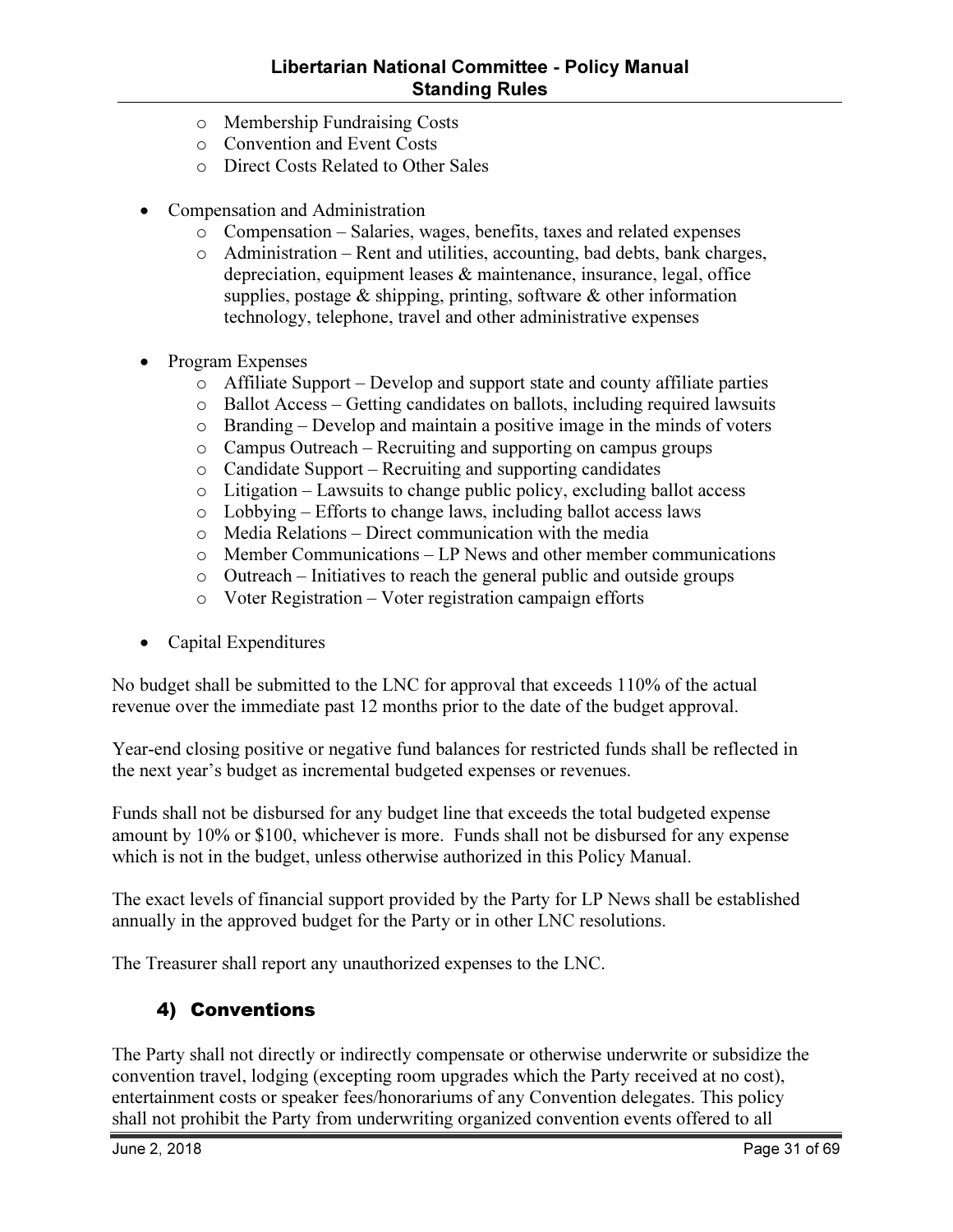- o Membership Fundraising Costs
- o Convention and Event Costs
- o Direct Costs Related to Other Sales
- Compensation and Administration
	- o Compensation Salaries, wages, benefits, taxes and related expenses
	- o Administration Rent and utilities, accounting, bad debts, bank charges, depreciation, equipment leases & maintenance, insurance, legal, office supplies, postage  $\&$  shipping, printing, software  $\&$  other information technology, telephone, travel and other administrative expenses
- Program Expenses
	- o Affiliate Support Develop and support state and county affiliate parties
	- o Ballot Access Getting candidates on ballots, including required lawsuits
	- o Branding Develop and maintain a positive image in the minds of voters
	- o Campus Outreach Recruiting and supporting on campus groups
	- o Candidate Support Recruiting and supporting candidates
	- $\circ$  Litigation Lawsuits to change public policy, excluding ballot access
	- o Lobbying Efforts to change laws, including ballot access laws
	- o Media Relations Direct communication with the media
	- o Member Communications LP News and other member communications
	- o Outreach Initiatives to reach the general public and outside groups
	- o Voter Registration Voter registration campaign efforts
- Capital Expenditures

No budget shall be submitted to the LNC for approval that exceeds 110% of the actual revenue over the immediate past 12 months prior to the date of the budget approval.

Year-end closing positive or negative fund balances for restricted funds shall be reflected in the next year's budget as incremental budgeted expenses or revenues.

Funds shall not be disbursed for any budget line that exceeds the total budgeted expense amount by 10% or \$100, whichever is more. Funds shall not be disbursed for any expense which is not in the budget, unless otherwise authorized in this Policy Manual.

The exact levels of financial support provided by the Party for LP News shall be established annually in the approved budget for the Party or in other LNC resolutions.

The Treasurer shall report any unauthorized expenses to the LNC.

#### 4) Conventions

The Party shall not directly or indirectly compensate or otherwise underwrite or subsidize the convention travel, lodging (excepting room upgrades which the Party received at no cost), entertainment costs or speaker fees/honorariums of any Convention delegates. This policy shall not prohibit the Party from underwriting organized convention events offered to all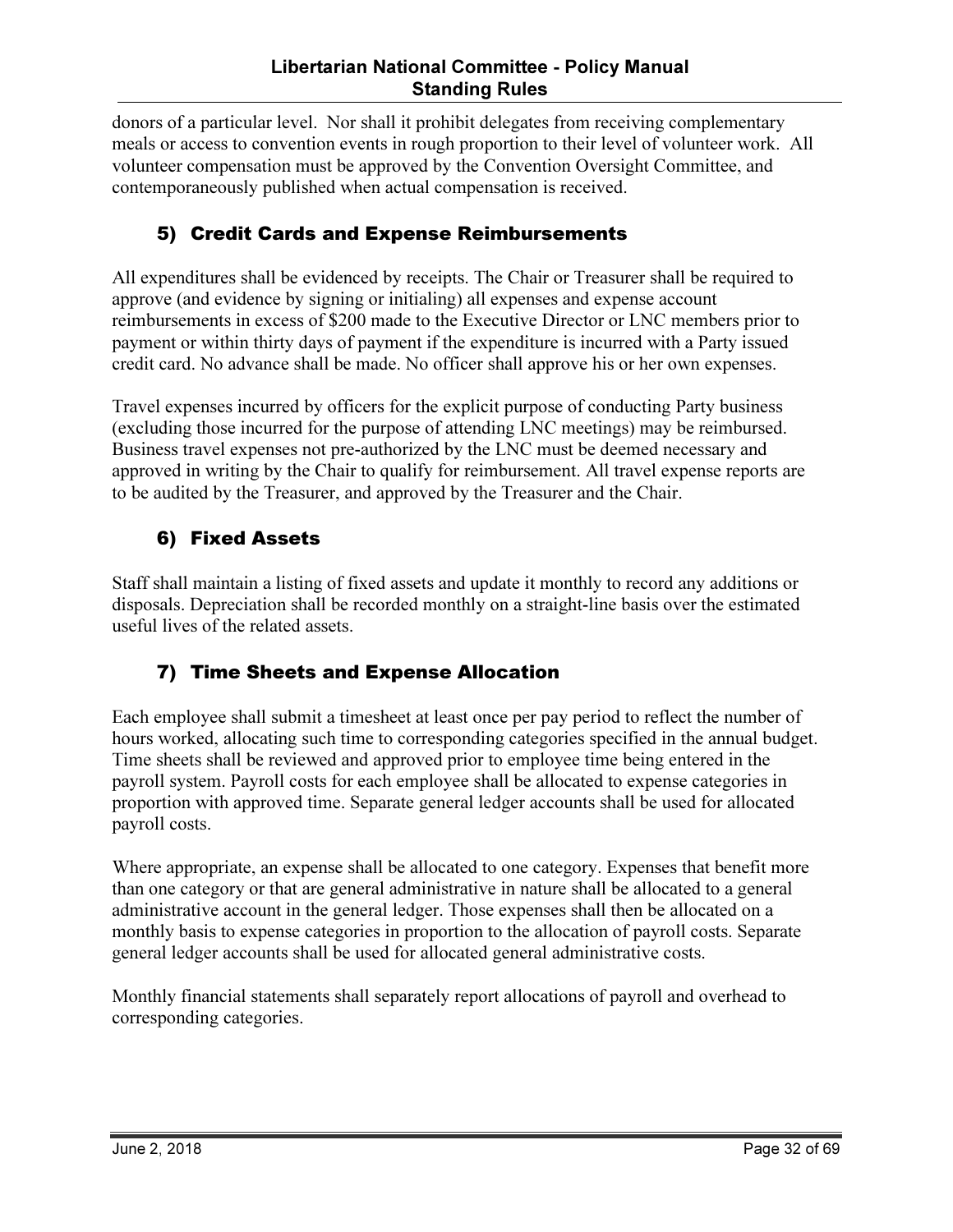donors of a particular level. Nor shall it prohibit delegates from receiving complementary meals or access to convention events in rough proportion to their level of volunteer work. All volunteer compensation must be approved by the Convention Oversight Committee, and contemporaneously published when actual compensation is received.

## 5) Credit Cards and Expense Reimbursements

All expenditures shall be evidenced by receipts. The Chair or Treasurer shall be required to approve (and evidence by signing or initialing) all expenses and expense account reimbursements in excess of \$200 made to the Executive Director or LNC members prior to payment or within thirty days of payment if the expenditure is incurred with a Party issued credit card. No advance shall be made. No officer shall approve his or her own expenses.

Travel expenses incurred by officers for the explicit purpose of conducting Party business (excluding those incurred for the purpose of attending LNC meetings) may be reimbursed. Business travel expenses not pre-authorized by the LNC must be deemed necessary and approved in writing by the Chair to qualify for reimbursement. All travel expense reports are to be audited by the Treasurer, and approved by the Treasurer and the Chair.

#### 6) Fixed Assets

Staff shall maintain a listing of fixed assets and update it monthly to record any additions or disposals. Depreciation shall be recorded monthly on a straight-line basis over the estimated useful lives of the related assets.

#### 7) Time Sheets and Expense Allocation

Each employee shall submit a timesheet at least once per pay period to reflect the number of hours worked, allocating such time to corresponding categories specified in the annual budget. Time sheets shall be reviewed and approved prior to employee time being entered in the payroll system. Payroll costs for each employee shall be allocated to expense categories in proportion with approved time. Separate general ledger accounts shall be used for allocated payroll costs.

Where appropriate, an expense shall be allocated to one category. Expenses that benefit more than one category or that are general administrative in nature shall be allocated to a general administrative account in the general ledger. Those expenses shall then be allocated on a monthly basis to expense categories in proportion to the allocation of payroll costs. Separate general ledger accounts shall be used for allocated general administrative costs.

Monthly financial statements shall separately report allocations of payroll and overhead to corresponding categories.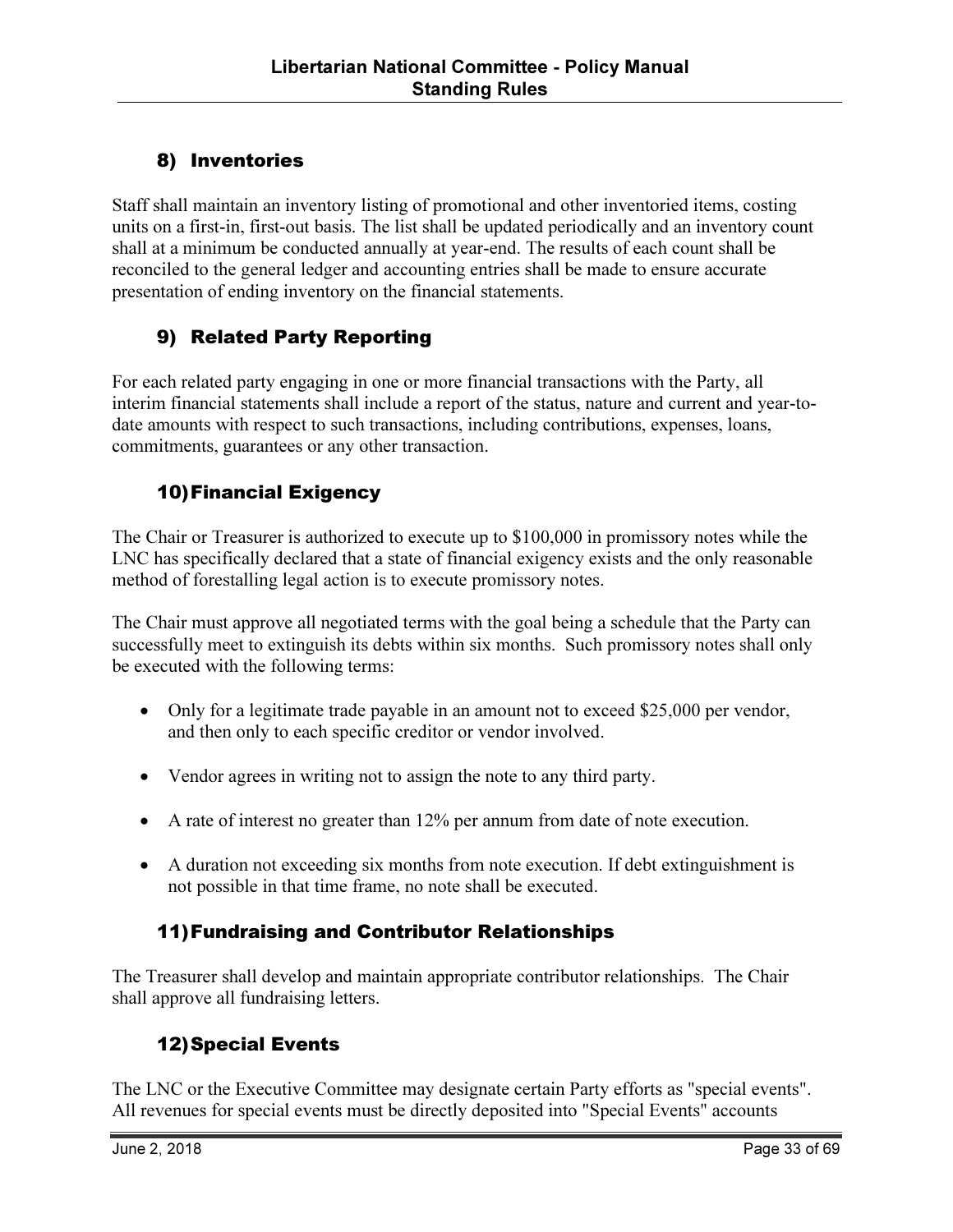### 8) Inventories

Staff shall maintain an inventory listing of promotional and other inventoried items, costing units on a first-in, first-out basis. The list shall be updated periodically and an inventory count shall at a minimum be conducted annually at year-end. The results of each count shall be reconciled to the general ledger and accounting entries shall be made to ensure accurate presentation of ending inventory on the financial statements.

#### 9) Related Party Reporting

For each related party engaging in one or more financial transactions with the Party, all interim financial statements shall include a report of the status, nature and current and year-todate amounts with respect to such transactions, including contributions, expenses, loans, commitments, guarantees or any other transaction.

#### 10)Financial Exigency

The Chair or Treasurer is authorized to execute up to \$100,000 in promissory notes while the LNC has specifically declared that a state of financial exigency exists and the only reasonable method of forestalling legal action is to execute promissory notes.

The Chair must approve all negotiated terms with the goal being a schedule that the Party can successfully meet to extinguish its debts within six months. Such promissory notes shall only be executed with the following terms:

- Only for a legitimate trade payable in an amount not to exceed \$25,000 per vendor, and then only to each specific creditor or vendor involved.
- Vendor agrees in writing not to assign the note to any third party.
- A rate of interest no greater than 12% per annum from date of note execution.
- A duration not exceeding six months from note execution. If debt extinguishment is not possible in that time frame, no note shall be executed.

#### 11)Fundraising and Contributor Relationships

The Treasurer shall develop and maintain appropriate contributor relationships. The Chair shall approve all fundraising letters.

#### 12)Special Events

The LNC or the Executive Committee may designate certain Party efforts as "special events". All revenues for special events must be directly deposited into "Special Events" accounts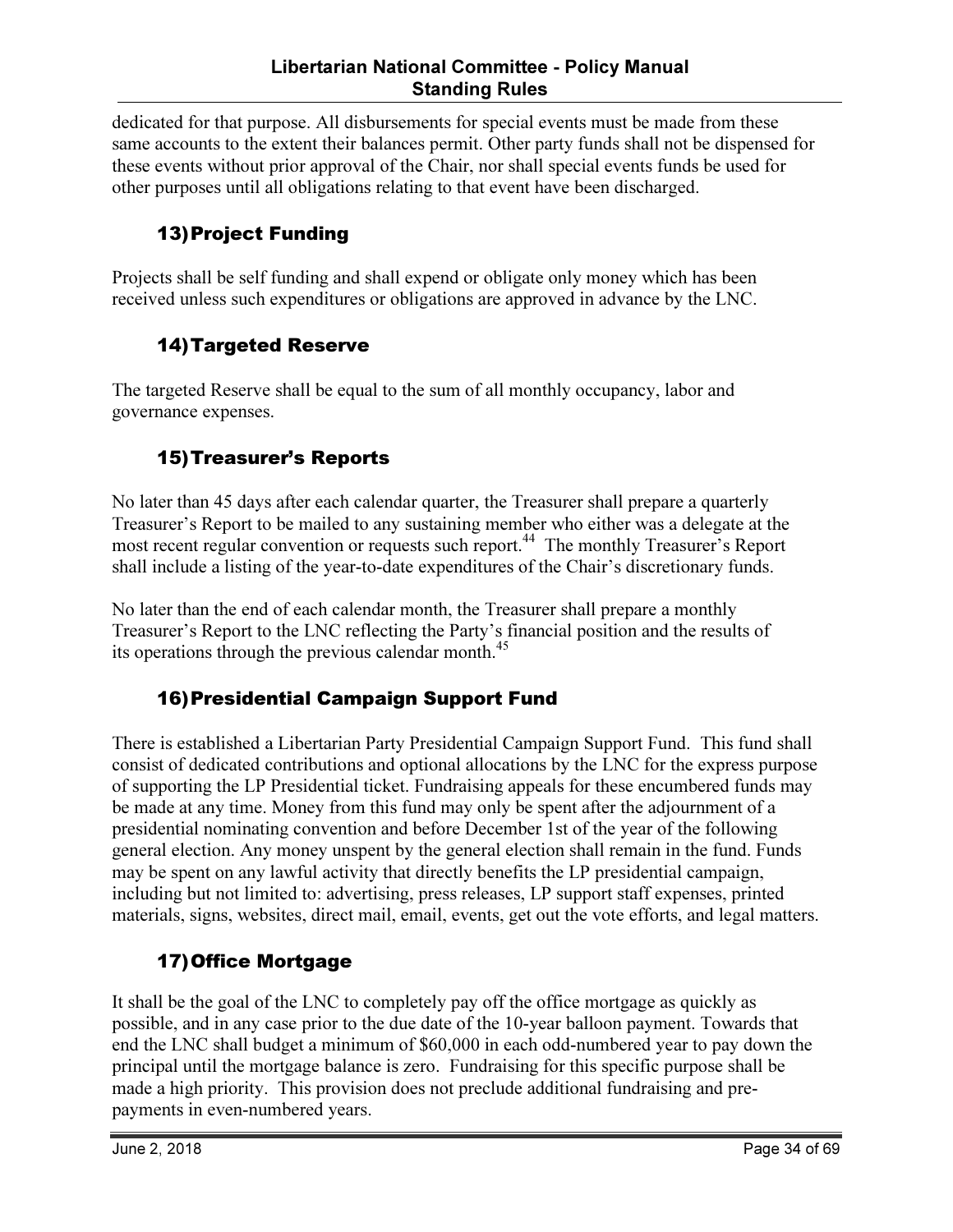dedicated for that purpose. All disbursements for special events must be made from these same accounts to the extent their balances permit. Other party funds shall not be dispensed for these events without prior approval of the Chair, nor shall special events funds be used for other purposes until all obligations relating to that event have been discharged.

## 13)Project Funding

Projects shall be self funding and shall expend or obligate only money which has been received unless such expenditures or obligations are approved in advance by the LNC.

#### 14)Targeted Reserve

The targeted Reserve shall be equal to the sum of all monthly occupancy, labor and governance expenses.

#### 15)Treasurer's Reports

No later than 45 days after each calendar quarter, the Treasurer shall prepare a quarterly Treasurer's Report to be mailed to any sustaining member who either was a delegate at the most recent regular convention or requests such report.<sup>44</sup> The monthly Treasurer's Report shall include a listing of the year-to-date expenditures of the Chair's discretionary funds.

No later than the end of each calendar month, the Treasurer shall prepare a monthly Treasurer's Report to the LNC reflecting the Party's financial position and the results of its operations through the previous calendar month.<sup>45</sup>

#### 16)Presidential Campaign Support Fund

There is established a Libertarian Party Presidential Campaign Support Fund. This fund shall consist of dedicated contributions and optional allocations by the LNC for the express purpose of supporting the LP Presidential ticket. Fundraising appeals for these encumbered funds may be made at any time. Money from this fund may only be spent after the adjournment of a presidential nominating convention and before December 1st of the year of the following general election. Any money unspent by the general election shall remain in the fund. Funds may be spent on any lawful activity that directly benefits the LP presidential campaign, including but not limited to: advertising, press releases, LP support staff expenses, printed materials, signs, websites, direct mail, email, events, get out the vote efforts, and legal matters.

#### 17)Office Mortgage

It shall be the goal of the LNC to completely pay off the office mortgage as quickly as possible, and in any case prior to the due date of the 10-year balloon payment. Towards that end the LNC shall budget a minimum of \$60,000 in each odd-numbered year to pay down the principal until the mortgage balance is zero. Fundraising for this specific purpose shall be made a high priority. This provision does not preclude additional fundraising and prepayments in even-numbered years.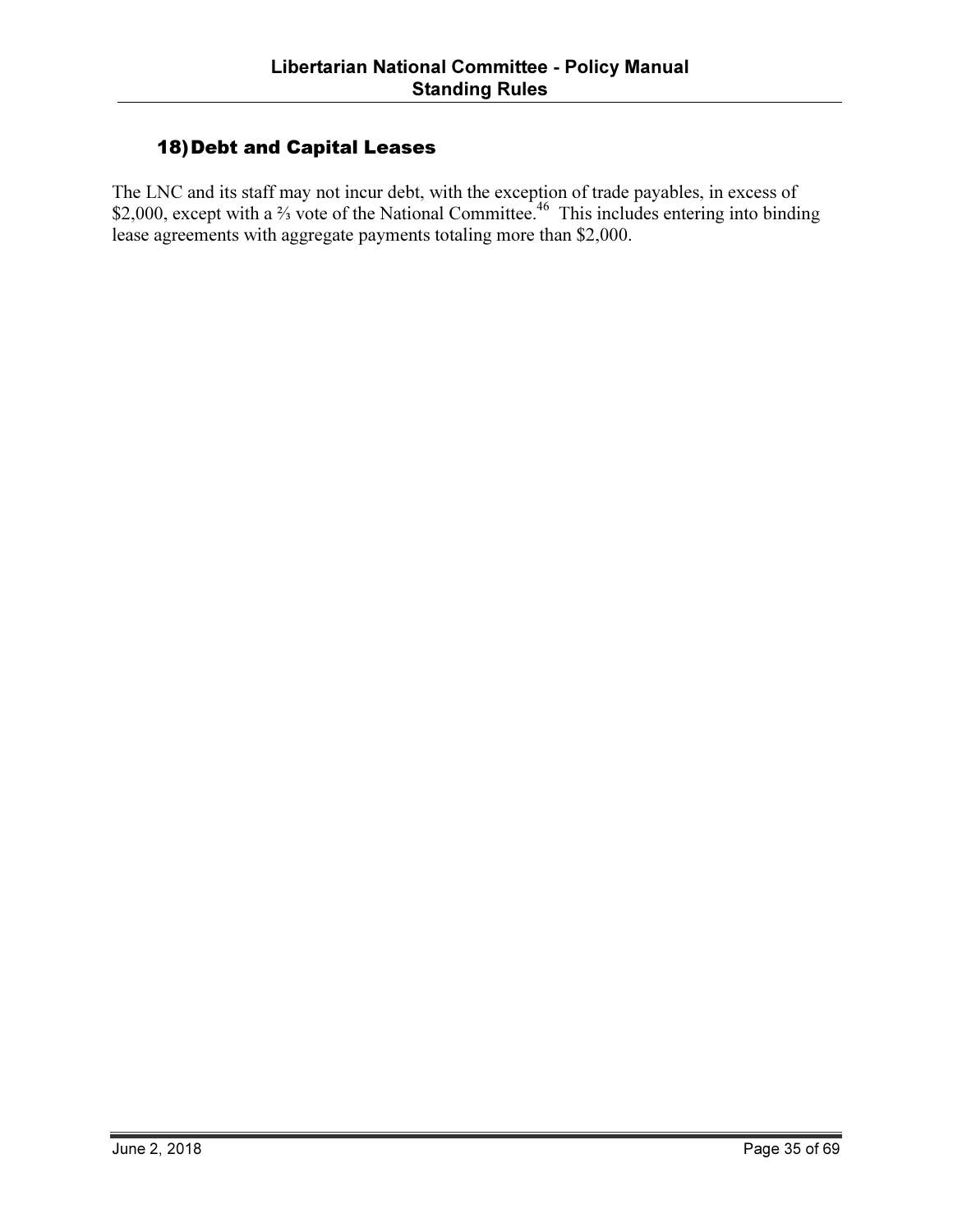#### 18)Debt and Capital Leases

The LNC and its staff may not incur debt, with the exception of trade payables, in excess of \$2,000, except with a <sup>2</sup>⁄<sub>3</sub> vote of the National Committee.<sup>46</sup> This includes entering into binding lease agreements with aggregate payments totaling more than \$2,000.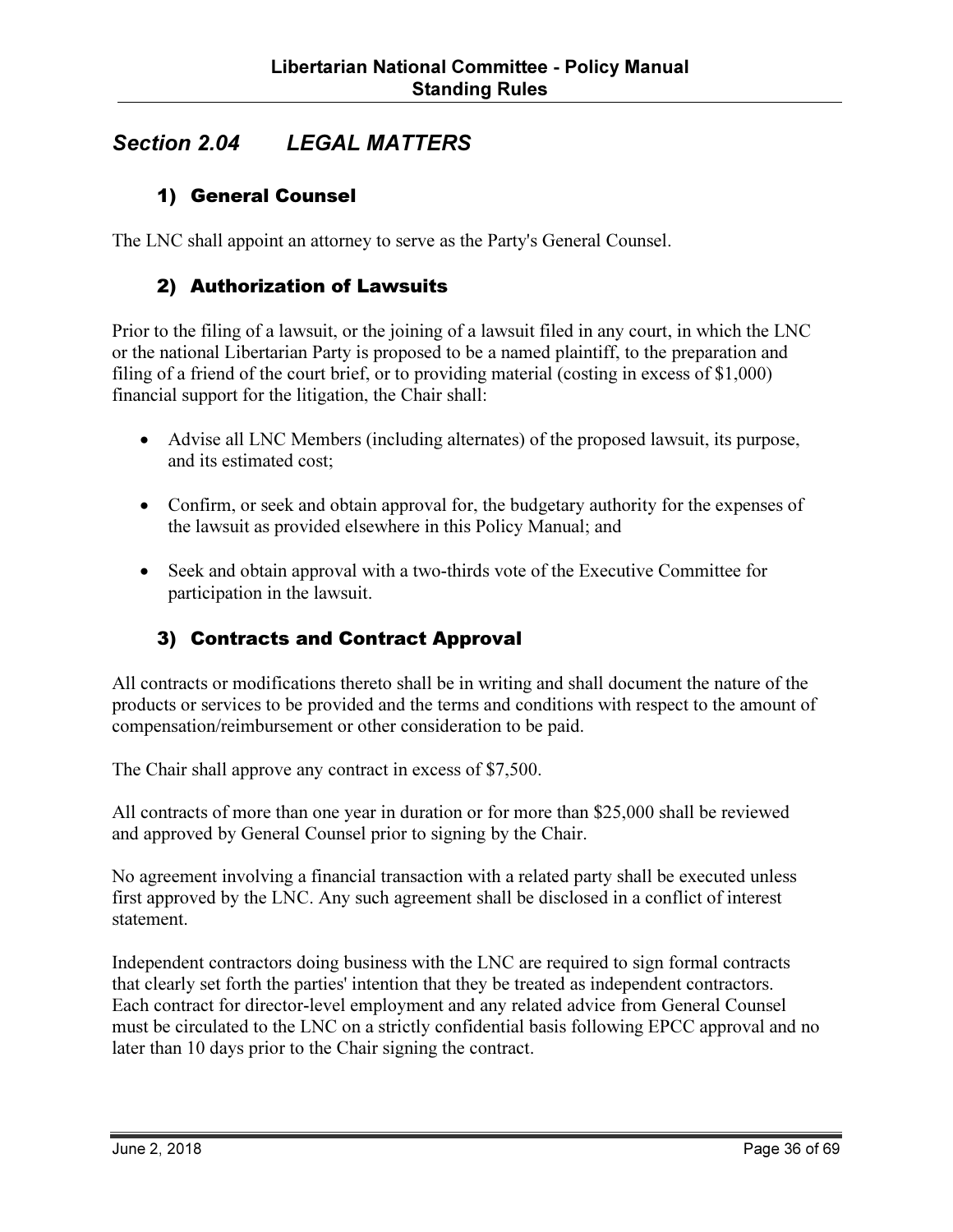# Section 2.04 LEGAL MATTERS

#### 1) General Counsel

The LNC shall appoint an attorney to serve as the Party's General Counsel.

#### 2) Authorization of Lawsuits

Prior to the filing of a lawsuit, or the joining of a lawsuit filed in any court, in which the LNC or the national Libertarian Party is proposed to be a named plaintiff, to the preparation and filing of a friend of the court brief, or to providing material (costing in excess of \$1,000) financial support for the litigation, the Chair shall:

- Advise all LNC Members (including alternates) of the proposed lawsuit, its purpose, and its estimated cost;
- Confirm, or seek and obtain approval for, the budgetary authority for the expenses of the lawsuit as provided elsewhere in this Policy Manual; and
- Seek and obtain approval with a two-thirds vote of the Executive Committee for participation in the lawsuit.

#### 3) Contracts and Contract Approval

All contracts or modifications thereto shall be in writing and shall document the nature of the products or services to be provided and the terms and conditions with respect to the amount of compensation/reimbursement or other consideration to be paid.

The Chair shall approve any contract in excess of \$7,500.

All contracts of more than one year in duration or for more than \$25,000 shall be reviewed and approved by General Counsel prior to signing by the Chair.

No agreement involving a financial transaction with a related party shall be executed unless first approved by the LNC. Any such agreement shall be disclosed in a conflict of interest statement.

Independent contractors doing business with the LNC are required to sign formal contracts that clearly set forth the parties' intention that they be treated as independent contractors. Each contract for director-level employment and any related advice from General Counsel must be circulated to the LNC on a strictly confidential basis following EPCC approval and no later than 10 days prior to the Chair signing the contract.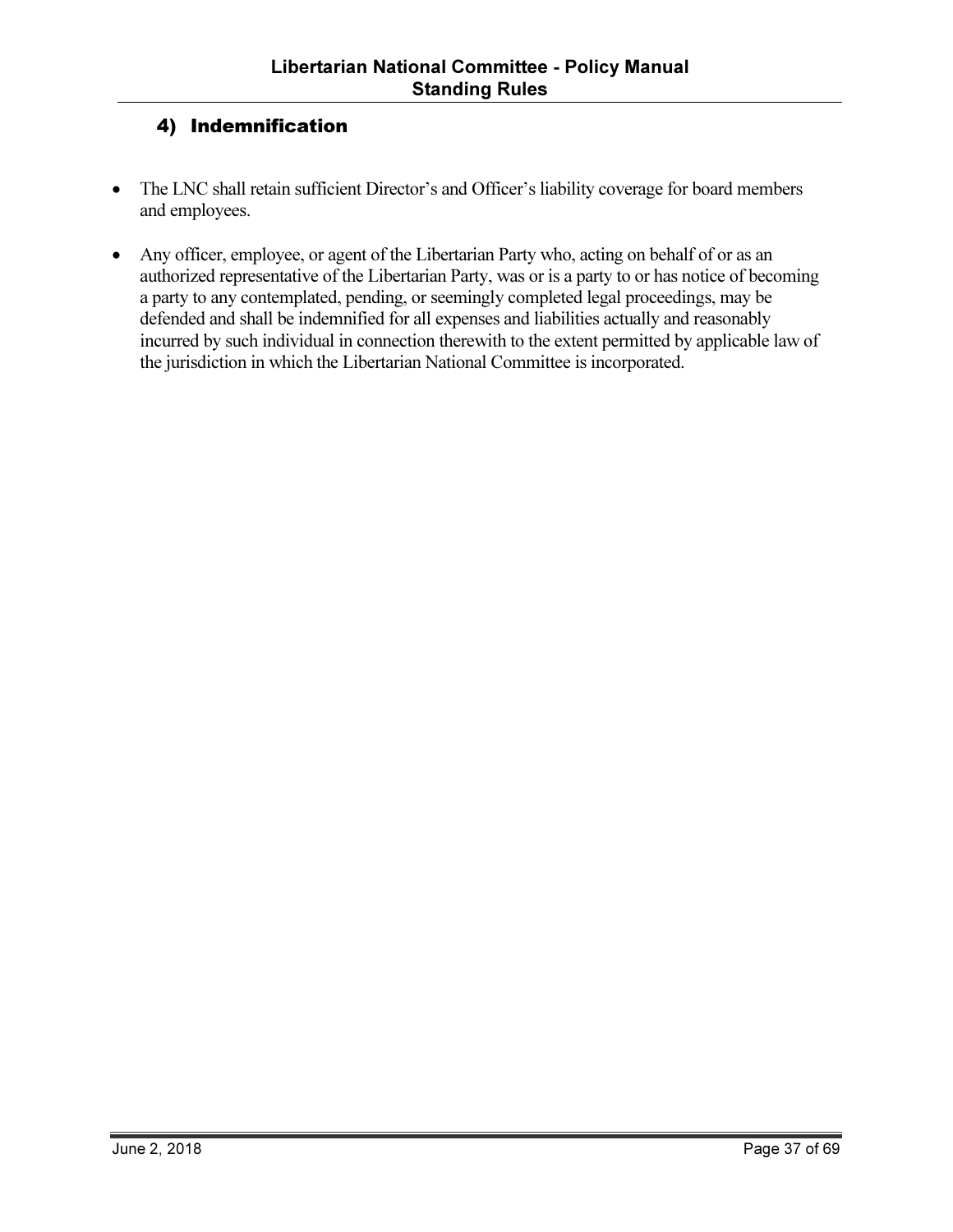#### 4) Indemnification

- The LNC shall retain sufficient Director's and Officer's liability coverage for board members and employees.
- Any officer, employee, or agent of the Libertarian Party who, acting on behalf of or as an authorized representative of the Libertarian Party, was or is a party to or has notice of becoming a party to any contemplated, pending, or seemingly completed legal proceedings, may be defended and shall be indemnified for all expenses and liabilities actually and reasonably incurred by such individual in connection therewith to the extent permitted by applicable law of the jurisdiction in which the Libertarian National Committee is incorporated.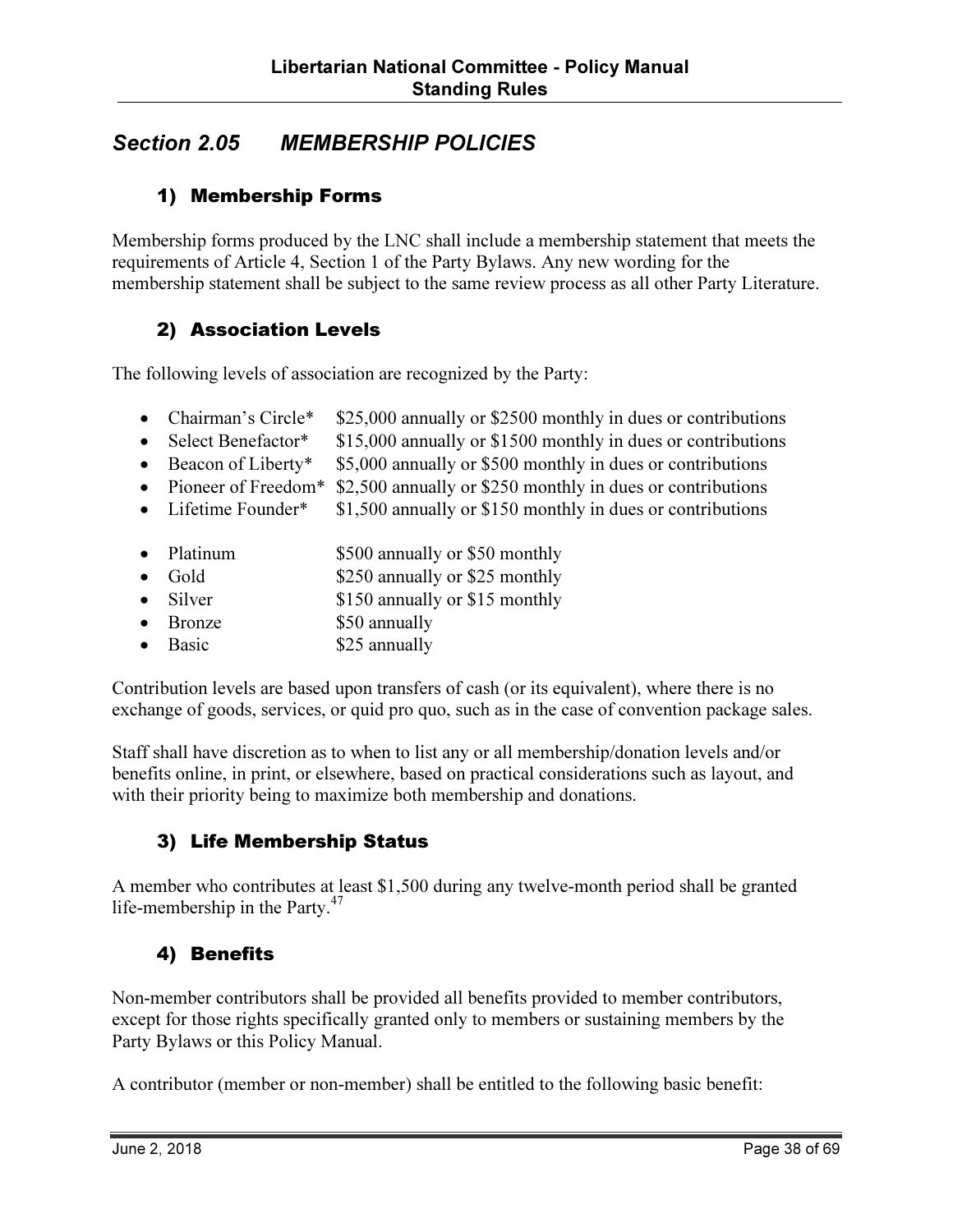# Section 2.05 MEMBERSHIP POLICIES

#### 1) Membership Forms

Membership forms produced by the LNC shall include a membership statement that meets the requirements of Article 4, Section 1 of the Party Bylaws. Any new wording for the membership statement shall be subject to the same review process as all other Party Literature.

#### 2) Association Levels

The following levels of association are recognized by the Party:

- Chairman's Circle\* \$25,000 annually or \$2500 monthly in dues or contributions
- Select Benefactor\* \$15,000 annually or \$1500 monthly in dues or contributions
- Beacon of Liberty\* \$5,000 annually or \$500 monthly in dues or contributions
- Pioneer of Freedom<sup>\*</sup> \$2,500 annually or \$250 monthly in dues or contributions
- Lifetime Founder\*  $$1,500$  annually or \$150 monthly in dues or contributions
- Platinum \$500 annually or \$50 monthly
- Gold \$250 annually or \$25 monthly
- Silver \$150 annually or \$15 monthly
- Bronze \$50 annually
- Basic \$25 annually

Contribution levels are based upon transfers of cash (or its equivalent), where there is no exchange of goods, services, or quid pro quo, such as in the case of convention package sales.

Staff shall have discretion as to when to list any or all membership/donation levels and/or benefits online, in print, or elsewhere, based on practical considerations such as layout, and with their priority being to maximize both membership and donations.

#### 3) Life Membership Status

A member who contributes at least \$1,500 during any twelve-month period shall be granted life-membership in the Party. $47$ 

#### 4) Benefits

Non-member contributors shall be provided all benefits provided to member contributors, except for those rights specifically granted only to members or sustaining members by the Party Bylaws or this Policy Manual.

A contributor (member or non-member) shall be entitled to the following basic benefit: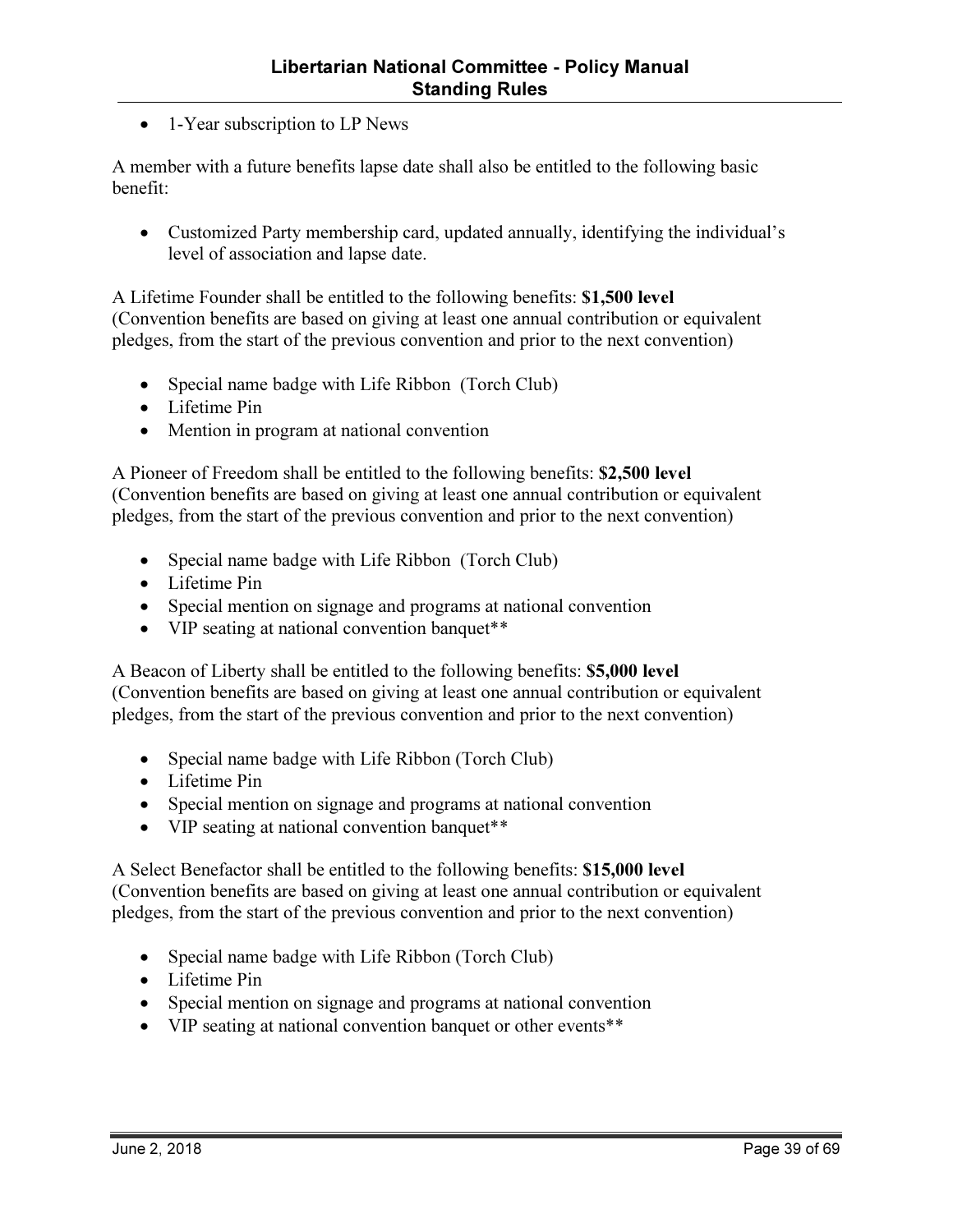• 1-Year subscription to LP News

A member with a future benefits lapse date shall also be entitled to the following basic benefit:

• Customized Party membership card, updated annually, identifying the individual's level of association and lapse date.

A Lifetime Founder shall be entitled to the following benefits: \$1,500 level (Convention benefits are based on giving at least one annual contribution or equivalent pledges, from the start of the previous convention and prior to the next convention)

- Special name badge with Life Ribbon (Torch Club)
- Lifetime Pin
- Mention in program at national convention

A Pioneer of Freedom shall be entitled to the following benefits: \$2,500 level (Convention benefits are based on giving at least one annual contribution or equivalent pledges, from the start of the previous convention and prior to the next convention)

- Special name badge with Life Ribbon (Torch Club)
- Lifetime Pin
- Special mention on signage and programs at national convention
- VIP seating at national convention banquet<sup>\*\*</sup>

A Beacon of Liberty shall be entitled to the following benefits: \$5,000 level (Convention benefits are based on giving at least one annual contribution or equivalent pledges, from the start of the previous convention and prior to the next convention)

- Special name badge with Life Ribbon (Torch Club)
- Lifetime Pin
- Special mention on signage and programs at national convention
- VIP seating at national convention banquet<sup>\*\*</sup>

A Select Benefactor shall be entitled to the following benefits: \$15,000 level (Convention benefits are based on giving at least one annual contribution or equivalent pledges, from the start of the previous convention and prior to the next convention)

- Special name badge with Life Ribbon (Torch Club)
- Lifetime Pin
- Special mention on signage and programs at national convention
- VIP seating at national convention banquet or other events<sup>\*\*</sup>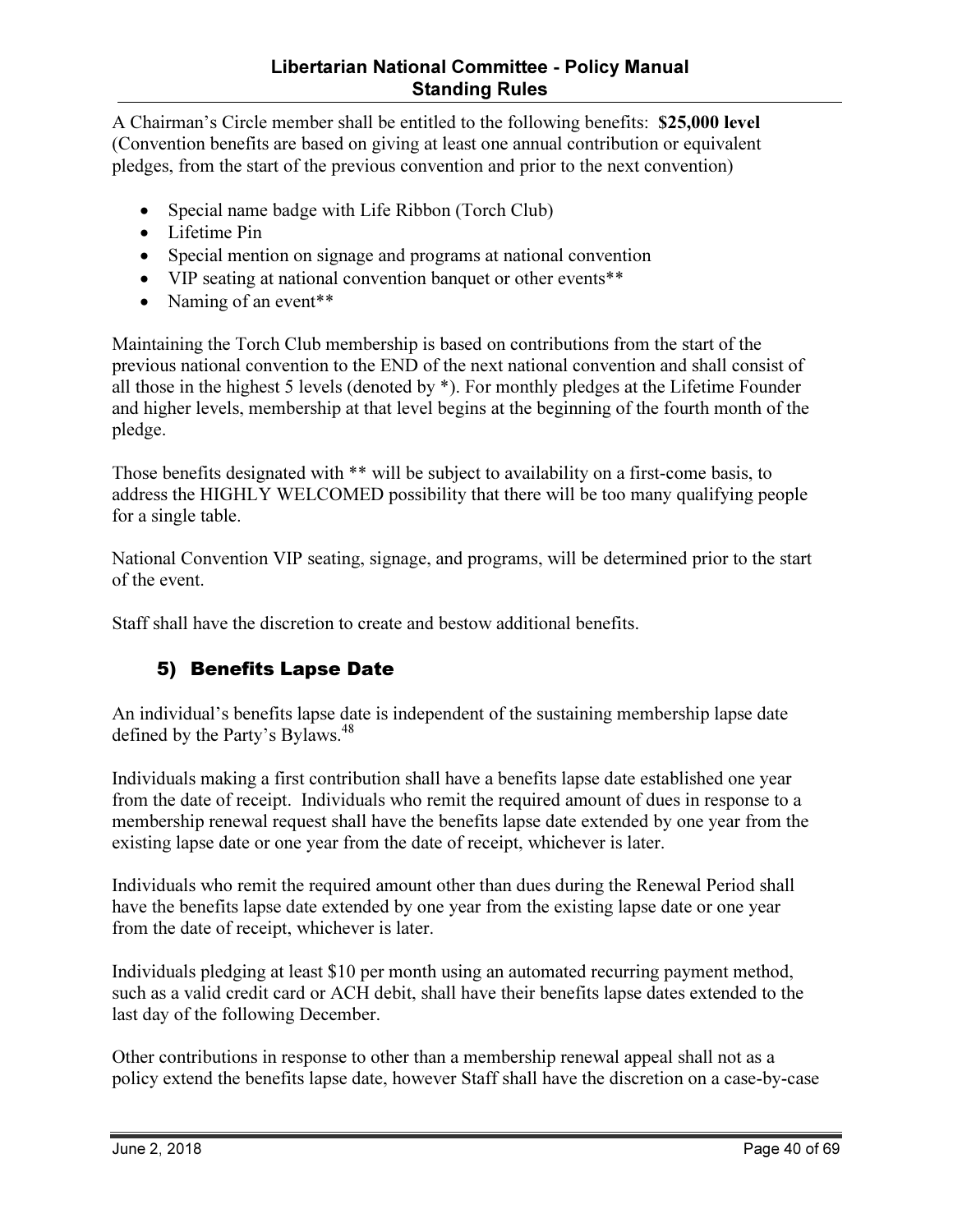#### Libertarian National Committee - Policy Manual Standing Rules

A Chairman's Circle member shall be entitled to the following benefits: \$25,000 level (Convention benefits are based on giving at least one annual contribution or equivalent pledges, from the start of the previous convention and prior to the next convention)

- Special name badge with Life Ribbon (Torch Club)
- Lifetime Pin
- Special mention on signage and programs at national convention
- VIP seating at national convention banquet or other events\*\*
- Naming of an event<sup>\*\*</sup>

Maintaining the Torch Club membership is based on contributions from the start of the previous national convention to the END of the next national convention and shall consist of all those in the highest 5 levels (denoted by \*). For monthly pledges at the Lifetime Founder and higher levels, membership at that level begins at the beginning of the fourth month of the pledge.

Those benefits designated with \*\* will be subject to availability on a first-come basis, to address the HIGHLY WELCOMED possibility that there will be too many qualifying people for a single table.

National Convention VIP seating, signage, and programs, will be determined prior to the start of the event.

Staff shall have the discretion to create and bestow additional benefits.

#### 5) Benefits Lapse Date

An individual's benefits lapse date is independent of the sustaining membership lapse date defined by the Party's Bylaws.<sup>48</sup>

Individuals making a first contribution shall have a benefits lapse date established one year from the date of receipt. Individuals who remit the required amount of dues in response to a membership renewal request shall have the benefits lapse date extended by one year from the existing lapse date or one year from the date of receipt, whichever is later.

Individuals who remit the required amount other than dues during the Renewal Period shall have the benefits lapse date extended by one year from the existing lapse date or one year from the date of receipt, whichever is later.

Individuals pledging at least \$10 per month using an automated recurring payment method, such as a valid credit card or ACH debit, shall have their benefits lapse dates extended to the last day of the following December.

Other contributions in response to other than a membership renewal appeal shall not as a policy extend the benefits lapse date, however Staff shall have the discretion on a case-by-case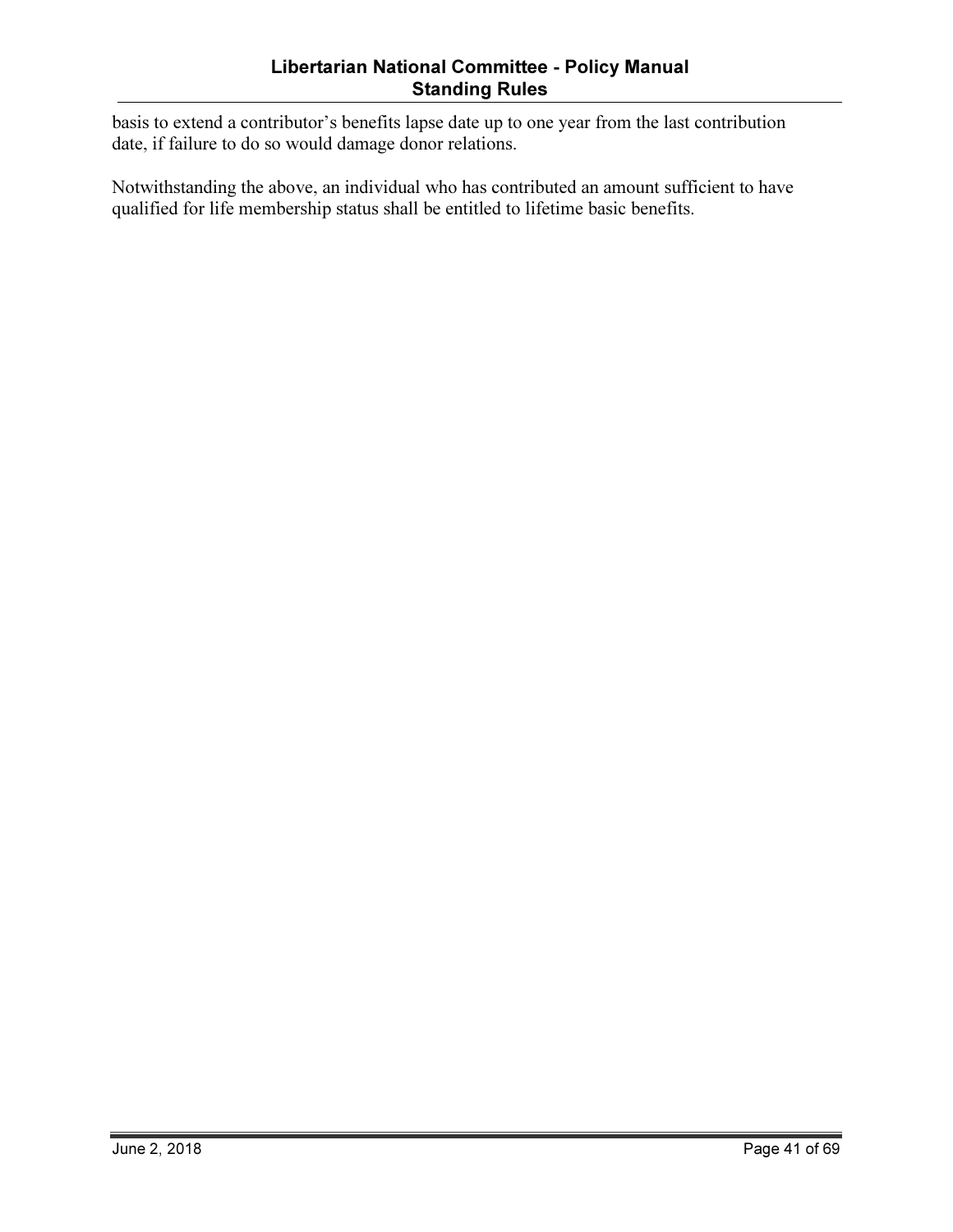basis to extend a contributor's benefits lapse date up to one year from the last contribution date, if failure to do so would damage donor relations.

Notwithstanding the above, an individual who has contributed an amount sufficient to have qualified for life membership status shall be entitled to lifetime basic benefits.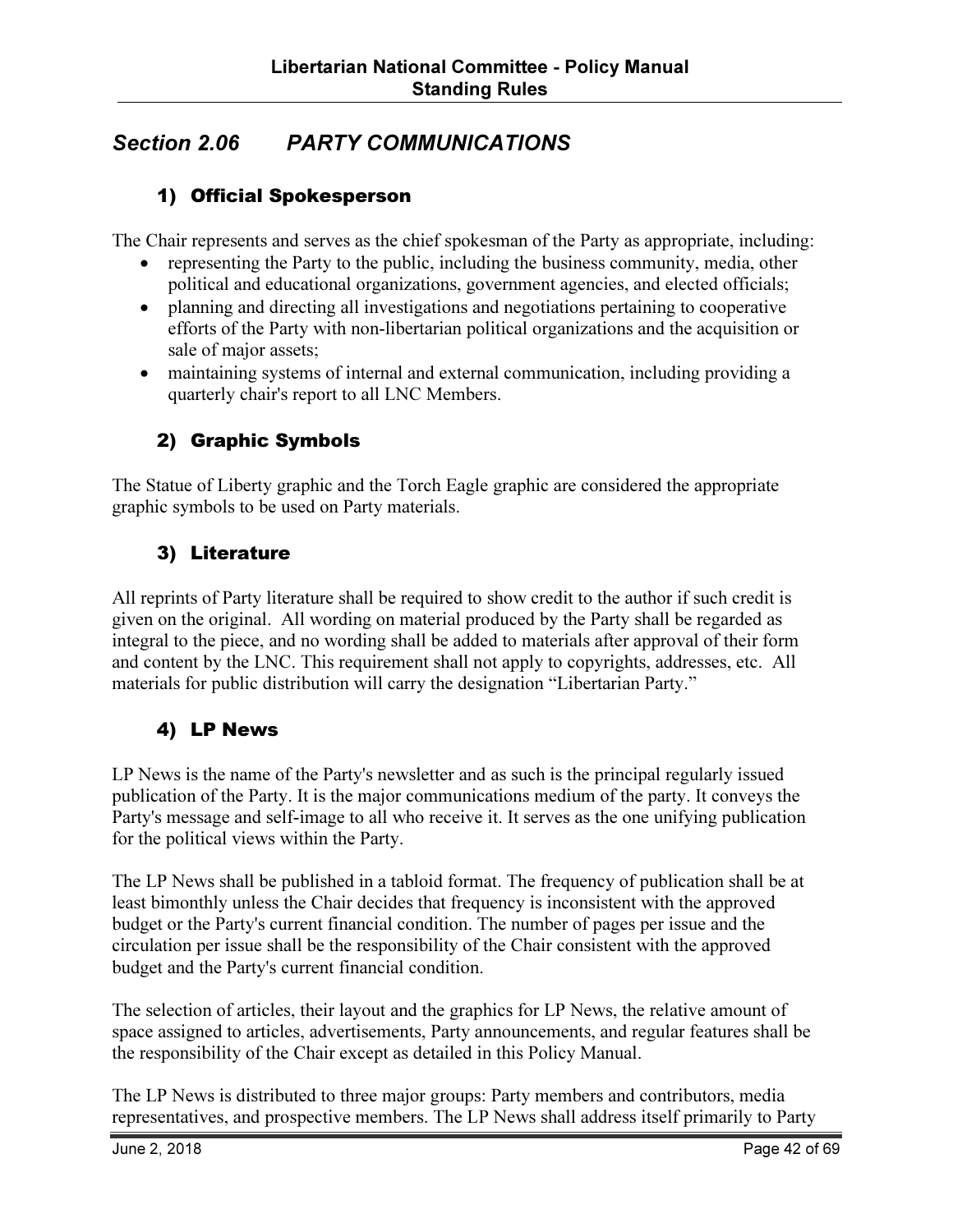# Section 2.06 PARTY COMMUNICATIONS

#### 1) Official Spokesperson

The Chair represents and serves as the chief spokesman of the Party as appropriate, including:

- representing the Party to the public, including the business community, media, other political and educational organizations, government agencies, and elected officials;
- planning and directing all investigations and negotiations pertaining to cooperative efforts of the Party with non-libertarian political organizations and the acquisition or sale of major assets;
- maintaining systems of internal and external communication, including providing a quarterly chair's report to all LNC Members.

#### 2) Graphic Symbols

The Statue of Liberty graphic and the Torch Eagle graphic are considered the appropriate graphic symbols to be used on Party materials.

#### 3) Literature

All reprints of Party literature shall be required to show credit to the author if such credit is given on the original. All wording on material produced by the Party shall be regarded as integral to the piece, and no wording shall be added to materials after approval of their form and content by the LNC. This requirement shall not apply to copyrights, addresses, etc. All materials for public distribution will carry the designation "Libertarian Party."

#### 4) LP News

LP News is the name of the Party's newsletter and as such is the principal regularly issued publication of the Party. It is the major communications medium of the party. It conveys the Party's message and self-image to all who receive it. It serves as the one unifying publication for the political views within the Party.

The LP News shall be published in a tabloid format. The frequency of publication shall be at least bimonthly unless the Chair decides that frequency is inconsistent with the approved budget or the Party's current financial condition. The number of pages per issue and the circulation per issue shall be the responsibility of the Chair consistent with the approved budget and the Party's current financial condition.

The selection of articles, their layout and the graphics for LP News, the relative amount of space assigned to articles, advertisements, Party announcements, and regular features shall be the responsibility of the Chair except as detailed in this Policy Manual.

The LP News is distributed to three major groups: Party members and contributors, media representatives, and prospective members. The LP News shall address itself primarily to Party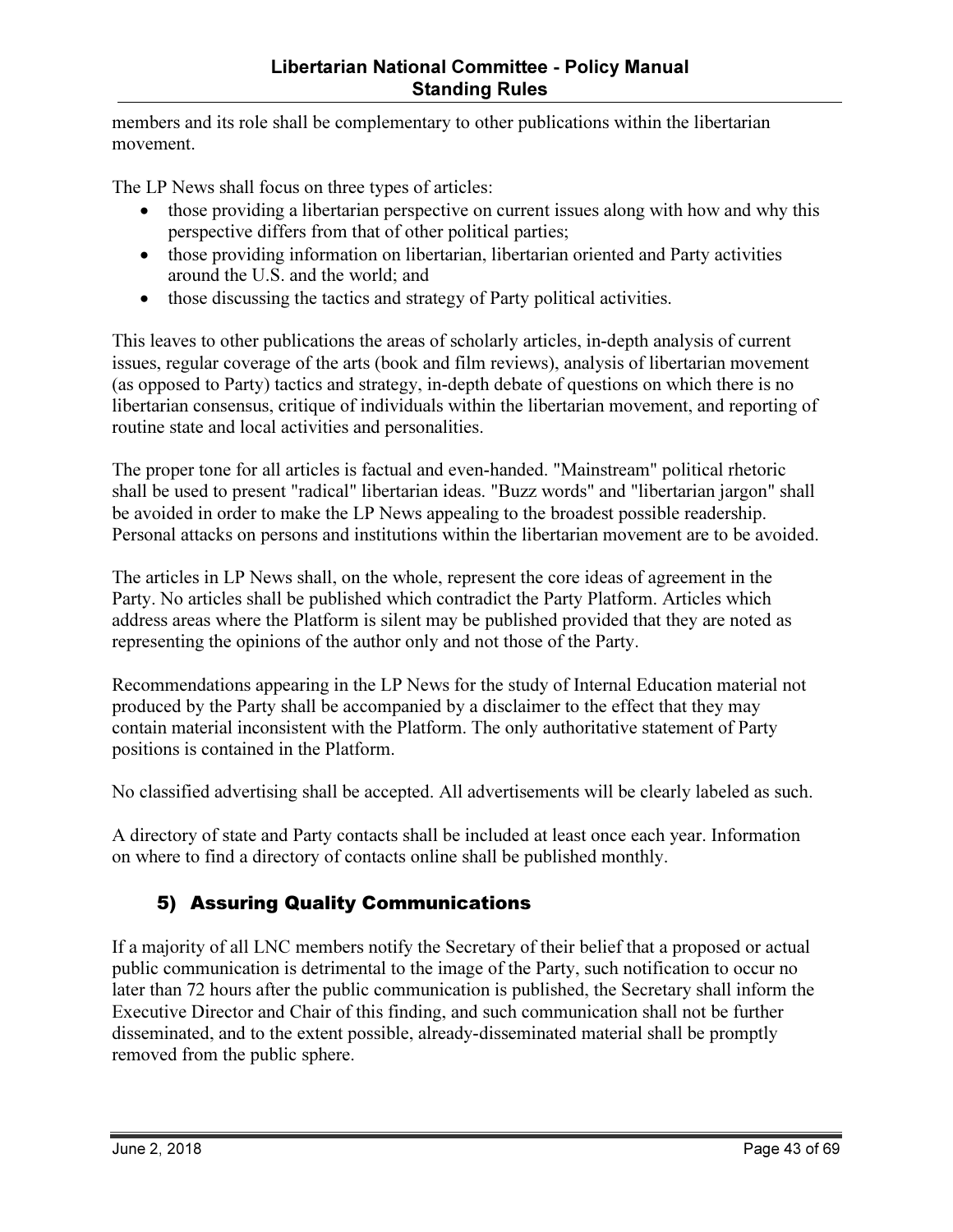members and its role shall be complementary to other publications within the libertarian movement.

The LP News shall focus on three types of articles:

- those providing a libertarian perspective on current issues along with how and why this perspective differs from that of other political parties;
- those providing information on libertarian, libertarian oriented and Party activities around the U.S. and the world; and
- those discussing the tactics and strategy of Party political activities.

This leaves to other publications the areas of scholarly articles, in-depth analysis of current issues, regular coverage of the arts (book and film reviews), analysis of libertarian movement (as opposed to Party) tactics and strategy, in-depth debate of questions on which there is no libertarian consensus, critique of individuals within the libertarian movement, and reporting of routine state and local activities and personalities.

The proper tone for all articles is factual and even-handed. "Mainstream" political rhetoric shall be used to present "radical" libertarian ideas. "Buzz words" and "libertarian jargon" shall be avoided in order to make the LP News appealing to the broadest possible readership. Personal attacks on persons and institutions within the libertarian movement are to be avoided.

The articles in LP News shall, on the whole, represent the core ideas of agreement in the Party. No articles shall be published which contradict the Party Platform. Articles which address areas where the Platform is silent may be published provided that they are noted as representing the opinions of the author only and not those of the Party.

Recommendations appearing in the LP News for the study of Internal Education material not produced by the Party shall be accompanied by a disclaimer to the effect that they may contain material inconsistent with the Platform. The only authoritative statement of Party positions is contained in the Platform.

No classified advertising shall be accepted. All advertisements will be clearly labeled as such.

A directory of state and Party contacts shall be included at least once each year. Information on where to find a directory of contacts online shall be published monthly.

## 5) Assuring Quality Communications

If a majority of all LNC members notify the Secretary of their belief that a proposed or actual public communication is detrimental to the image of the Party, such notification to occur no later than 72 hours after the public communication is published, the Secretary shall inform the Executive Director and Chair of this finding, and such communication shall not be further disseminated, and to the extent possible, already-disseminated material shall be promptly removed from the public sphere.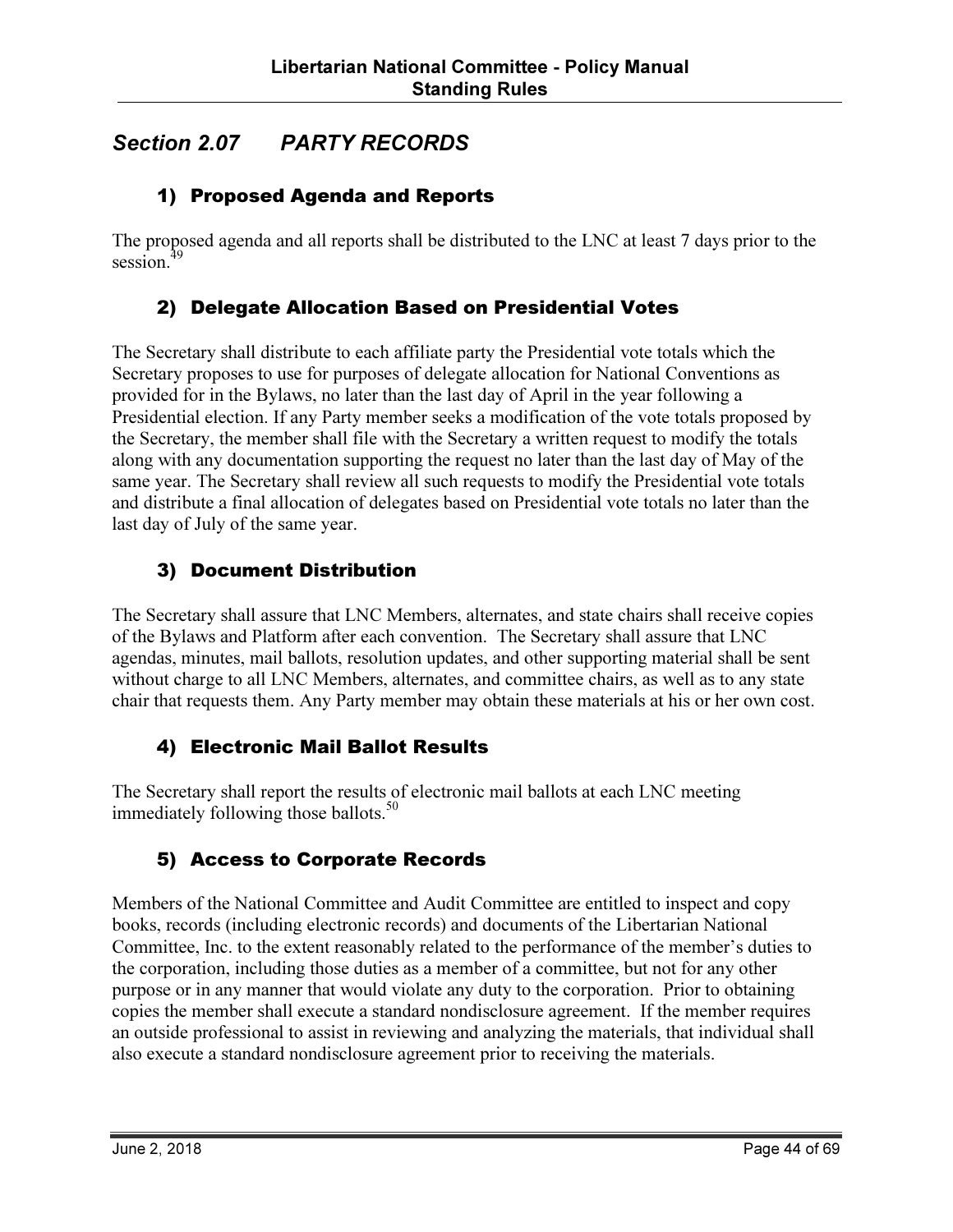# Section 2.07 PARTY RECORDS

#### 1) Proposed Agenda and Reports

The proposed agenda and all reports shall be distributed to the LNC at least 7 days prior to the session.<sup>49</sup>

#### 2) Delegate Allocation Based on Presidential Votes

The Secretary shall distribute to each affiliate party the Presidential vote totals which the Secretary proposes to use for purposes of delegate allocation for National Conventions as provided for in the Bylaws, no later than the last day of April in the year following a Presidential election. If any Party member seeks a modification of the vote totals proposed by the Secretary, the member shall file with the Secretary a written request to modify the totals along with any documentation supporting the request no later than the last day of May of the same year. The Secretary shall review all such requests to modify the Presidential vote totals and distribute a final allocation of delegates based on Presidential vote totals no later than the last day of July of the same year.

#### 3) Document Distribution

The Secretary shall assure that LNC Members, alternates, and state chairs shall receive copies of the Bylaws and Platform after each convention. The Secretary shall assure that LNC agendas, minutes, mail ballots, resolution updates, and other supporting material shall be sent without charge to all LNC Members, alternates, and committee chairs, as well as to any state chair that requests them. Any Party member may obtain these materials at his or her own cost.

#### 4) Electronic Mail Ballot Results

The Secretary shall report the results of electronic mail ballots at each LNC meeting immediately following those ballots. $50$ 

#### 5) Access to Corporate Records

Members of the National Committee and Audit Committee are entitled to inspect and copy books, records (including electronic records) and documents of the Libertarian National Committee, Inc. to the extent reasonably related to the performance of the member's duties to the corporation, including those duties as a member of a committee, but not for any other purpose or in any manner that would violate any duty to the corporation. Prior to obtaining copies the member shall execute a standard nondisclosure agreement. If the member requires an outside professional to assist in reviewing and analyzing the materials, that individual shall also execute a standard nondisclosure agreement prior to receiving the materials.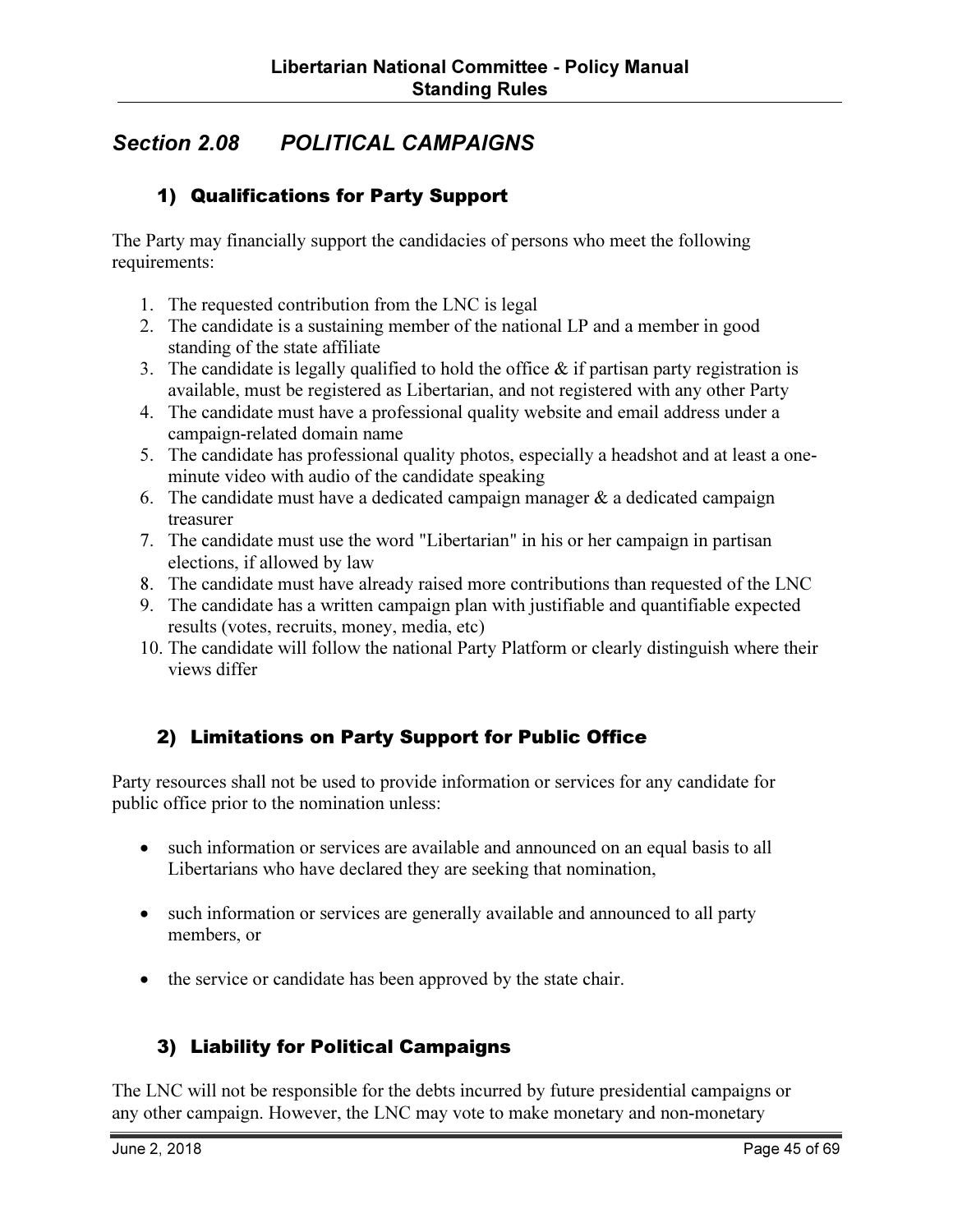# Section 2.08 POLITICAL CAMPAIGNS

#### 1) Qualifications for Party Support

The Party may financially support the candidacies of persons who meet the following requirements:

- 1. The requested contribution from the LNC is legal
- 2. The candidate is a sustaining member of the national LP and a member in good standing of the state affiliate
- 3. The candidate is legally qualified to hold the office  $\&$  if partisan party registration is available, must be registered as Libertarian, and not registered with any other Party
- 4. The candidate must have a professional quality website and email address under a campaign-related domain name
- 5. The candidate has professional quality photos, especially a headshot and at least a oneminute video with audio of the candidate speaking
- 6. The candidate must have a dedicated campaign manager  $\&$  a dedicated campaign treasurer
- 7. The candidate must use the word "Libertarian" in his or her campaign in partisan elections, if allowed by law
- 8. The candidate must have already raised more contributions than requested of the LNC
- 9. The candidate has a written campaign plan with justifiable and quantifiable expected results (votes, recruits, money, media, etc)
- 10. The candidate will follow the national Party Platform or clearly distinguish where their views differ

#### 2) Limitations on Party Support for Public Office

Party resources shall not be used to provide information or services for any candidate for public office prior to the nomination unless:

- such information or services are available and announced on an equal basis to all Libertarians who have declared they are seeking that nomination,
- such information or services are generally available and announced to all party members, or
- the service or candidate has been approved by the state chair.

#### 3) Liability for Political Campaigns

The LNC will not be responsible for the debts incurred by future presidential campaigns or any other campaign. However, the LNC may vote to make monetary and non-monetary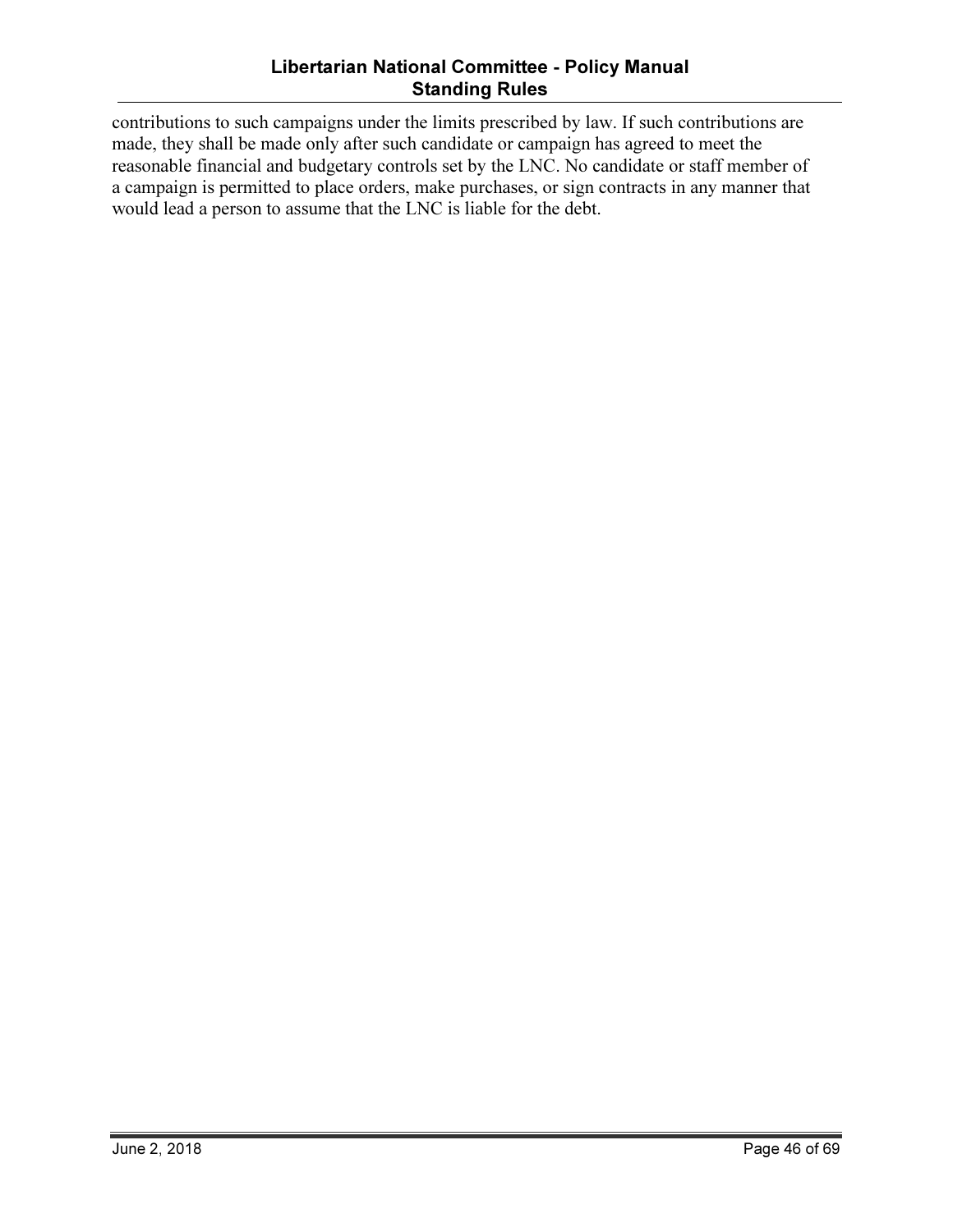#### Libertarian National Committee - Policy Manual Standing Rules

contributions to such campaigns under the limits prescribed by law. If such contributions are made, they shall be made only after such candidate or campaign has agreed to meet the reasonable financial and budgetary controls set by the LNC. No candidate or staff member of a campaign is permitted to place orders, make purchases, or sign contracts in any manner that would lead a person to assume that the LNC is liable for the debt.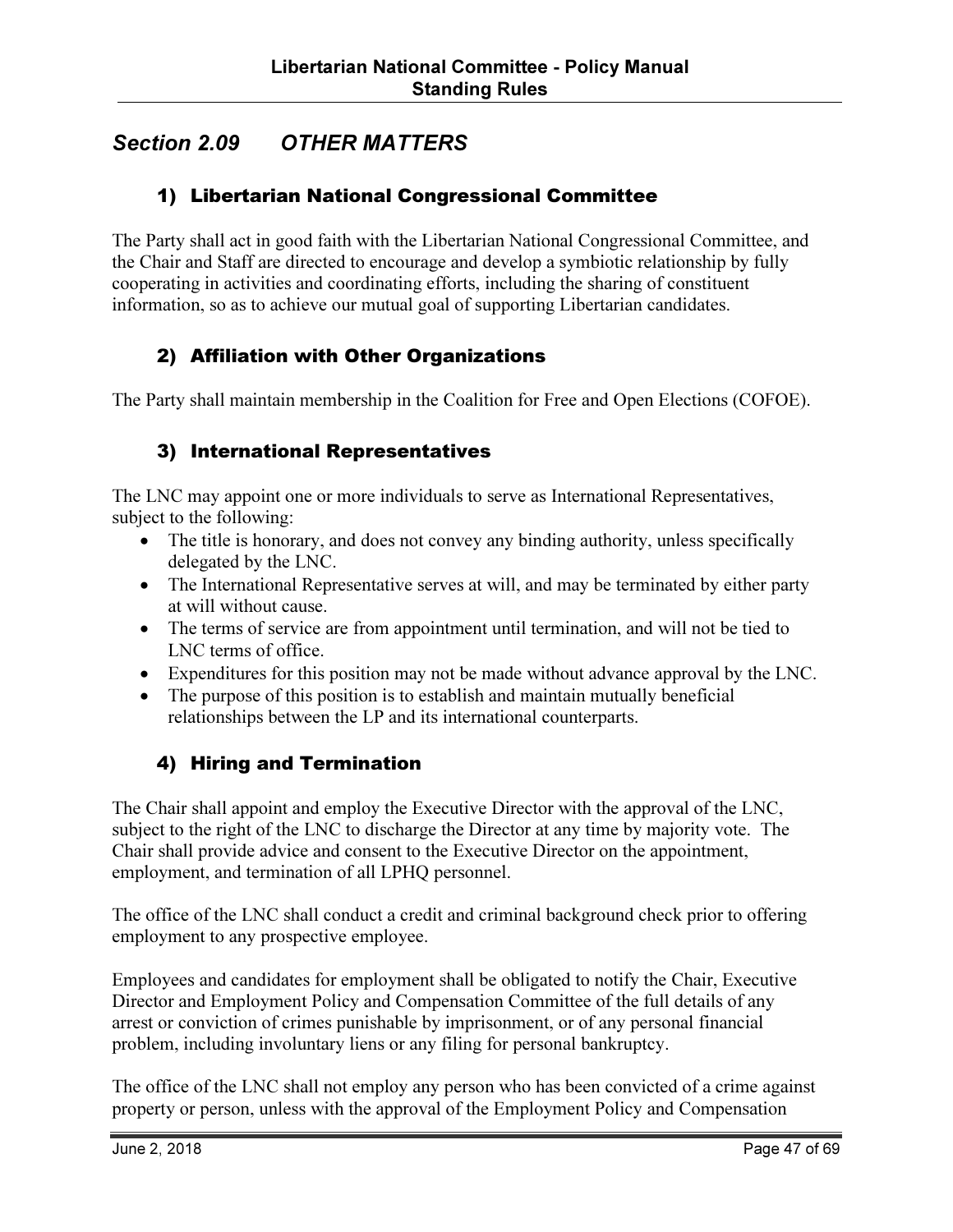# Section 2.09 OTHER MATTERS

#### 1) Libertarian National Congressional Committee

The Party shall act in good faith with the Libertarian National Congressional Committee, and the Chair and Staff are directed to encourage and develop a symbiotic relationship by fully cooperating in activities and coordinating efforts, including the sharing of constituent information, so as to achieve our mutual goal of supporting Libertarian candidates.

#### 2) Affiliation with Other Organizations

The Party shall maintain membership in the Coalition for Free and Open Elections (COFOE).

#### 3) International Representatives

The LNC may appoint one or more individuals to serve as International Representatives, subject to the following:

- The title is honorary, and does not convey any binding authority, unless specifically delegated by the LNC.
- The International Representative serves at will, and may be terminated by either party at will without cause.
- The terms of service are from appointment until termination, and will not be tied to LNC terms of office.
- Expenditures for this position may not be made without advance approval by the LNC.
- The purpose of this position is to establish and maintain mutually beneficial relationships between the LP and its international counterparts.

#### 4) Hiring and Termination

The Chair shall appoint and employ the Executive Director with the approval of the LNC, subject to the right of the LNC to discharge the Director at any time by majority vote. The Chair shall provide advice and consent to the Executive Director on the appointment, employment, and termination of all LPHQ personnel.

The office of the LNC shall conduct a credit and criminal background check prior to offering employment to any prospective employee.

Employees and candidates for employment shall be obligated to notify the Chair, Executive Director and Employment Policy and Compensation Committee of the full details of any arrest or conviction of crimes punishable by imprisonment, or of any personal financial problem, including involuntary liens or any filing for personal bankruptcy.

The office of the LNC shall not employ any person who has been convicted of a crime against property or person, unless with the approval of the Employment Policy and Compensation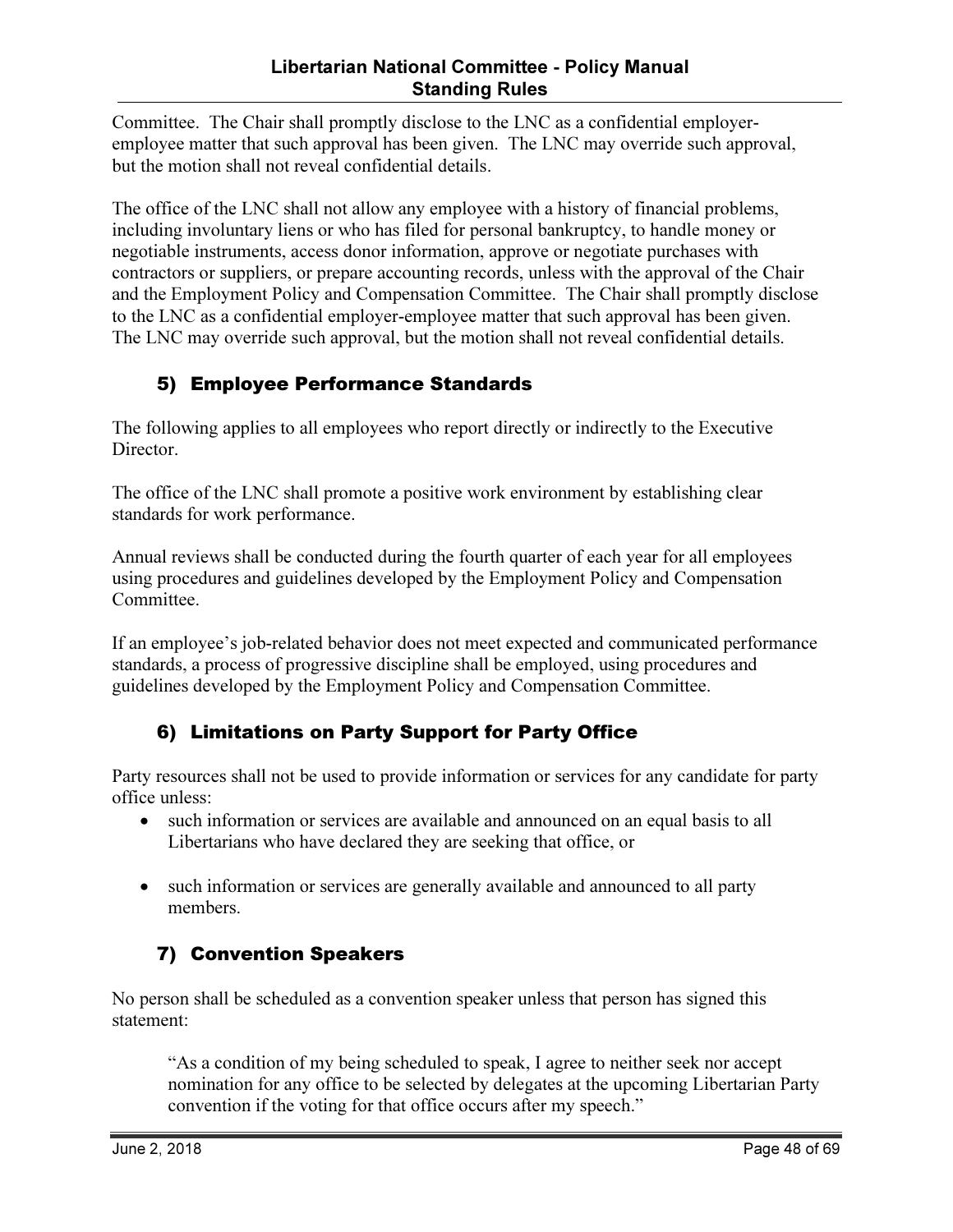Committee. The Chair shall promptly disclose to the LNC as a confidential employeremployee matter that such approval has been given. The LNC may override such approval, but the motion shall not reveal confidential details.

The office of the LNC shall not allow any employee with a history of financial problems, including involuntary liens or who has filed for personal bankruptcy, to handle money or negotiable instruments, access donor information, approve or negotiate purchases with contractors or suppliers, or prepare accounting records, unless with the approval of the Chair and the Employment Policy and Compensation Committee. The Chair shall promptly disclose to the LNC as a confidential employer-employee matter that such approval has been given. The LNC may override such approval, but the motion shall not reveal confidential details.

### 5) Employee Performance Standards

The following applies to all employees who report directly or indirectly to the Executive Director.

The office of the LNC shall promote a positive work environment by establishing clear standards for work performance.

Annual reviews shall be conducted during the fourth quarter of each year for all employees using procedures and guidelines developed by the Employment Policy and Compensation Committee.

If an employee's job-related behavior does not meet expected and communicated performance standards, a process of progressive discipline shall be employed, using procedures and guidelines developed by the Employment Policy and Compensation Committee.

#### 6) Limitations on Party Support for Party Office

Party resources shall not be used to provide information or services for any candidate for party office unless:

- such information or services are available and announced on an equal basis to all Libertarians who have declared they are seeking that office, or
- such information or services are generally available and announced to all party members.

## 7) Convention Speakers

No person shall be scheduled as a convention speaker unless that person has signed this statement:

"As a condition of my being scheduled to speak, I agree to neither seek nor accept nomination for any office to be selected by delegates at the upcoming Libertarian Party convention if the voting for that office occurs after my speech."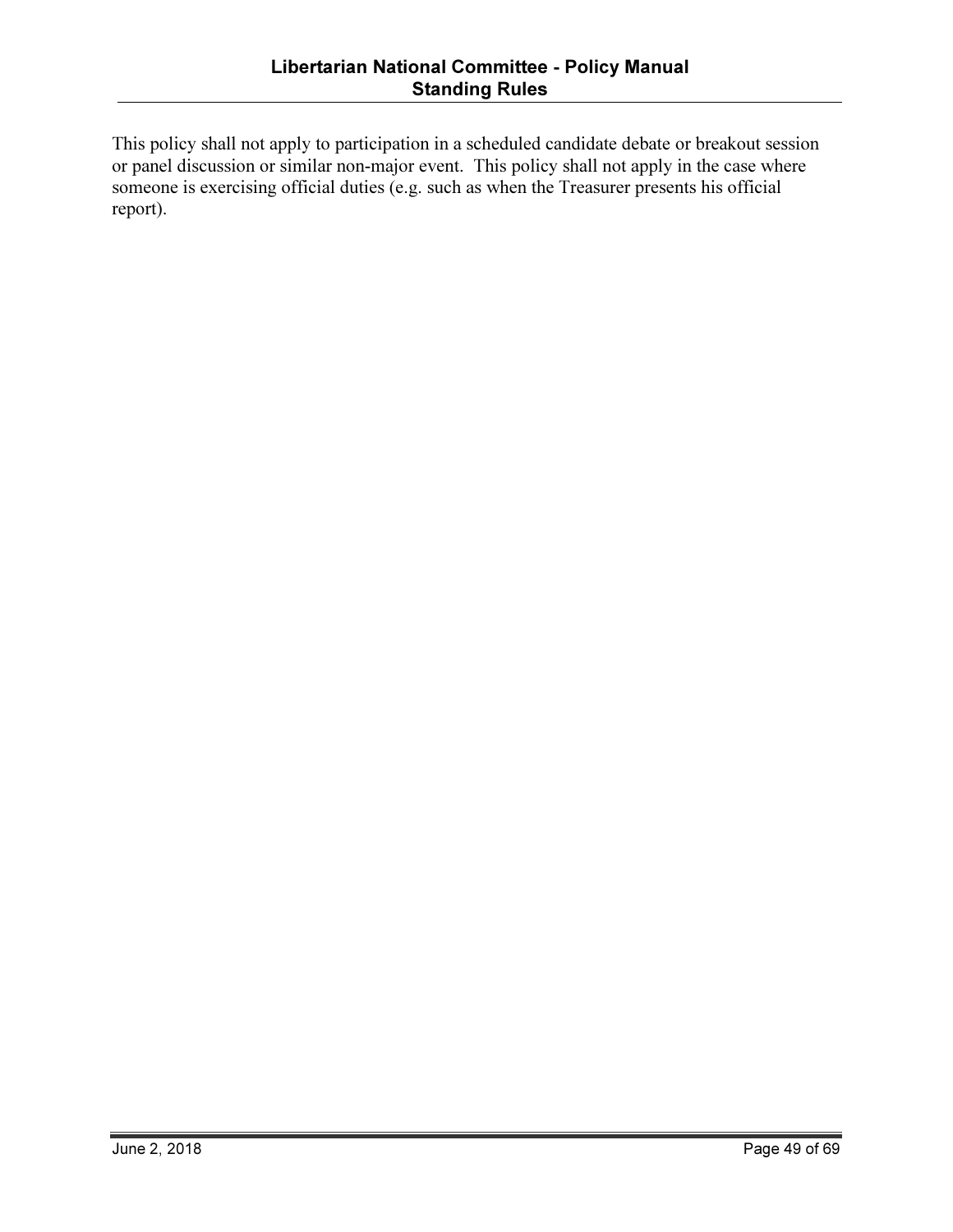This policy shall not apply to participation in a scheduled candidate debate or breakout session or panel discussion or similar non-major event. This policy shall not apply in the case where someone is exercising official duties (e.g. such as when the Treasurer presents his official report).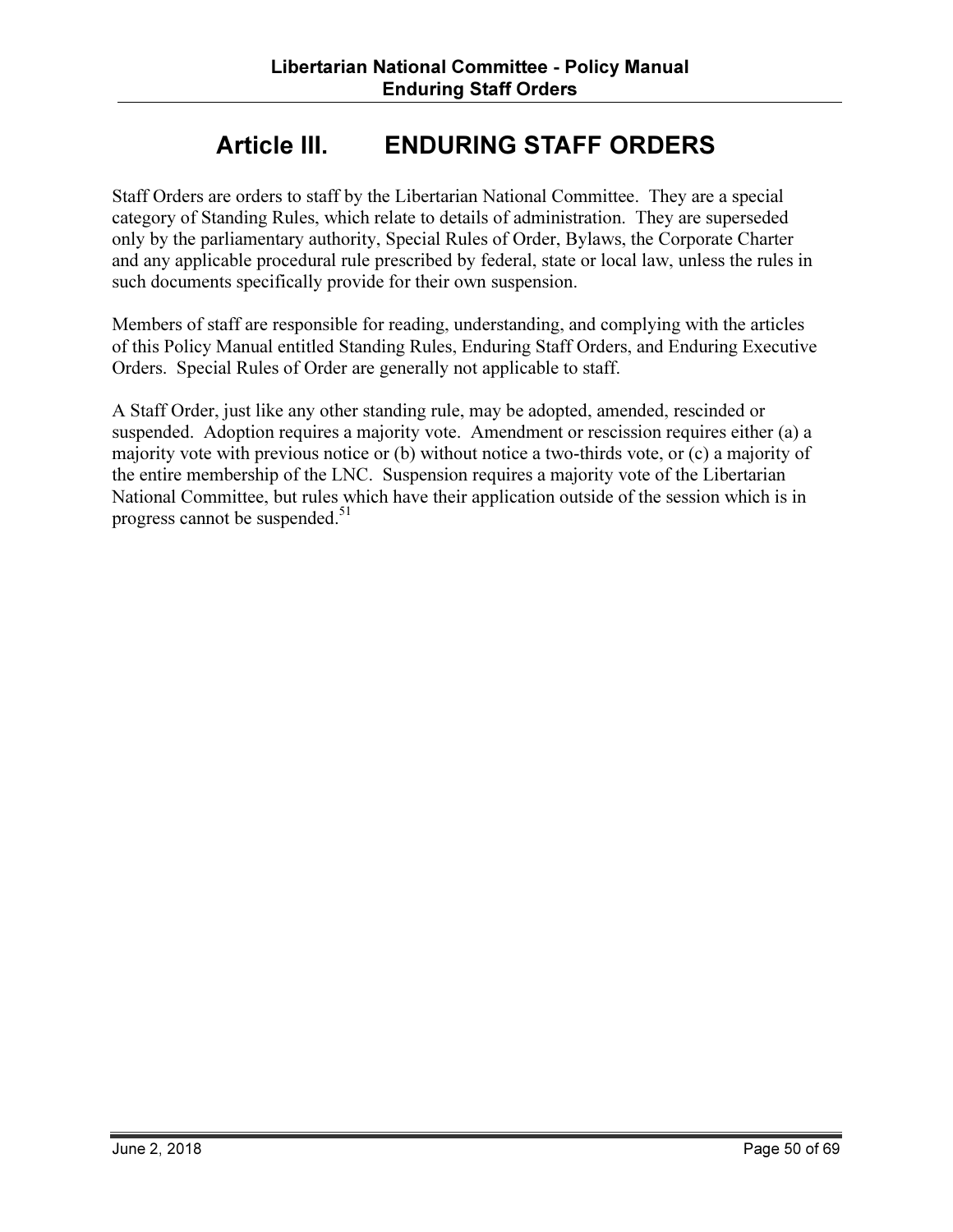# Article III. ENDURING STAFF ORDERS

Staff Orders are orders to staff by the Libertarian National Committee. They are a special category of Standing Rules, which relate to details of administration. They are superseded only by the parliamentary authority, Special Rules of Order, Bylaws, the Corporate Charter and any applicable procedural rule prescribed by federal, state or local law, unless the rules in such documents specifically provide for their own suspension.

Members of staff are responsible for reading, understanding, and complying with the articles of this Policy Manual entitled Standing Rules, Enduring Staff Orders, and Enduring Executive Orders. Special Rules of Order are generally not applicable to staff.

A Staff Order, just like any other standing rule, may be adopted, amended, rescinded or suspended. Adoption requires a majority vote. Amendment or rescission requires either (a) a majority vote with previous notice or (b) without notice a two-thirds vote, or (c) a majority of the entire membership of the LNC. Suspension requires a majority vote of the Libertarian National Committee, but rules which have their application outside of the session which is in progress cannot be suspended.<sup>51</sup>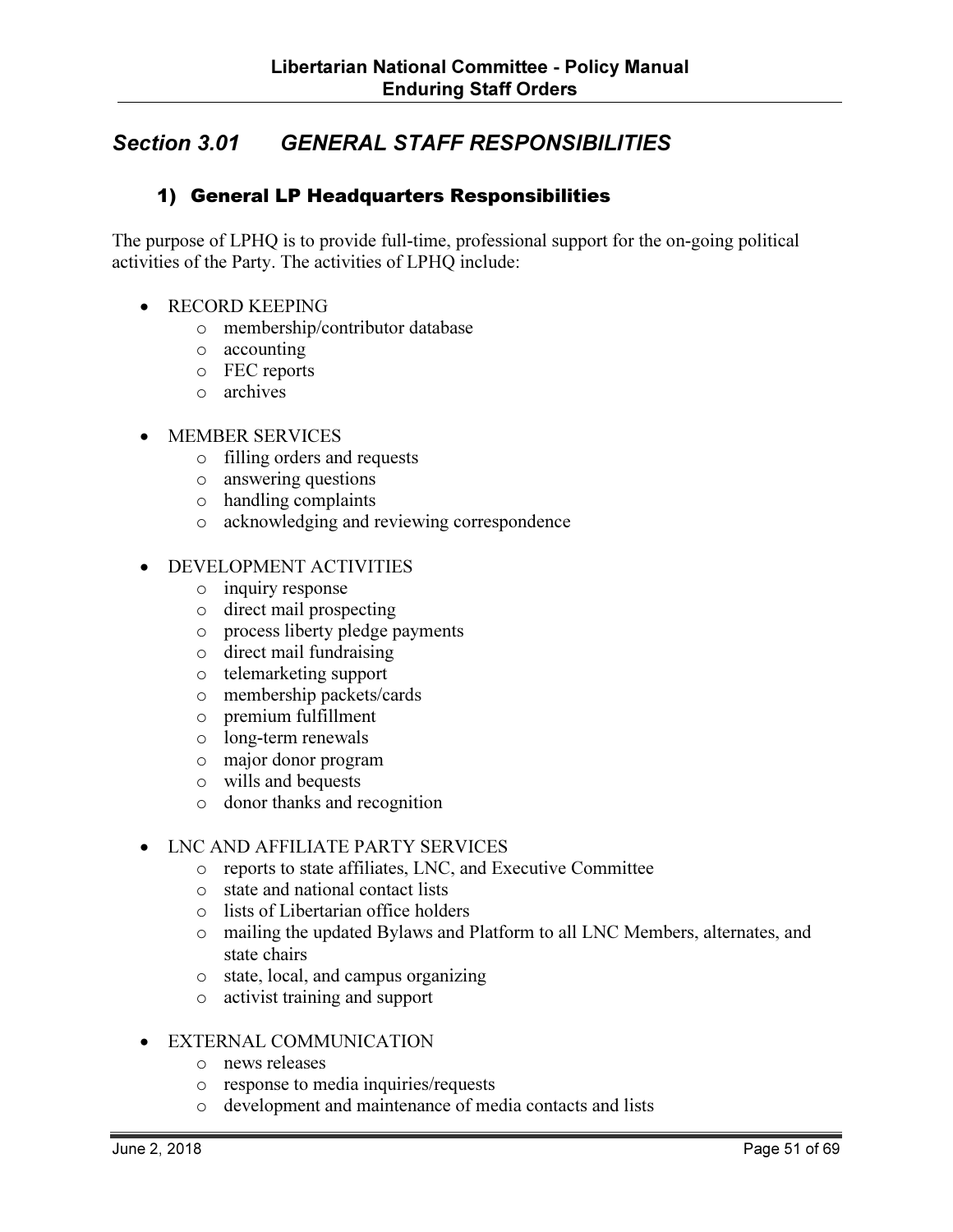# Section 3.01 GENERAL STAFF RESPONSIBILITIES

#### 1) General LP Headquarters Responsibilities

The purpose of LPHQ is to provide full-time, professional support for the on-going political activities of the Party. The activities of LPHQ include:

- RECORD KEEPING
	- o membership/contributor database
	- o accounting
	- o FEC reports
	- o archives
- MEMBER SERVICES
	- o filling orders and requests
	- o answering questions
	- o handling complaints
	- o acknowledging and reviewing correspondence
- DEVELOPMENT ACTIVITIES
	- o inquiry response
	- o direct mail prospecting
	- o process liberty pledge payments
	- o direct mail fundraising
	- o telemarketing support
	- o membership packets/cards
	- o premium fulfillment
	- o long-term renewals
	- o major donor program
	- o wills and bequests
	- o donor thanks and recognition

#### • LNC AND AFFILIATE PARTY SERVICES

- o reports to state affiliates, LNC, and Executive Committee
- o state and national contact lists
- o lists of Libertarian office holders
- o mailing the updated Bylaws and Platform to all LNC Members, alternates, and state chairs
- o state, local, and campus organizing
- o activist training and support

#### • EXTERNAL COMMUNICATION

- o news releases
- o response to media inquiries/requests
- o development and maintenance of media contacts and lists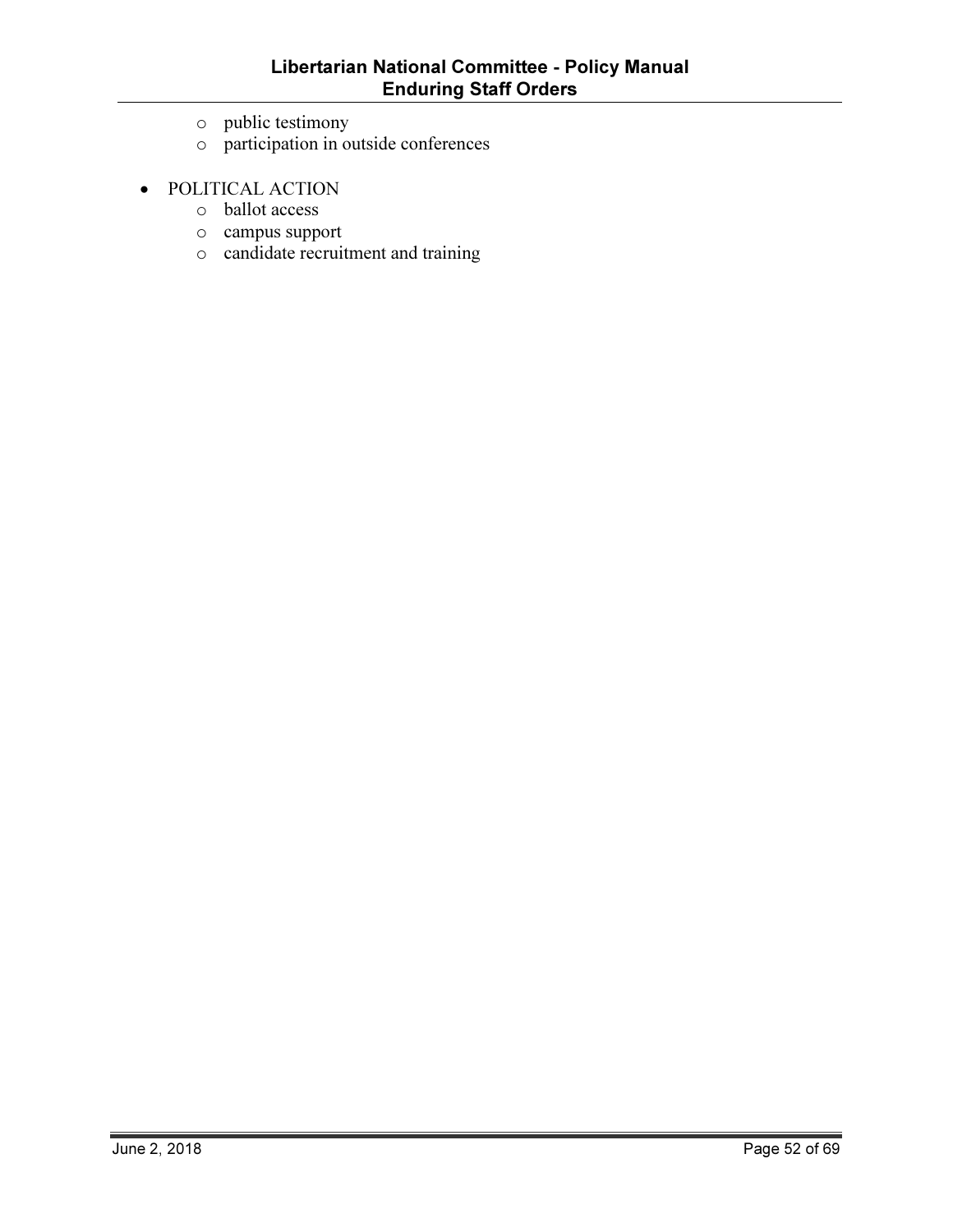- o public testimony
- o participation in outside conferences
- POLITICAL ACTION
	- o ballot access
	- o campus support
	- o candidate recruitment and training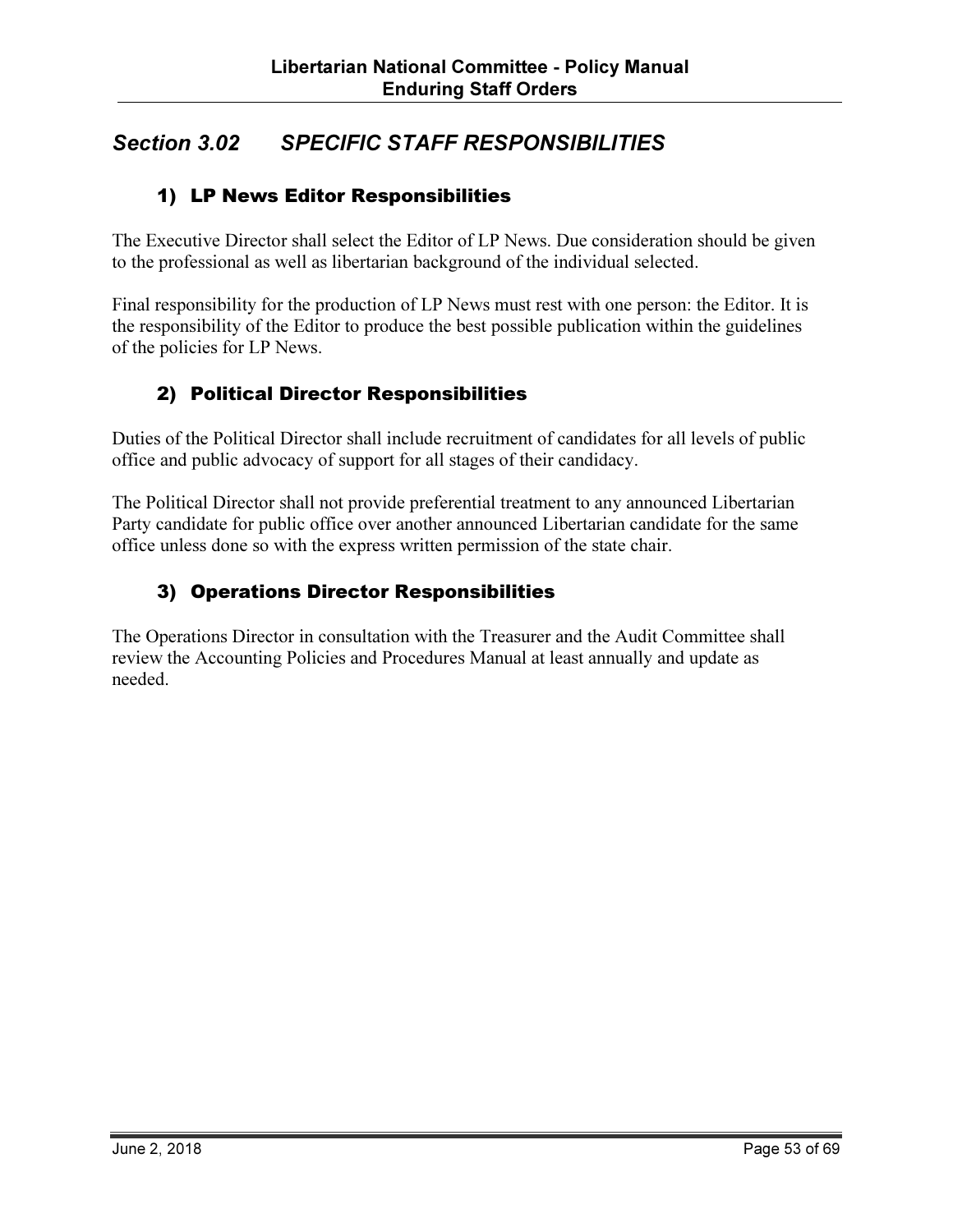# Section 3.02 SPECIFIC STAFF RESPONSIBILITIES

#### 1) LP News Editor Responsibilities

The Executive Director shall select the Editor of LP News. Due consideration should be given to the professional as well as libertarian background of the individual selected.

Final responsibility for the production of LP News must rest with one person: the Editor. It is the responsibility of the Editor to produce the best possible publication within the guidelines of the policies for LP News.

#### 2) Political Director Responsibilities

Duties of the Political Director shall include recruitment of candidates for all levels of public office and public advocacy of support for all stages of their candidacy.

The Political Director shall not provide preferential treatment to any announced Libertarian Party candidate for public office over another announced Libertarian candidate for the same office unless done so with the express written permission of the state chair.

#### 3) Operations Director Responsibilities

The Operations Director in consultation with the Treasurer and the Audit Committee shall review the Accounting Policies and Procedures Manual at least annually and update as needed.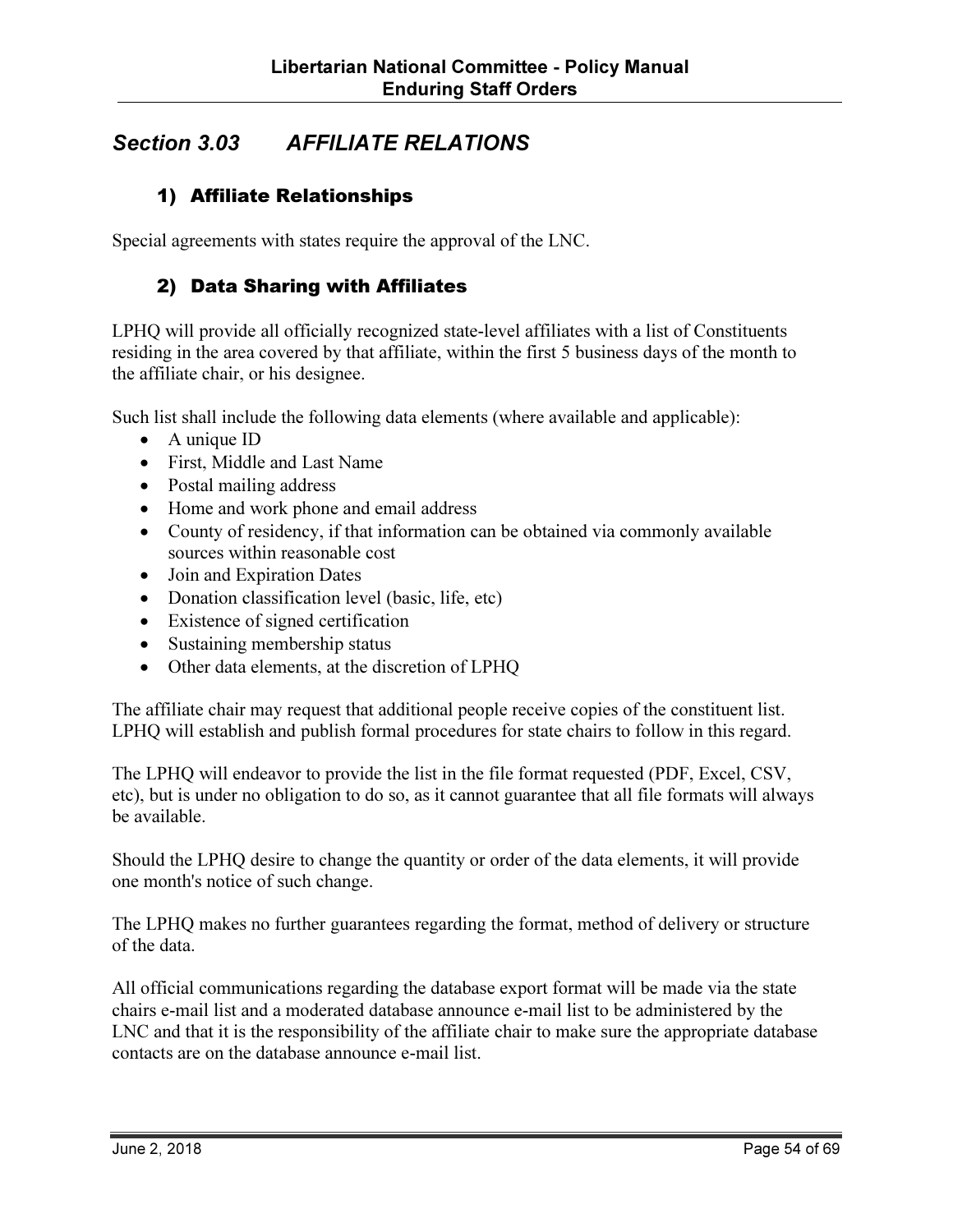# Section 3.03 AFFILIATE RELATIONS

#### 1) Affiliate Relationships

Special agreements with states require the approval of the LNC.

#### 2) Data Sharing with Affiliates

LPHQ will provide all officially recognized state-level affiliates with a list of Constituents residing in the area covered by that affiliate, within the first 5 business days of the month to the affiliate chair, or his designee.

Such list shall include the following data elements (where available and applicable):

- A unique ID
- First, Middle and Last Name
- Postal mailing address
- Home and work phone and email address
- County of residency, if that information can be obtained via commonly available sources within reasonable cost
- Join and Expiration Dates
- Donation classification level (basic, life, etc)
- Existence of signed certification
- Sustaining membership status
- Other data elements, at the discretion of LPHQ

The affiliate chair may request that additional people receive copies of the constituent list. LPHQ will establish and publish formal procedures for state chairs to follow in this regard.

The LPHQ will endeavor to provide the list in the file format requested (PDF, Excel, CSV, etc), but is under no obligation to do so, as it cannot guarantee that all file formats will always be available.

Should the LPHQ desire to change the quantity or order of the data elements, it will provide one month's notice of such change.

The LPHQ makes no further guarantees regarding the format, method of delivery or structure of the data.

All official communications regarding the database export format will be made via the state chairs e-mail list and a moderated database announce e-mail list to be administered by the LNC and that it is the responsibility of the affiliate chair to make sure the appropriate database contacts are on the database announce e-mail list.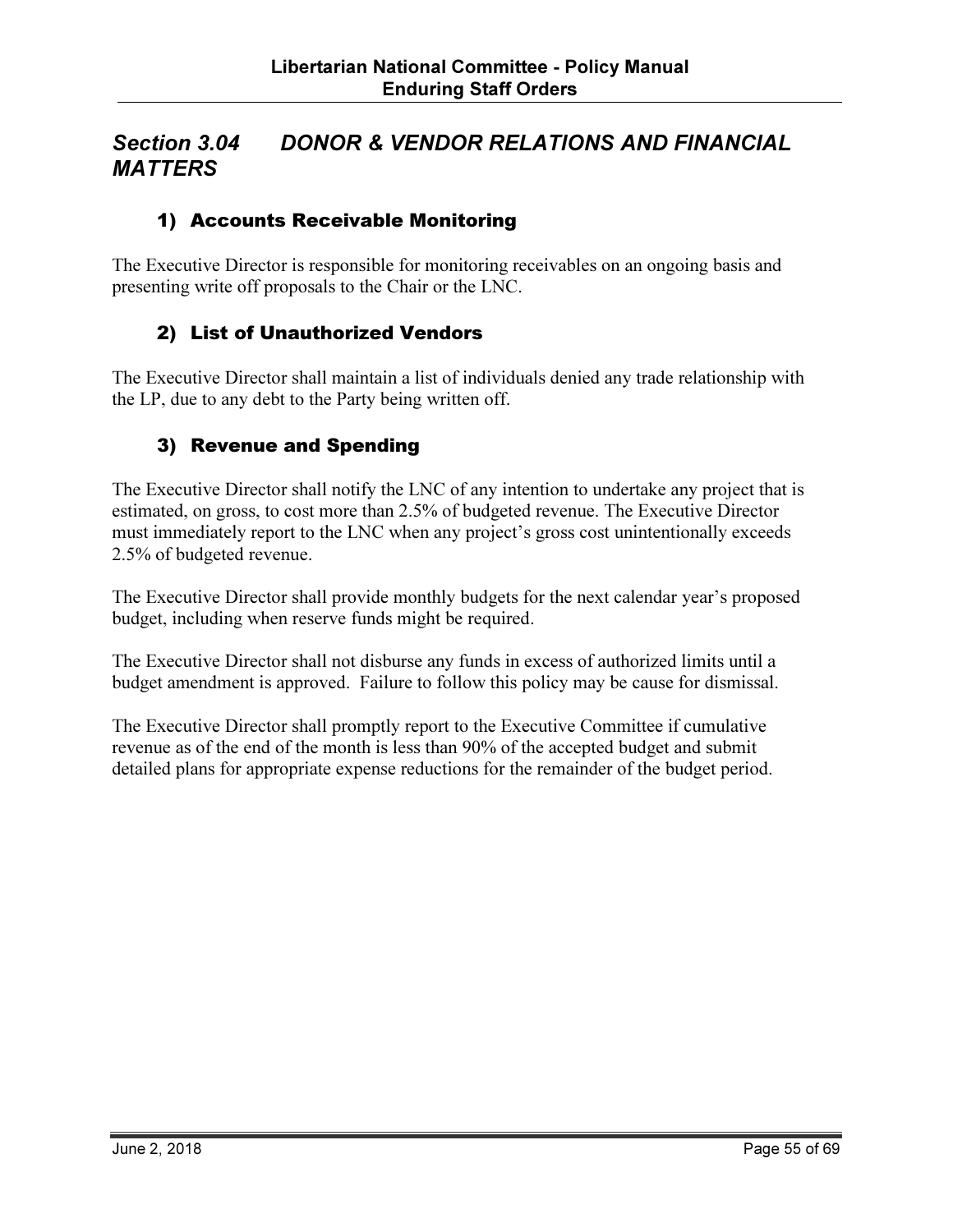## Section 3.04 DONOR & VENDOR RELATIONS AND FINANCIAL **MATTERS**

#### 1) Accounts Receivable Monitoring

The Executive Director is responsible for monitoring receivables on an ongoing basis and presenting write off proposals to the Chair or the LNC.

#### 2) List of Unauthorized Vendors

The Executive Director shall maintain a list of individuals denied any trade relationship with the LP, due to any debt to the Party being written off.

#### 3) Revenue and Spending

The Executive Director shall notify the LNC of any intention to undertake any project that is estimated, on gross, to cost more than 2.5% of budgeted revenue. The Executive Director must immediately report to the LNC when any project's gross cost unintentionally exceeds 2.5% of budgeted revenue.

The Executive Director shall provide monthly budgets for the next calendar year's proposed budget, including when reserve funds might be required.

The Executive Director shall not disburse any funds in excess of authorized limits until a budget amendment is approved. Failure to follow this policy may be cause for dismissal.

The Executive Director shall promptly report to the Executive Committee if cumulative revenue as of the end of the month is less than 90% of the accepted budget and submit detailed plans for appropriate expense reductions for the remainder of the budget period.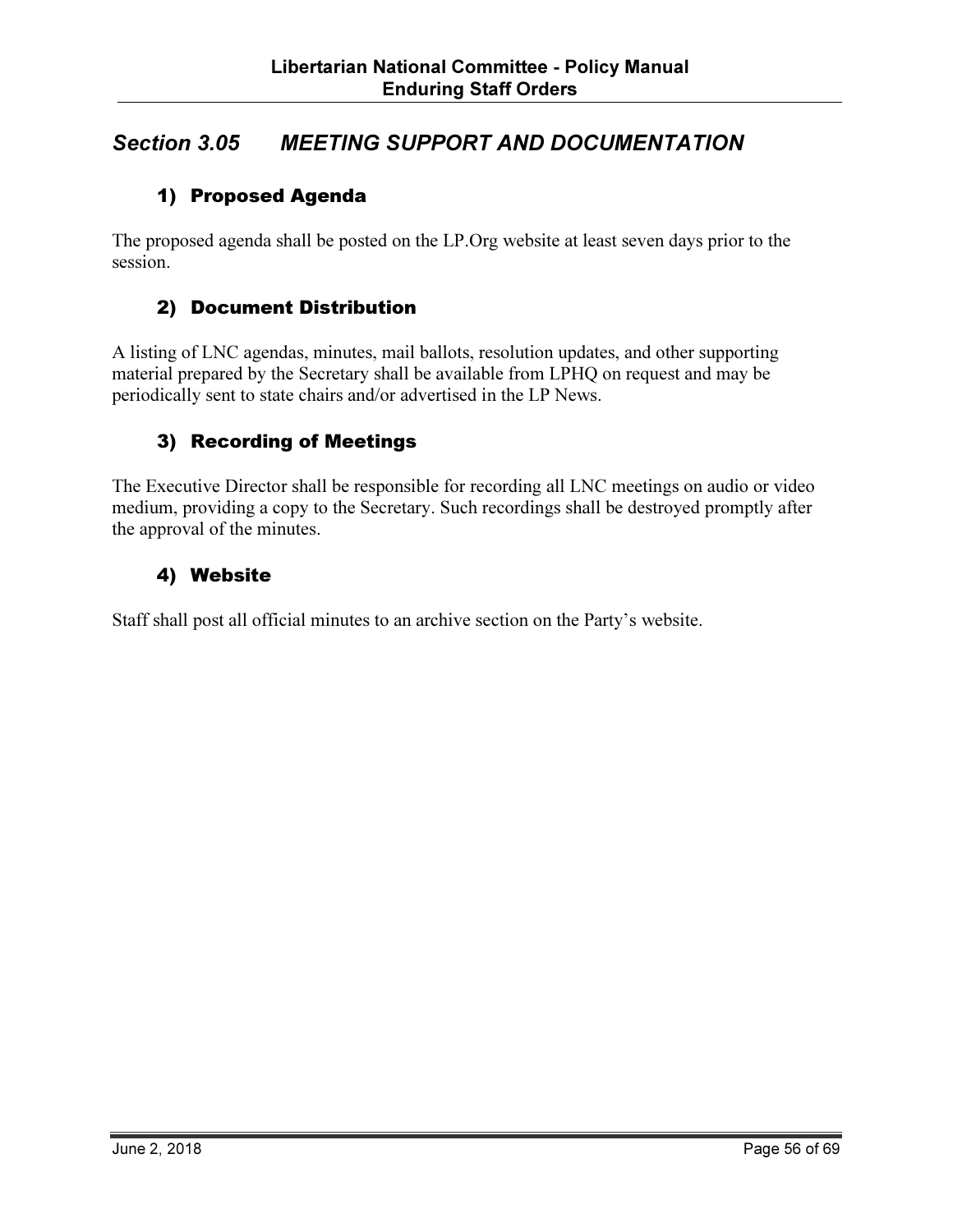## Section 3.05 MEETING SUPPORT AND DOCUMENTATION

#### 1) Proposed Agenda

The proposed agenda shall be posted on the LP.Org website at least seven days prior to the session.

#### 2) Document Distribution

A listing of LNC agendas, minutes, mail ballots, resolution updates, and other supporting material prepared by the Secretary shall be available from LPHQ on request and may be periodically sent to state chairs and/or advertised in the LP News.

#### 3) Recording of Meetings

The Executive Director shall be responsible for recording all LNC meetings on audio or video medium, providing a copy to the Secretary. Such recordings shall be destroyed promptly after the approval of the minutes.

#### 4) Website

Staff shall post all official minutes to an archive section on the Party's website.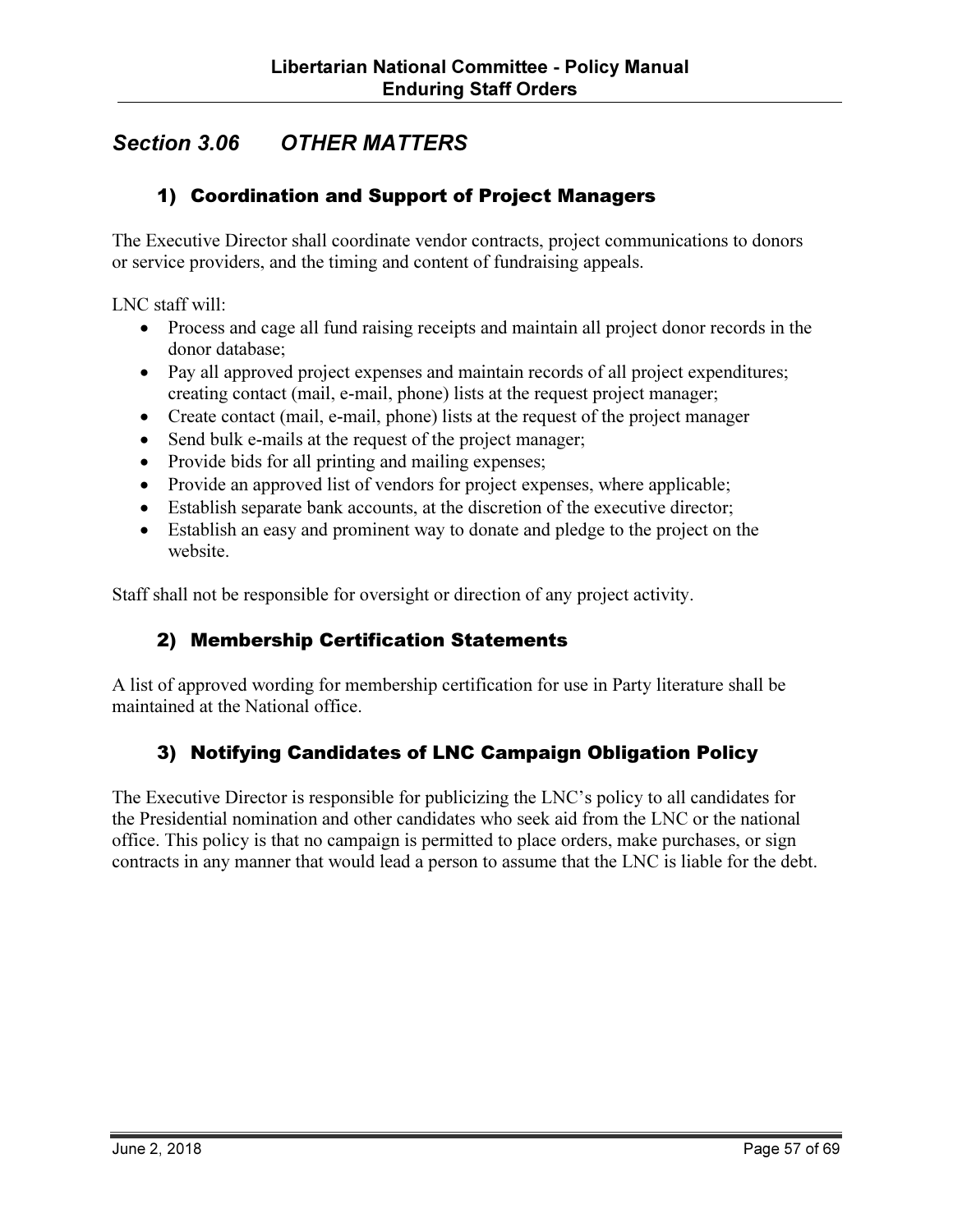# Section 3.06 OTHER MATTERS

#### 1) Coordination and Support of Project Managers

The Executive Director shall coordinate vendor contracts, project communications to donors or service providers, and the timing and content of fundraising appeals.

LNC staff will:

- Process and cage all fund raising receipts and maintain all project donor records in the donor database;
- Pay all approved project expenses and maintain records of all project expenditures; creating contact (mail, e-mail, phone) lists at the request project manager;
- Create contact (mail, e-mail, phone) lists at the request of the project manager
- Send bulk e-mails at the request of the project manager;
- Provide bids for all printing and mailing expenses;
- Provide an approved list of vendors for project expenses, where applicable;
- Establish separate bank accounts, at the discretion of the executive director;
- Establish an easy and prominent way to donate and pledge to the project on the website.

Staff shall not be responsible for oversight or direction of any project activity.

#### 2) Membership Certification Statements

A list of approved wording for membership certification for use in Party literature shall be maintained at the National office.

#### 3) Notifying Candidates of LNC Campaign Obligation Policy

The Executive Director is responsible for publicizing the LNC's policy to all candidates for the Presidential nomination and other candidates who seek aid from the LNC or the national office. This policy is that no campaign is permitted to place orders, make purchases, or sign contracts in any manner that would lead a person to assume that the LNC is liable for the debt.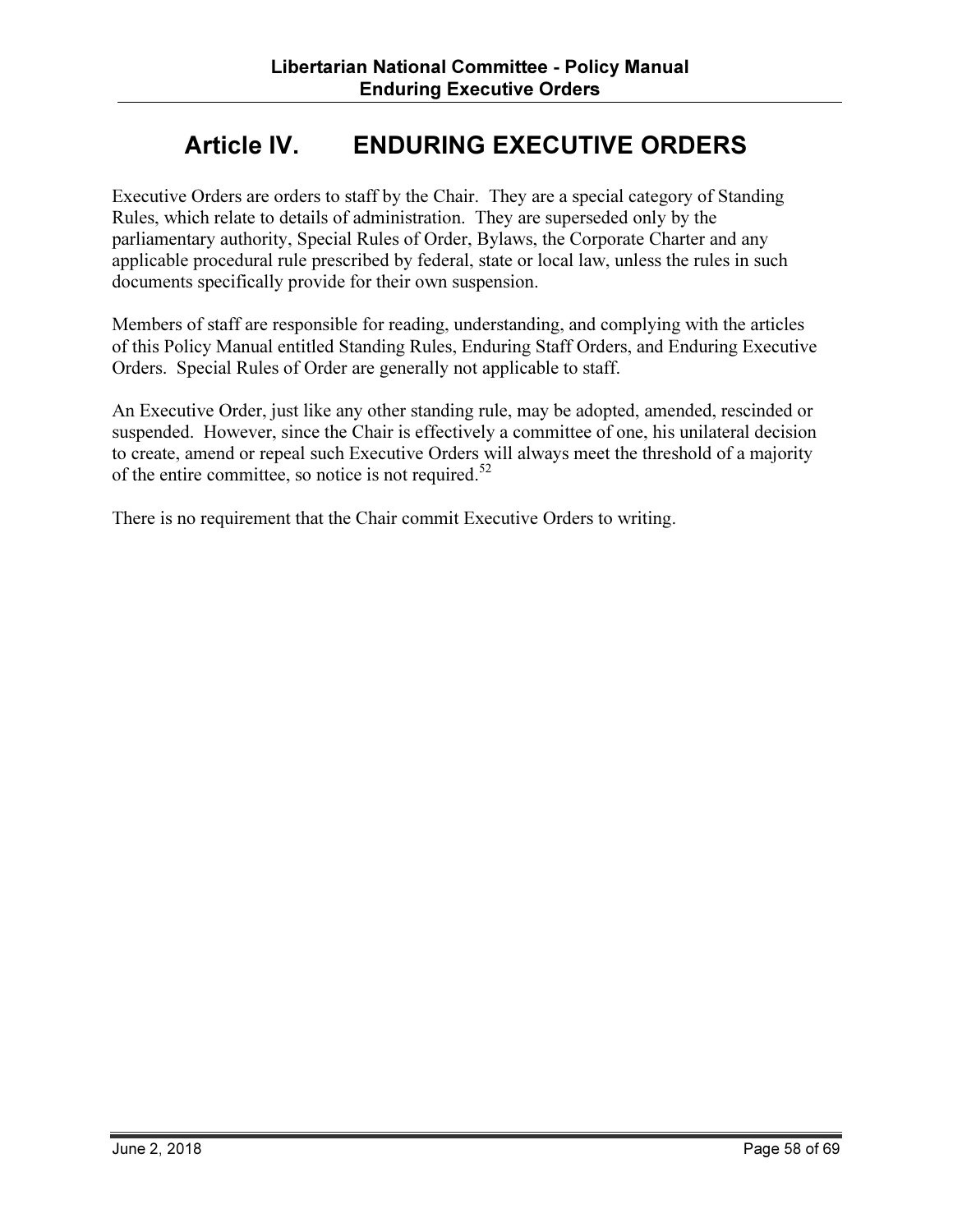# Article IV. ENDURING EXECUTIVE ORDERS

Executive Orders are orders to staff by the Chair. They are a special category of Standing Rules, which relate to details of administration. They are superseded only by the parliamentary authority, Special Rules of Order, Bylaws, the Corporate Charter and any applicable procedural rule prescribed by federal, state or local law, unless the rules in such documents specifically provide for their own suspension.

Members of staff are responsible for reading, understanding, and complying with the articles of this Policy Manual entitled Standing Rules, Enduring Staff Orders, and Enduring Executive Orders. Special Rules of Order are generally not applicable to staff.

An Executive Order, just like any other standing rule, may be adopted, amended, rescinded or suspended. However, since the Chair is effectively a committee of one, his unilateral decision to create, amend or repeal such Executive Orders will always meet the threshold of a majority of the entire committee, so notice is not required.<sup>52</sup>

There is no requirement that the Chair commit Executive Orders to writing.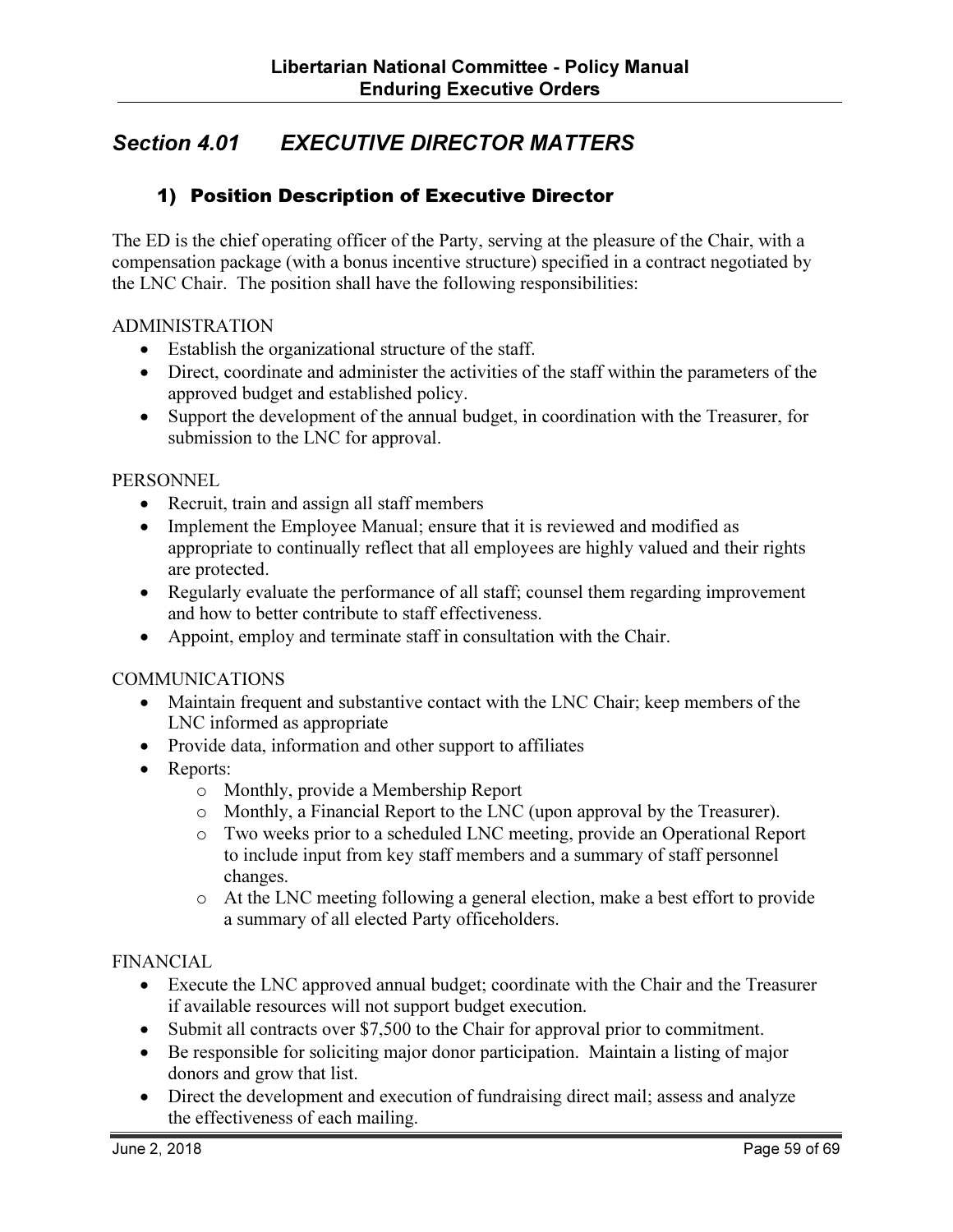# Section 4.01 EXECUTIVE DIRECTOR MATTERS

#### 1) Position Description of Executive Director

The ED is the chief operating officer of the Party, serving at the pleasure of the Chair, with a compensation package (with a bonus incentive structure) specified in a contract negotiated by the LNC Chair. The position shall have the following responsibilities:

#### ADMINISTRATION

- Establish the organizational structure of the staff.
- Direct, coordinate and administer the activities of the staff within the parameters of the approved budget and established policy.
- Support the development of the annual budget, in coordination with the Treasurer, for submission to the LNC for approval.

#### **PERSONNEL**

- Recruit, train and assign all staff members
- Implement the Employee Manual; ensure that it is reviewed and modified as appropriate to continually reflect that all employees are highly valued and their rights are protected.
- Regularly evaluate the performance of all staff; counsel them regarding improvement and how to better contribute to staff effectiveness.
- Appoint, employ and terminate staff in consultation with the Chair.

#### COMMUNICATIONS

- Maintain frequent and substantive contact with the LNC Chair; keep members of the LNC informed as appropriate
- Provide data, information and other support to affiliates
- Reports:
	- o Monthly, provide a Membership Report
	- o Monthly, a Financial Report to the LNC (upon approval by the Treasurer).
	- o Two weeks prior to a scheduled LNC meeting, provide an Operational Report to include input from key staff members and a summary of staff personnel changes.
	- o At the LNC meeting following a general election, make a best effort to provide a summary of all elected Party officeholders.

#### FINANCIAL

- Execute the LNC approved annual budget; coordinate with the Chair and the Treasurer if available resources will not support budget execution.
- Submit all contracts over \$7,500 to the Chair for approval prior to commitment.
- Be responsible for soliciting major donor participation. Maintain a listing of major donors and grow that list.
- Direct the development and execution of fundraising direct mail; assess and analyze the effectiveness of each mailing.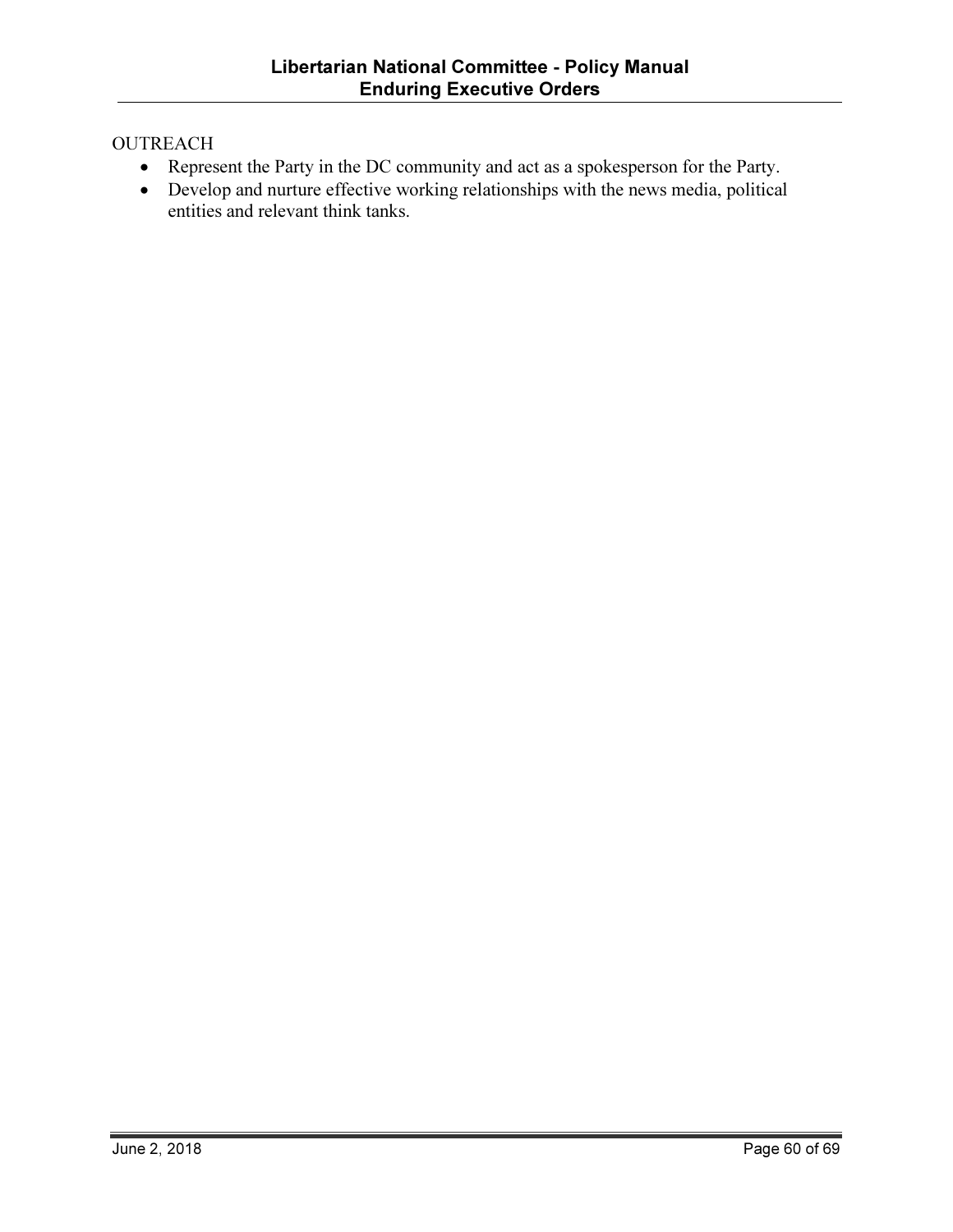#### **OUTREACH**

- Represent the Party in the DC community and act as a spokesperson for the Party.
- Develop and nurture effective working relationships with the news media, political entities and relevant think tanks.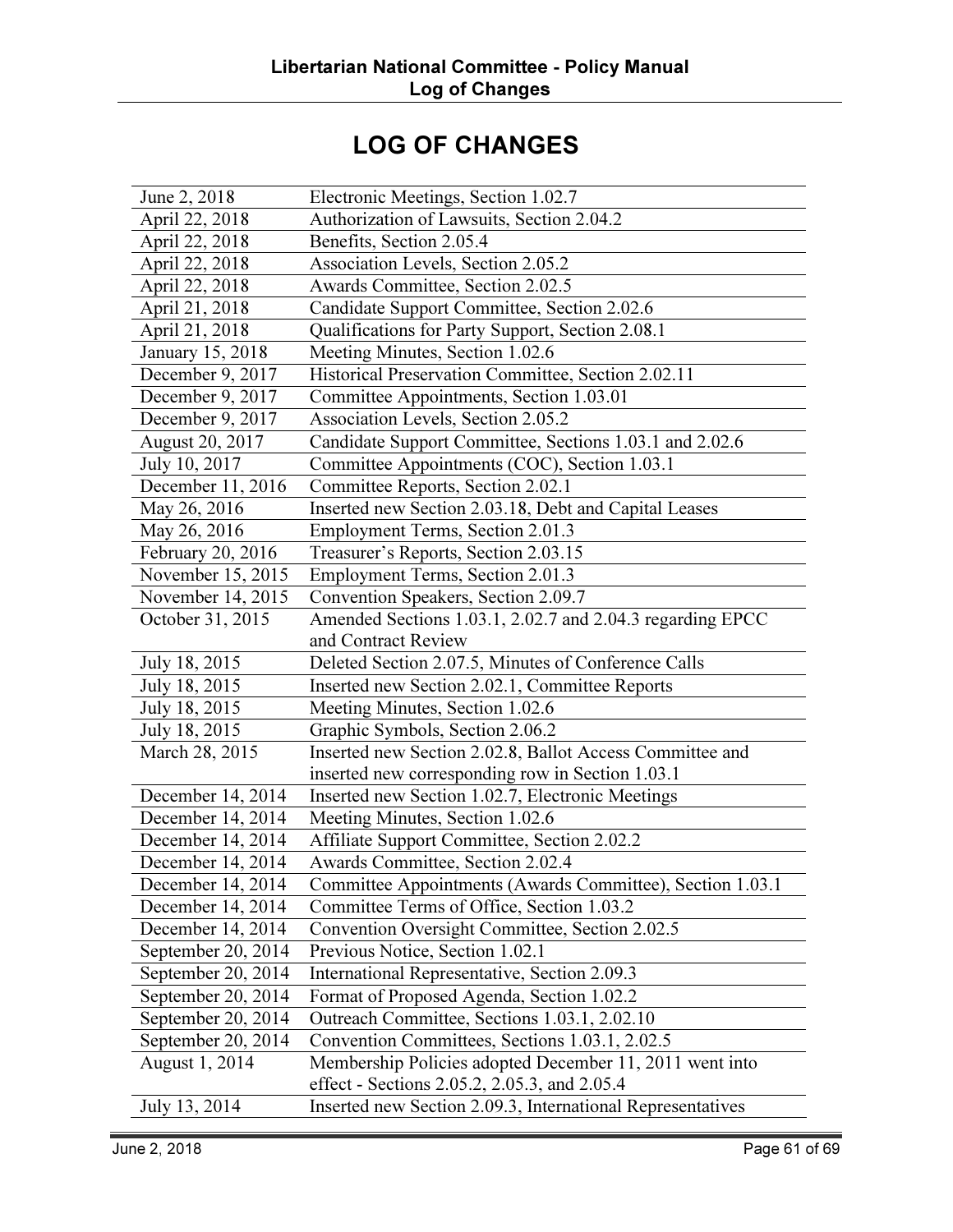# LOG OF CHANGES

| June 2, 2018       | Electronic Meetings, Section 1.02.7                        |
|--------------------|------------------------------------------------------------|
| April 22, 2018     | Authorization of Lawsuits, Section 2.04.2                  |
| April 22, 2018     | Benefits, Section 2.05.4                                   |
| April 22, 2018     | Association Levels, Section 2.05.2                         |
| April 22, 2018     | Awards Committee, Section 2.02.5                           |
| April 21, 2018     | Candidate Support Committee, Section 2.02.6                |
| April 21, 2018     | Qualifications for Party Support, Section 2.08.1           |
| January 15, 2018   | Meeting Minutes, Section 1.02.6                            |
| December 9, 2017   | Historical Preservation Committee, Section 2.02.11         |
| December 9, 2017   | Committee Appointments, Section 1.03.01                    |
| December 9, 2017   | Association Levels, Section 2.05.2                         |
| August 20, 2017    | Candidate Support Committee, Sections 1.03.1 and 2.02.6    |
| July 10, 2017      | Committee Appointments (COC), Section 1.03.1               |
| December 11, 2016  | Committee Reports, Section 2.02.1                          |
| May 26, 2016       | Inserted new Section 2.03.18, Debt and Capital Leases      |
| May 26, 2016       | Employment Terms, Section 2.01.3                           |
| February 20, 2016  | Treasurer's Reports, Section 2.03.15                       |
| November 15, 2015  | Employment Terms, Section 2.01.3                           |
| November 14, 2015  | Convention Speakers, Section 2.09.7                        |
| October 31, 2015   | Amended Sections 1.03.1, 2.02.7 and 2.04.3 regarding EPCC  |
|                    | and Contract Review                                        |
| July 18, 2015      | Deleted Section 2.07.5, Minutes of Conference Calls        |
| July 18, 2015      | Inserted new Section 2.02.1, Committee Reports             |
| July 18, 2015      | Meeting Minutes, Section 1.02.6                            |
| July 18, 2015      | Graphic Symbols, Section 2.06.2                            |
| March 28, 2015     | Inserted new Section 2.02.8, Ballot Access Committee and   |
|                    | inserted new corresponding row in Section 1.03.1           |
| December 14, 2014  | Inserted new Section 1.02.7, Electronic Meetings           |
| December 14, 2014  | Meeting Minutes, Section 1.02.6                            |
| December 14, 2014  | Affiliate Support Committee, Section 2.02.2                |
| December 14, 2014  | Awards Committee, Section 2.02.4                           |
| December 14, 2014  | Committee Appointments (Awards Committee), Section 1.03.1  |
| December 14, 2014  | Committee Terms of Office, Section 1.03.2                  |
| December 14, 2014  | Convention Oversight Committee, Section 2.02.5             |
| September 20, 2014 | Previous Notice, Section 1.02.1                            |
| September 20, 2014 | International Representative, Section 2.09.3               |
| September 20, 2014 | Format of Proposed Agenda, Section 1.02.2                  |
| September 20, 2014 | Outreach Committee, Sections 1.03.1, 2.02.10               |
| September 20, 2014 | Convention Committees, Sections 1.03.1, 2.02.5             |
| August 1, 2014     | Membership Policies adopted December 11, 2011 went into    |
|                    | effect - Sections 2.05.2, 2.05.3, and 2.05.4               |
| July 13, 2014      | Inserted new Section 2.09.3, International Representatives |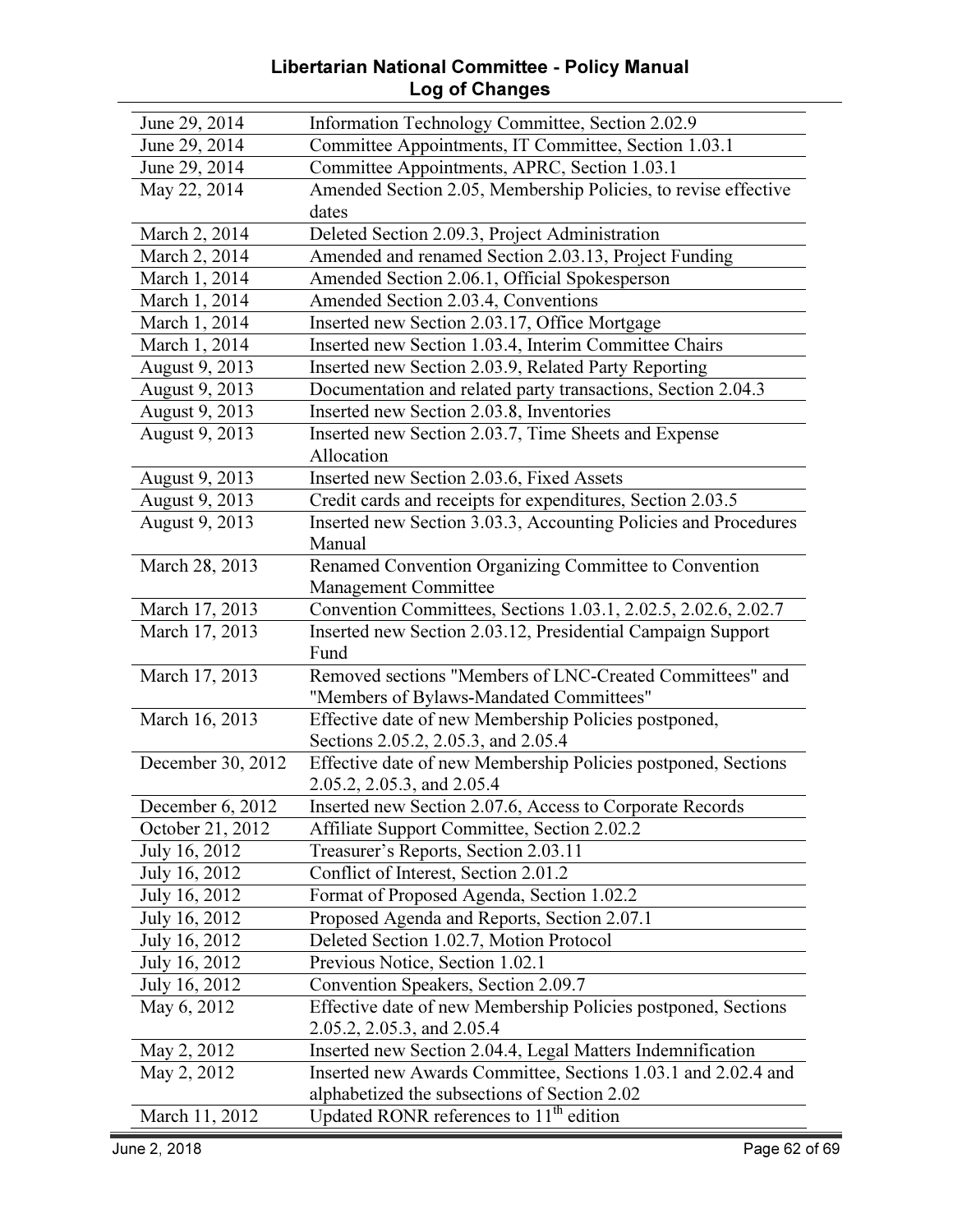#### Libertarian National Committee - Policy Manual Log of Changes

| June 29, 2014     | Information Technology Committee, Section 2.02.9                                                    |
|-------------------|-----------------------------------------------------------------------------------------------------|
| June 29, 2014     | Committee Appointments, IT Committee, Section 1.03.1                                                |
| June 29, 2014     | Committee Appointments, APRC, Section 1.03.1                                                        |
| May 22, 2014      | Amended Section 2.05, Membership Policies, to revise effective                                      |
|                   | dates                                                                                               |
| March 2, 2014     | Deleted Section 2.09.3, Project Administration                                                      |
| March 2, 2014     | Amended and renamed Section 2.03.13, Project Funding                                                |
| March 1, 2014     | Amended Section 2.06.1, Official Spokesperson                                                       |
| March 1, 2014     | Amended Section 2.03.4, Conventions                                                                 |
| March 1, 2014     | Inserted new Section 2.03.17, Office Mortgage                                                       |
| March 1, 2014     | Inserted new Section 1.03.4, Interim Committee Chairs                                               |
| August 9, 2013    | Inserted new Section 2.03.9, Related Party Reporting                                                |
| August 9, 2013    | Documentation and related party transactions, Section 2.04.3                                        |
| August 9, 2013    | Inserted new Section 2.03.8, Inventories                                                            |
| August 9, 2013    | Inserted new Section 2.03.7, Time Sheets and Expense                                                |
|                   | Allocation                                                                                          |
| August 9, 2013    | Inserted new Section 2.03.6, Fixed Assets                                                           |
| August 9, 2013    | Credit cards and receipts for expenditures, Section 2.03.5                                          |
| August 9, 2013    | Inserted new Section 3.03.3, Accounting Policies and Procedures                                     |
|                   | Manual                                                                                              |
| March 28, 2013    | Renamed Convention Organizing Committee to Convention                                               |
|                   | Management Committee                                                                                |
| March 17, 2013    | Convention Committees, Sections 1.03.1, 2.02.5, 2.02.6, 2.02.7                                      |
| March 17, 2013    | Inserted new Section 2.03.12, Presidential Campaign Support<br>Fund                                 |
| March 17, 2013    | Removed sections "Members of LNC-Created Committees" and                                            |
|                   | "Members of Bylaws-Mandated Committees"                                                             |
| March 16, 2013    | Effective date of new Membership Policies postponed,                                                |
|                   | Sections 2.05.2, 2.05.3, and 2.05.4                                                                 |
| December 30, 2012 | Effective date of new Membership Policies postponed, Sections                                       |
|                   | 2.05.2, 2.05.3, and 2.05.4                                                                          |
| December 6, 2012  | Inserted new Section 2.07.6, Access to Corporate Records                                            |
|                   |                                                                                                     |
| October 21, 2012  | Affiliate Support Committee, Section 2.02.2                                                         |
| July 16, 2012     | Treasurer's Reports, Section 2.03.11                                                                |
| July 16, 2012     | Conflict of Interest, Section 2.01.2                                                                |
| July 16, 2012     | Format of Proposed Agenda, Section 1.02.2                                                           |
| July 16, 2012     | Proposed Agenda and Reports, Section 2.07.1                                                         |
| July 16, 2012     | Deleted Section 1.02.7, Motion Protocol                                                             |
| July 16, 2012     | Previous Notice, Section 1.02.1                                                                     |
| July 16, 2012     | Convention Speakers, Section 2.09.7                                                                 |
| May 6, 2012       | Effective date of new Membership Policies postponed, Sections                                       |
|                   | 2.05.2, 2.05.3, and 2.05.4                                                                          |
| May 2, 2012       | Inserted new Section 2.04.4, Legal Matters Indemnification                                          |
| May 2, 2012       | Inserted new Awards Committee, Sections 1.03.1 and 2.02.4 and                                       |
| March 11, 2012    | alphabetized the subsections of Section 2.02<br>Updated RONR references to 11 <sup>th</sup> edition |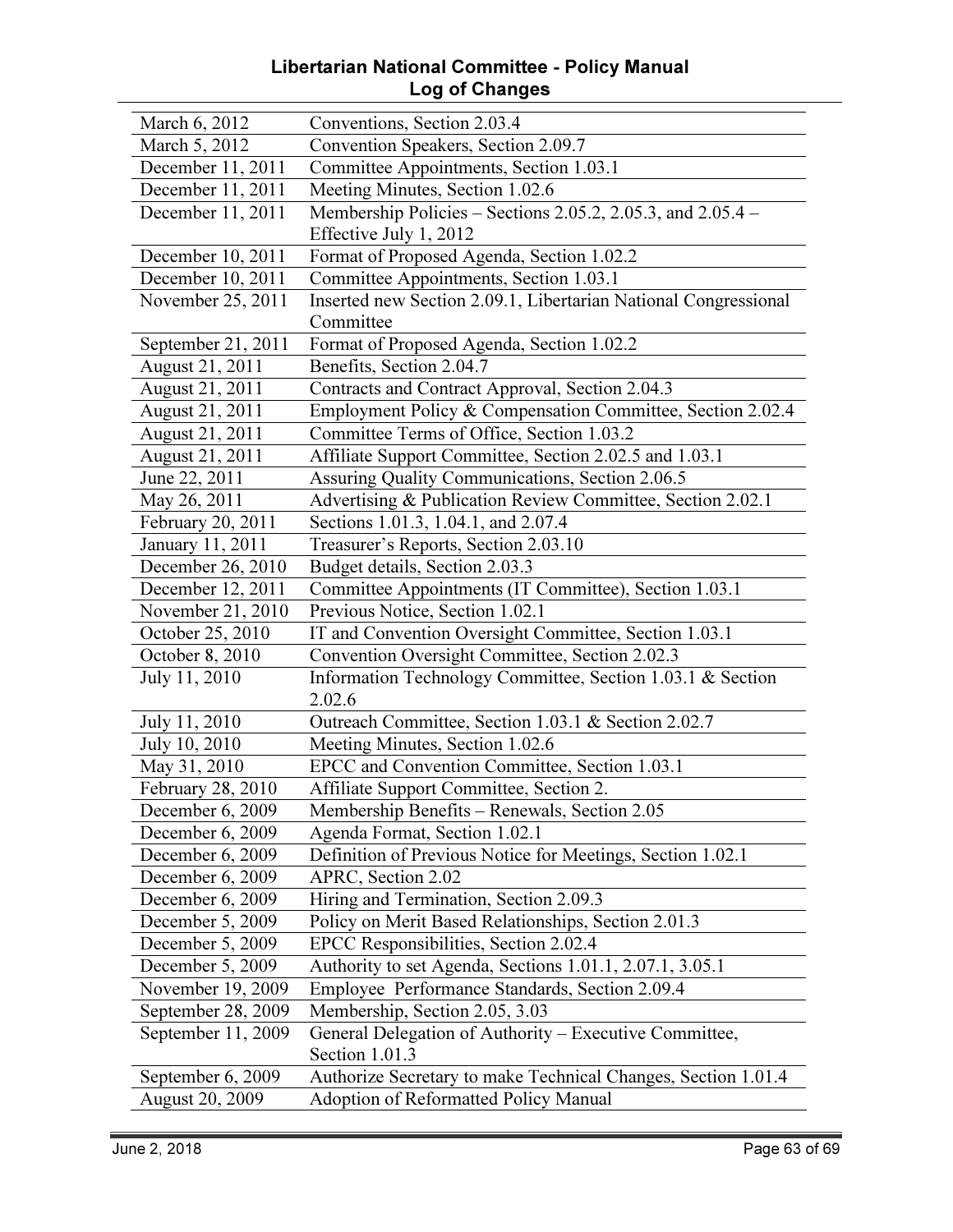#### Libertarian National Committee - Policy Manual Log of Changes

| March 6, 2012          | Conventions, Section 2.03.4                                     |
|------------------------|-----------------------------------------------------------------|
| March 5, 2012          | Convention Speakers, Section 2.09.7                             |
| December 11, 2011      | Committee Appointments, Section 1.03.1                          |
| December 11, 2011      | Meeting Minutes, Section 1.02.6                                 |
| December 11, 2011      | Membership Policies – Sections 2.05.2, 2.05.3, and $2.05.4$ –   |
|                        | Effective July 1, 2012                                          |
| December 10, 2011      | Format of Proposed Agenda, Section 1.02.2                       |
| December 10, 2011      | Committee Appointments, Section 1.03.1                          |
| November 25, 2011      | Inserted new Section 2.09.1, Libertarian National Congressional |
|                        | Committee                                                       |
| September 21, 2011     | Format of Proposed Agenda, Section 1.02.2                       |
| August 21, 2011        | Benefits, Section 2.04.7                                        |
| August 21, 2011        | Contracts and Contract Approval, Section 2.04.3                 |
| August 21, 2011        | Employment Policy & Compensation Committee, Section 2.02.4      |
| August 21, 2011        | Committee Terms of Office, Section 1.03.2                       |
| August 21, 2011        | Affiliate Support Committee, Section 2.02.5 and 1.03.1          |
| June 22, 2011          | Assuring Quality Communications, Section 2.06.5                 |
| May 26, 2011           | Advertising & Publication Review Committee, Section 2.02.1      |
| February 20, 2011      | Sections 1.01.3, 1.04.1, and 2.07.4                             |
| January 11, 2011       | Treasurer's Reports, Section 2.03.10                            |
| December 26, 2010      | Budget details, Section 2.03.3                                  |
| December 12, 2011      | Committee Appointments (IT Committee), Section 1.03.1           |
| November 21, 2010      | Previous Notice, Section 1.02.1                                 |
| October 25, 2010       | IT and Convention Oversight Committee, Section 1.03.1           |
| October 8, 2010        | Convention Oversight Committee, Section 2.02.3                  |
| July 11, 2010          | Information Technology Committee, Section 1.03.1 & Section      |
|                        | 2.02.6                                                          |
| July 11, 2010          | Outreach Committee, Section 1.03.1 & Section 2.02.7             |
| July 10, 2010          | Meeting Minutes, Section 1.02.6                                 |
| May 31, 2010           | EPCC and Convention Committee, Section 1.03.1                   |
| February 28, 2010      | Affiliate Support Committee, Section 2.                         |
| December 6, 2009       | Membership Benefits - Renewals, Section 2.05                    |
| December 6, 2009       | Agenda Format, Section 1.02.1                                   |
| December 6, 2009       | Definition of Previous Notice for Meetings, Section 1.02.1      |
| December 6, 2009       | APRC, Section 2.02                                              |
| December 6, 2009       | Hiring and Termination, Section 2.09.3                          |
| December 5, 2009       | Policy on Merit Based Relationships, Section 2.01.3             |
| December 5, 2009       | EPCC Responsibilities, Section 2.02.4                           |
| December 5, 2009       | Authority to set Agenda, Sections 1.01.1, 2.07.1, 3.05.1        |
| November 19, 2009      | Employee Performance Standards, Section 2.09.4                  |
| September 28, 2009     | Membership, Section 2.05, 3.03                                  |
| September 11, 2009     | General Delegation of Authority - Executive Committee,          |
|                        | Section 1.01.3                                                  |
| September 6, 2009      | Authorize Secretary to make Technical Changes, Section 1.01.4   |
| <b>August 20, 2009</b> | <b>Adoption of Reformatted Policy Manual</b>                    |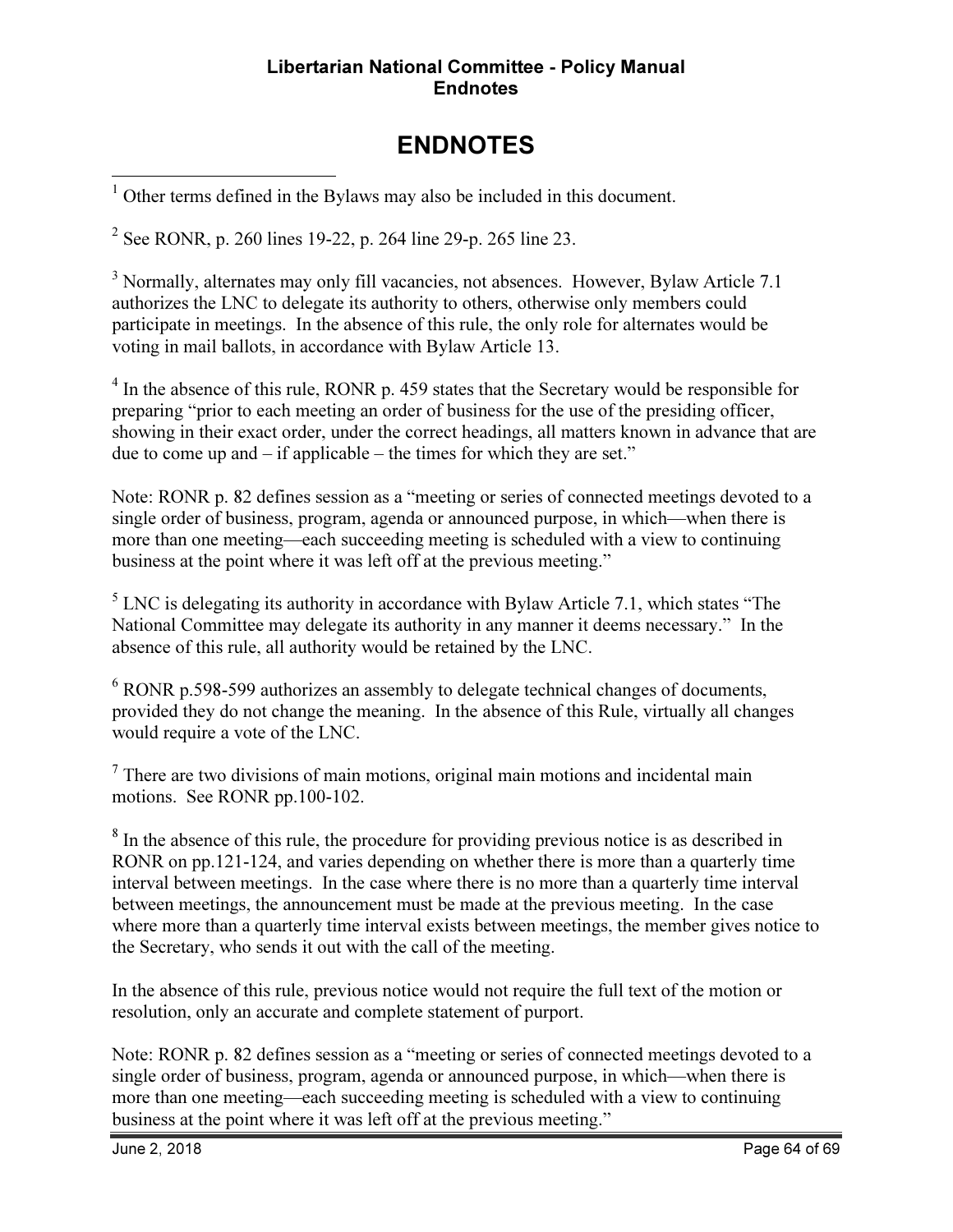#### Libertarian National Committee - Policy Manual **Endnotes**

# ENDNOTES

<sup>1</sup> Other terms defined in the Bylaws may also be included in this document.

<sup>2</sup> See RONR, p. 260 lines 19-22, p. 264 line 29-p. 265 line 23.

<sup>3</sup> Normally, alternates may only fill vacancies, not absences. However, Bylaw Article 7.1 authorizes the LNC to delegate its authority to others, otherwise only members could participate in meetings. In the absence of this rule, the only role for alternates would be voting in mail ballots, in accordance with Bylaw Article 13.

<sup>4</sup> In the absence of this rule, RONR p. 459 states that the Secretary would be responsible for preparing "prior to each meeting an order of business for the use of the presiding officer, showing in their exact order, under the correct headings, all matters known in advance that are due to come up and – if applicable – the times for which they are set."

Note: RONR p. 82 defines session as a "meeting or series of connected meetings devoted to a single order of business, program, agenda or announced purpose, in which—when there is more than one meeting—each succeeding meeting is scheduled with a view to continuing business at the point where it was left off at the previous meeting."

 $<sup>5</sup>$  LNC is delegating its authority in accordance with Bylaw Article 7.1, which states "The</sup> National Committee may delegate its authority in any manner it deems necessary." In the absence of this rule, all authority would be retained by the LNC.

<sup>6</sup> RONR p.598-599 authorizes an assembly to delegate technical changes of documents, provided they do not change the meaning. In the absence of this Rule, virtually all changes would require a vote of the LNC.

 $7$  There are two divisions of main motions, original main motions and incidental main motions. See RONR pp.100-102.

<sup>8</sup> In the absence of this rule, the procedure for providing previous notice is as described in RONR on pp.121-124, and varies depending on whether there is more than a quarterly time interval between meetings. In the case where there is no more than a quarterly time interval between meetings, the announcement must be made at the previous meeting. In the case where more than a quarterly time interval exists between meetings, the member gives notice to the Secretary, who sends it out with the call of the meeting.

In the absence of this rule, previous notice would not require the full text of the motion or resolution, only an accurate and complete statement of purport.

Note: RONR p. 82 defines session as a "meeting or series of connected meetings devoted to a single order of business, program, agenda or announced purpose, in which—when there is more than one meeting—each succeeding meeting is scheduled with a view to continuing business at the point where it was left off at the previous meeting."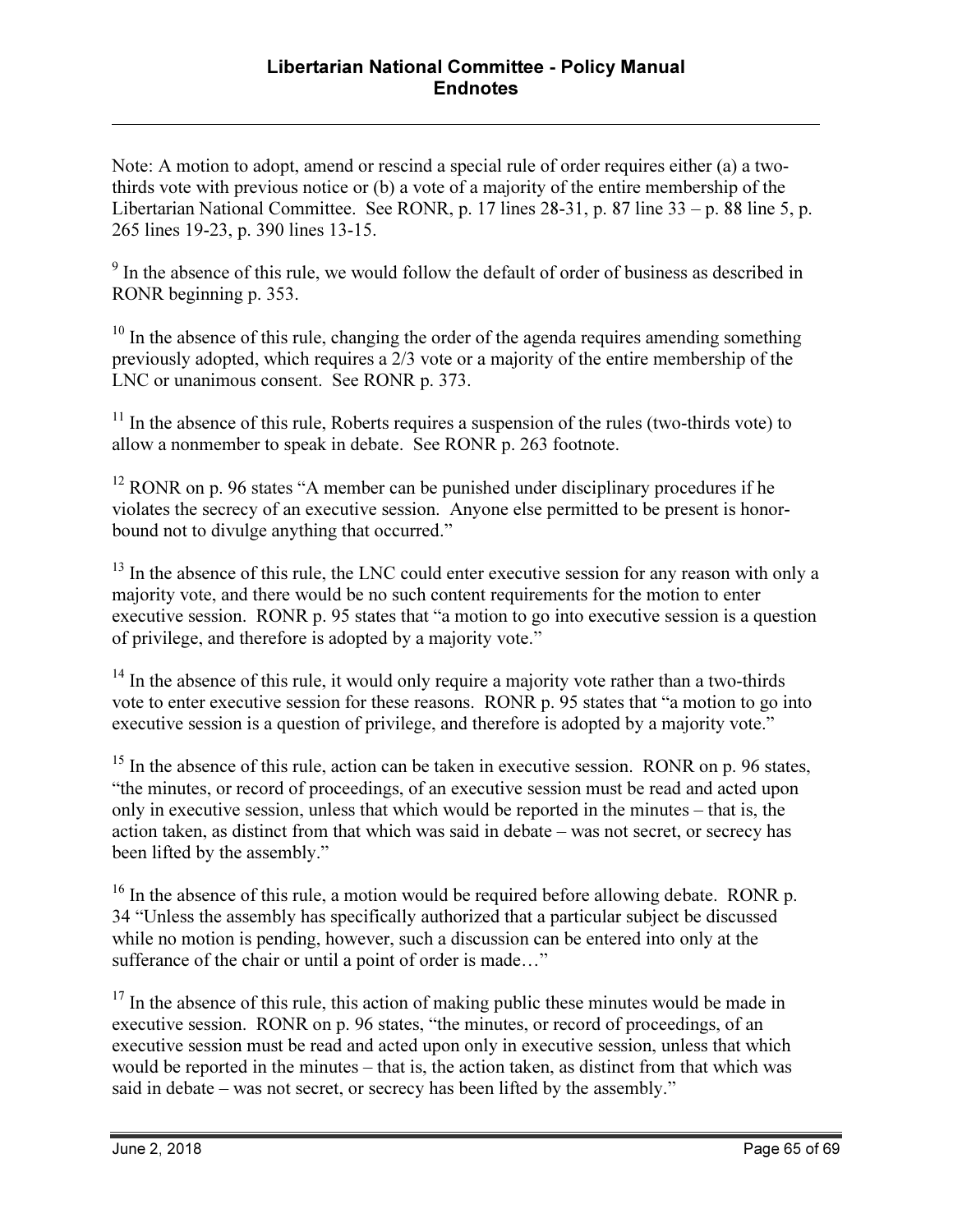Note: A motion to adopt, amend or rescind a special rule of order requires either (a) a twothirds vote with previous notice or (b) a vote of a majority of the entire membership of the Libertarian National Committee. See RONR, p. 17 lines 28-31, p. 87 line 33 – p. 88 line 5, p. 265 lines 19-23, p. 390 lines 13-15.

<sup>9</sup> In the absence of this rule, we would follow the default of order of business as described in RONR beginning p. 353.

 $10$  In the absence of this rule, changing the order of the agenda requires amending something previously adopted, which requires a 2/3 vote or a majority of the entire membership of the LNC or unanimous consent. See RONR p. 373.

 $11$  In the absence of this rule, Roberts requires a suspension of the rules (two-thirds vote) to allow a nonmember to speak in debate. See RONR p. 263 footnote.

 $12$  RONR on p. 96 states "A member can be punished under disciplinary procedures if he violates the secrecy of an executive session. Anyone else permitted to be present is honorbound not to divulge anything that occurred."

<sup>13</sup> In the absence of this rule, the LNC could enter executive session for any reason with only a majority vote, and there would be no such content requirements for the motion to enter executive session. RONR p. 95 states that "a motion to go into executive session is a question of privilege, and therefore is adopted by a majority vote."

<sup>14</sup> In the absence of this rule, it would only require a majority vote rather than a two-thirds vote to enter executive session for these reasons. RONR p. 95 states that "a motion to go into executive session is a question of privilege, and therefore is adopted by a majority vote."

 $15$  In the absence of this rule, action can be taken in executive session. RONR on p. 96 states, "the minutes, or record of proceedings, of an executive session must be read and acted upon only in executive session, unless that which would be reported in the minutes – that is, the action taken, as distinct from that which was said in debate – was not secret, or secrecy has been lifted by the assembly."

 $16$  In the absence of this rule, a motion would be required before allowing debate. RONR p. 34 "Unless the assembly has specifically authorized that a particular subject be discussed while no motion is pending, however, such a discussion can be entered into only at the sufferance of the chair or until a point of order is made…"

 $17$  In the absence of this rule, this action of making public these minutes would be made in executive session. RONR on p. 96 states, "the minutes, or record of proceedings, of an executive session must be read and acted upon only in executive session, unless that which would be reported in the minutes – that is, the action taken, as distinct from that which was said in debate – was not secret, or secrecy has been lifted by the assembly."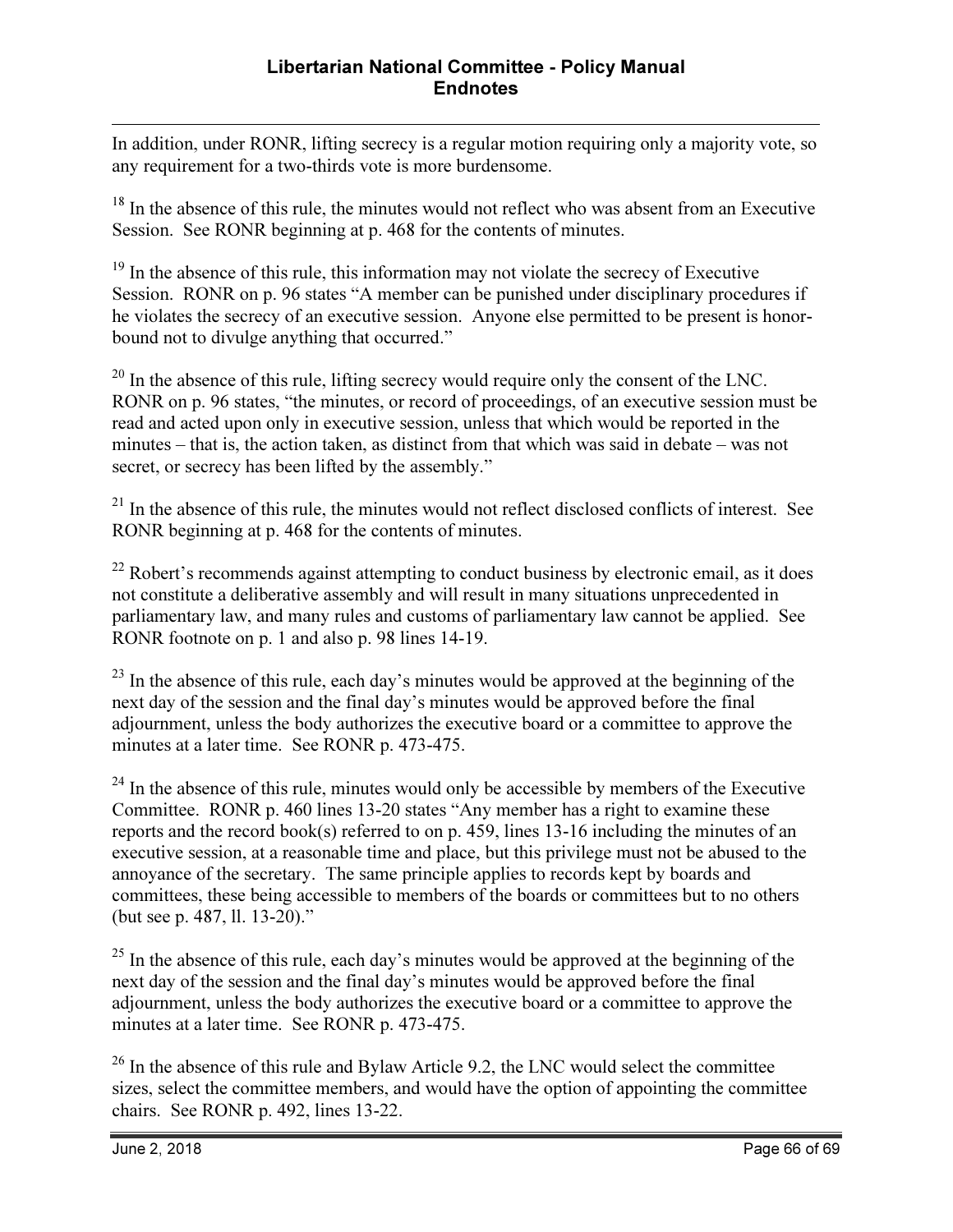In addition, under RONR, lifting secrecy is a regular motion requiring only a majority vote, so any requirement for a two-thirds vote is more burdensome.

<sup>18</sup> In the absence of this rule, the minutes would not reflect who was absent from an Executive Session. See RONR beginning at p. 468 for the contents of minutes.

<sup>19</sup> In the absence of this rule, this information may not violate the secrecy of Executive Session. RONR on p. 96 states "A member can be punished under disciplinary procedures if he violates the secrecy of an executive session. Anyone else permitted to be present is honorbound not to divulge anything that occurred."

 $20$  In the absence of this rule, lifting secrecy would require only the consent of the LNC. RONR on p. 96 states, "the minutes, or record of proceedings, of an executive session must be read and acted upon only in executive session, unless that which would be reported in the minutes – that is, the action taken, as distinct from that which was said in debate – was not secret, or secrecy has been lifted by the assembly."

<sup>21</sup> In the absence of this rule, the minutes would not reflect disclosed conflicts of interest. See RONR beginning at p. 468 for the contents of minutes.

 $22$  Robert's recommends against attempting to conduct business by electronic email, as it does not constitute a deliberative assembly and will result in many situations unprecedented in parliamentary law, and many rules and customs of parliamentary law cannot be applied. See RONR footnote on p. 1 and also p. 98 lines 14-19.

 $23$  In the absence of this rule, each day's minutes would be approved at the beginning of the next day of the session and the final day's minutes would be approved before the final adjournment, unless the body authorizes the executive board or a committee to approve the minutes at a later time. See RONR p. 473-475.

 $^{24}$  In the absence of this rule, minutes would only be accessible by members of the Executive Committee. RONR p. 460 lines 13-20 states "Any member has a right to examine these reports and the record book(s) referred to on p. 459, lines 13-16 including the minutes of an executive session, at a reasonable time and place, but this privilege must not be abused to the annoyance of the secretary. The same principle applies to records kept by boards and committees, these being accessible to members of the boards or committees but to no others (but see p. 487, ll. 13-20)."

 $^{25}$  In the absence of this rule, each day's minutes would be approved at the beginning of the next day of the session and the final day's minutes would be approved before the final adjournment, unless the body authorizes the executive board or a committee to approve the minutes at a later time. See RONR p. 473-475.

 $26$  In the absence of this rule and Bylaw Article 9.2, the LNC would select the committee sizes, select the committee members, and would have the option of appointing the committee chairs. See RONR p. 492, lines 13-22.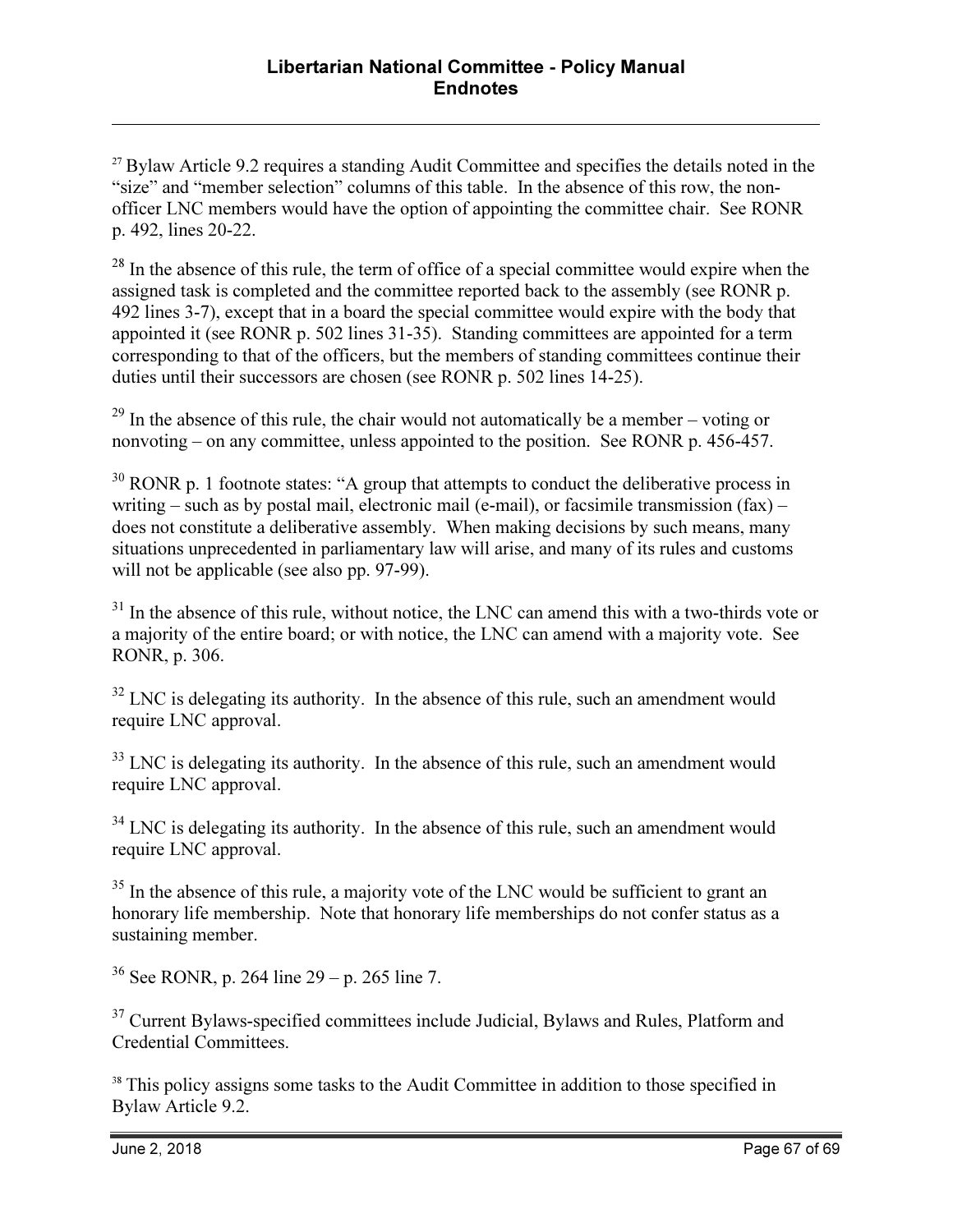$27$  Bylaw Article 9.2 requires a standing Audit Committee and specifies the details noted in the "size" and "member selection" columns of this table. In the absence of this row, the nonofficer LNC members would have the option of appointing the committee chair. See RONR p. 492, lines 20-22.

 $28$  In the absence of this rule, the term of office of a special committee would expire when the assigned task is completed and the committee reported back to the assembly (see RONR p. 492 lines 3-7), except that in a board the special committee would expire with the body that appointed it (see RONR p. 502 lines 31-35). Standing committees are appointed for a term corresponding to that of the officers, but the members of standing committees continue their duties until their successors are chosen (see RONR p. 502 lines 14-25).

 $^{29}$  In the absence of this rule, the chair would not automatically be a member – voting or nonvoting – on any committee, unless appointed to the position. See RONR p. 456-457.

 $30$  RONR p. 1 footnote states: "A group that attempts to conduct the deliberative process in writing – such as by postal mail, electronic mail (e-mail), or facsimile transmission  $(fax)$  – does not constitute a deliberative assembly. When making decisions by such means, many situations unprecedented in parliamentary law will arise, and many of its rules and customs will not be applicable (see also pp. 97-99).

 $31$  In the absence of this rule, without notice, the LNC can amend this with a two-thirds vote or a majority of the entire board; or with notice, the LNC can amend with a majority vote. See RONR, p. 306.

 $32$  LNC is delegating its authority. In the absence of this rule, such an amendment would require LNC approval.

 $33$  LNC is delegating its authority. In the absence of this rule, such an amendment would require LNC approval.

 $34$  LNC is delegating its authority. In the absence of this rule, such an amendment would require LNC approval.

 $35$  In the absence of this rule, a majority vote of the LNC would be sufficient to grant an honorary life membership. Note that honorary life memberships do not confer status as a sustaining member.

 $36$  See RONR, p. 264 line 29 – p. 265 line 7.

<sup>37</sup> Current Bylaws-specified committees include Judicial, Bylaws and Rules, Platform and Credential Committees.

<sup>38</sup> This policy assigns some tasks to the Audit Committee in addition to those specified in Bylaw Article 9.2.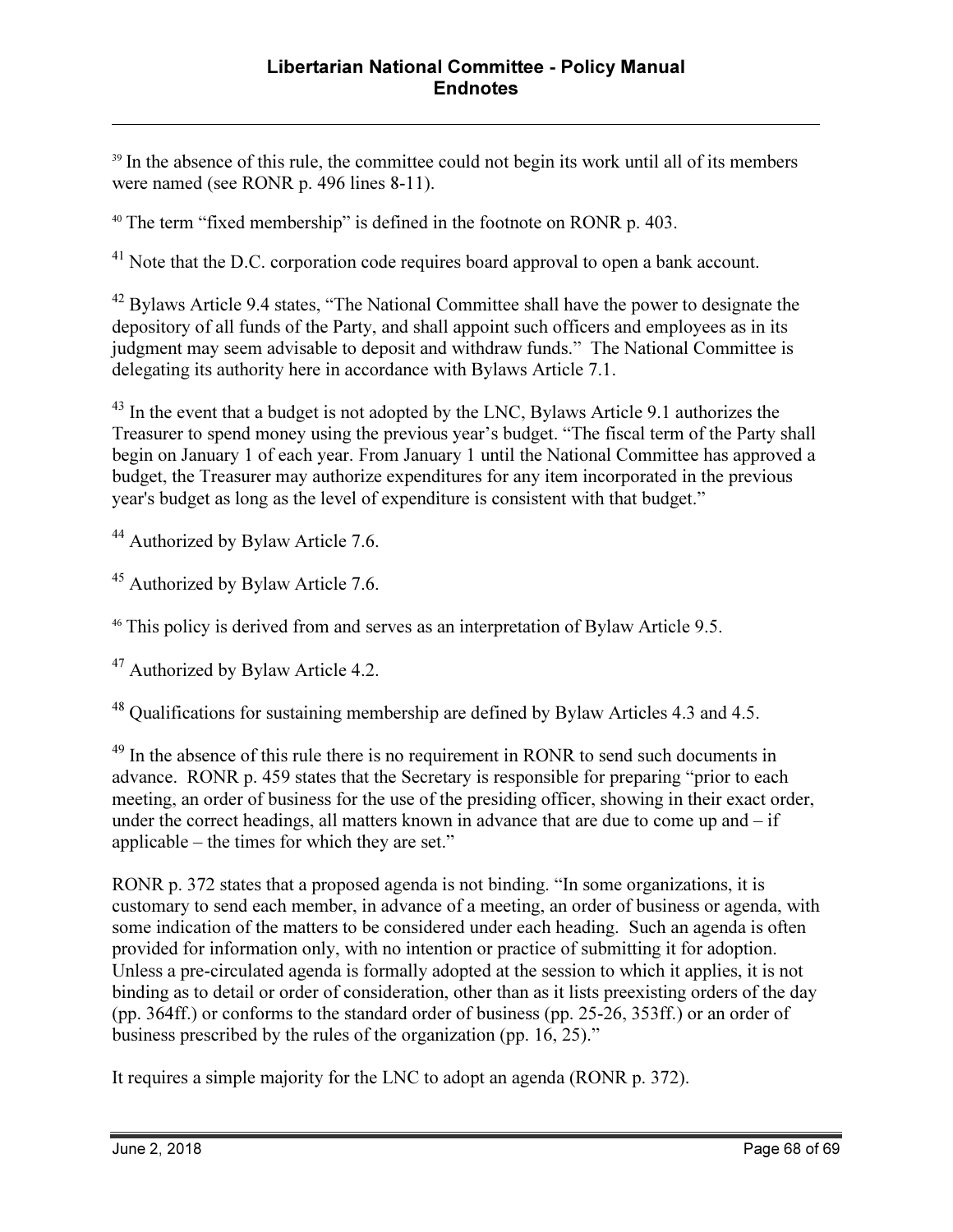<sup>39</sup> In the absence of this rule, the committee could not begin its work until all of its members were named (see RONR p. 496 lines 8-11).

<sup>40</sup> The term "fixed membership" is defined in the footnote on RONR p. 403.

<sup>41</sup> Note that the D.C. corporation code requires board approval to open a bank account.

<sup>42</sup> Bylaws Article 9.4 states, "The National Committee shall have the power to designate the depository of all funds of the Party, and shall appoint such officers and employees as in its judgment may seem advisable to deposit and withdraw funds." The National Committee is delegating its authority here in accordance with Bylaws Article 7.1.

<sup>43</sup> In the event that a budget is not adopted by the LNC, Bylaws Article 9.1 authorizes the Treasurer to spend money using the previous year's budget. "The fiscal term of the Party shall begin on January 1 of each year. From January 1 until the National Committee has approved a budget, the Treasurer may authorize expenditures for any item incorporated in the previous year's budget as long as the level of expenditure is consistent with that budget."

<sup>44</sup> Authorized by Bylaw Article 7.6.

<u>.</u>

<sup>45</sup> Authorized by Bylaw Article 7.6.

<sup>46</sup> This policy is derived from and serves as an interpretation of Bylaw Article 9.5.

<sup>47</sup> Authorized by Bylaw Article 4.2.

<sup>48</sup> Qualifications for sustaining membership are defined by Bylaw Articles 4.3 and 4.5.

<sup>49</sup> In the absence of this rule there is no requirement in RONR to send such documents in advance. RONR p. 459 states that the Secretary is responsible for preparing "prior to each meeting, an order of business for the use of the presiding officer, showing in their exact order, under the correct headings, all matters known in advance that are due to come up and – if applicable – the times for which they are set."

RONR p. 372 states that a proposed agenda is not binding. "In some organizations, it is customary to send each member, in advance of a meeting, an order of business or agenda, with some indication of the matters to be considered under each heading. Such an agenda is often provided for information only, with no intention or practice of submitting it for adoption. Unless a pre-circulated agenda is formally adopted at the session to which it applies, it is not binding as to detail or order of consideration, other than as it lists preexisting orders of the day (pp. 364ff.) or conforms to the standard order of business (pp. 25-26, 353ff.) or an order of business prescribed by the rules of the organization (pp. 16, 25)."

It requires a simple majority for the LNC to adopt an agenda (RONR p. 372).